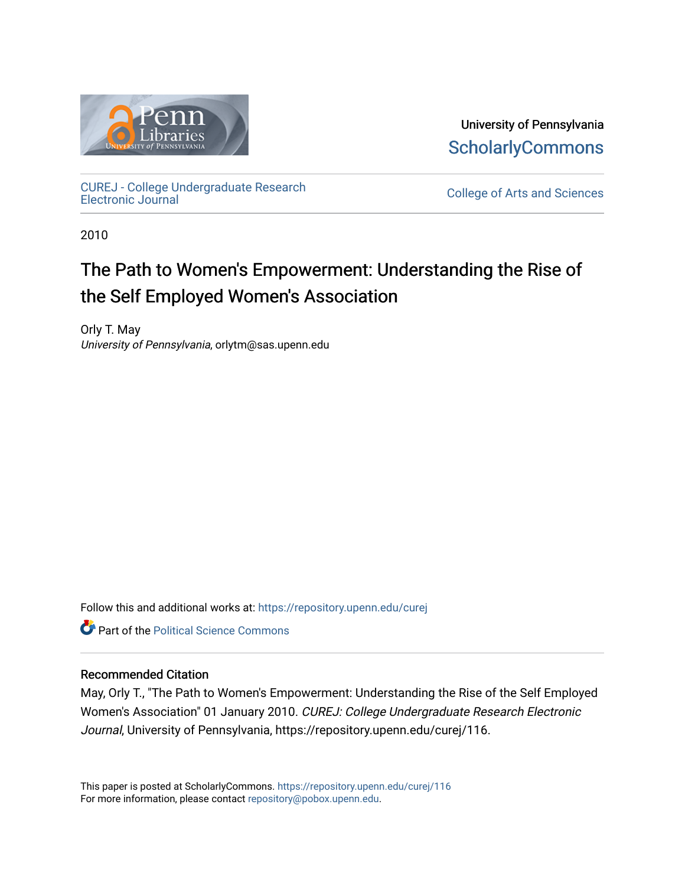

University of Pennsylvania **ScholarlyCommons** 

[CUREJ - College Undergraduate Research](https://repository.upenn.edu/curej) 

College of Arts and Sciences

2010

# The Path to Women's Empowerment: Understanding the Rise of the Self Employed Women's Association

Orly T. May University of Pennsylvania, orlytm@sas.upenn.edu

Follow this and additional works at: [https://repository.upenn.edu/curej](https://repository.upenn.edu/curej?utm_source=repository.upenn.edu%2Fcurej%2F116&utm_medium=PDF&utm_campaign=PDFCoverPages)

**Part of the Political Science Commons** 

# Recommended Citation

May, Orly T., "The Path to Women's Empowerment: Understanding the Rise of the Self Employed Women's Association" 01 January 2010. CUREJ: College Undergraduate Research Electronic Journal, University of Pennsylvania, https://repository.upenn.edu/curej/116.

This paper is posted at ScholarlyCommons.<https://repository.upenn.edu/curej/116> For more information, please contact [repository@pobox.upenn.edu.](mailto:repository@pobox.upenn.edu)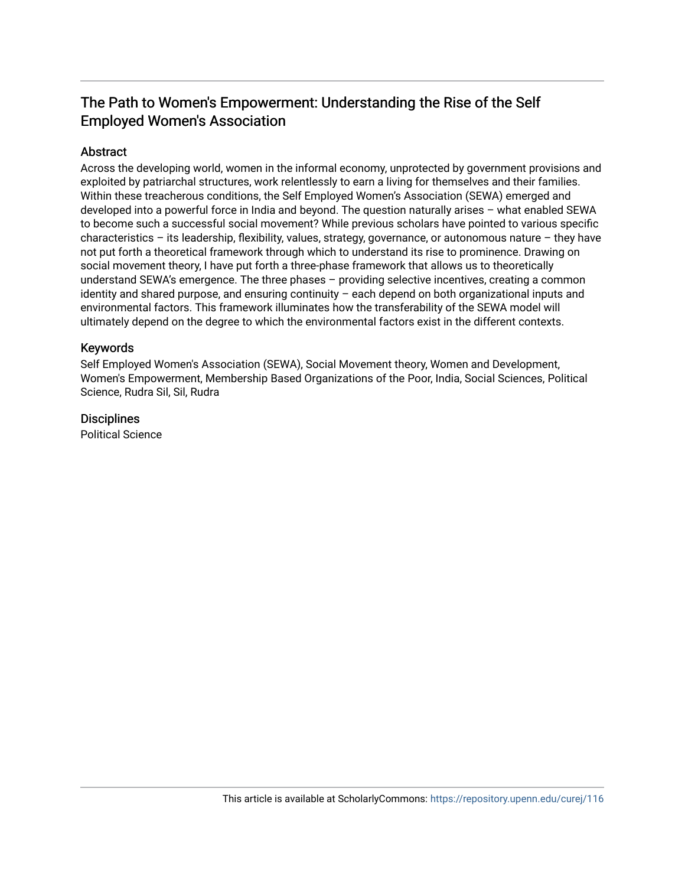# The Path to Women's Empowerment: Understanding the Rise of the Self **Employed Women's Association**

# **Abstract**

Across the developing world, women in the informal economy, unprotected by government provisions and exploited by patriarchal structures, work relentlessly to earn a living for themselves and their families. Within these treacherous conditions, the Self Employed Women's Association (SEWA) emerged and developed into a powerful force in India and beyond. The question naturally arises – what enabled SEWA to become such a successful social movement? While previous scholars have pointed to various specific characteristics – its leadership, flexibility, values, strategy, governance, or autonomous nature – they have not put forth a theoretical framework through which to understand its rise to prominence. Drawing on social movement theory, I have put forth a three-phase framework that allows us to theoretically understand SEWA's emergence. The three phases – providing selective incentives, creating a common identity and shared purpose, and ensuring continuity – each depend on both organizational inputs and environmental factors. This framework illuminates how the transferability of the SEWA model will ultimately depend on the degree to which the environmental factors exist in the different contexts.

# Keywords

Self Employed Women's Association (SEWA), Social Movement theory, Women and Development, Women's Empowerment, Membership Based Organizations of the Poor, India, Social Sciences, Political Science, Rudra Sil, Sil, Rudra

# **Disciplines**

Political Science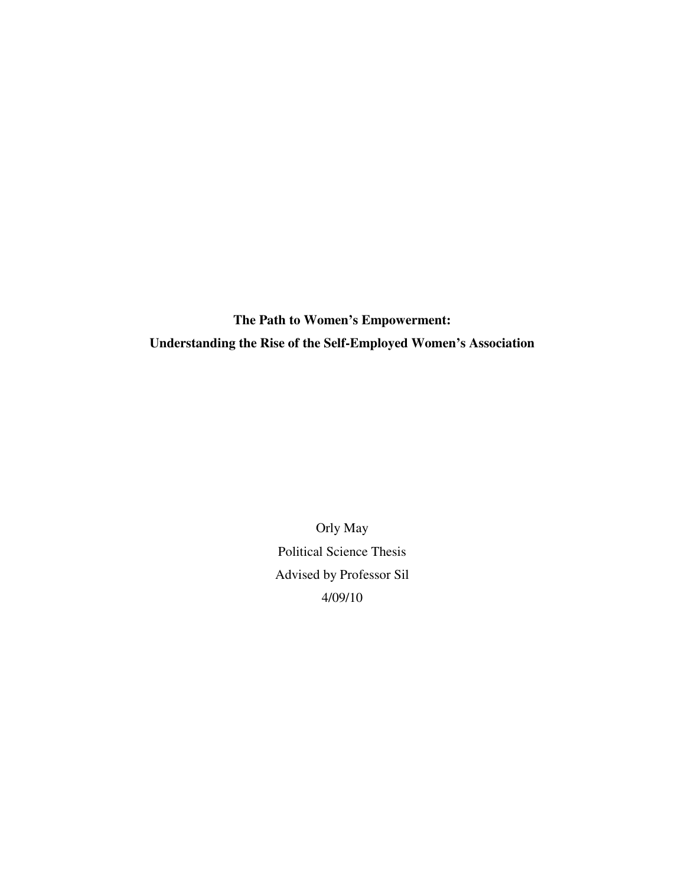**The Path to Women's Empowerment: Understanding the Rise of the Self-Employed Women's Association** 

> Orly May Political Science Thesis Advised by Professor Sil 4/09/10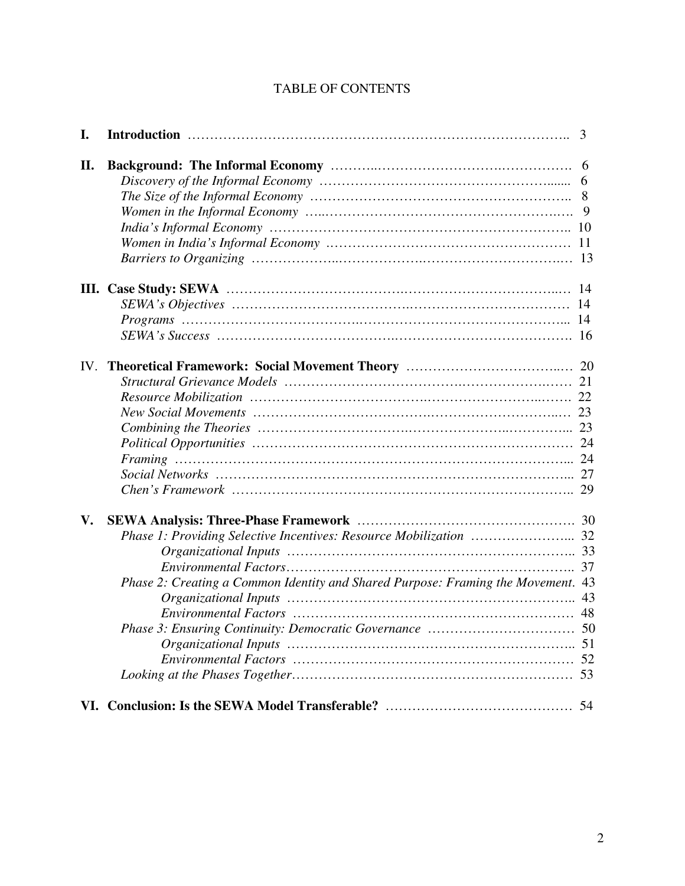# TABLE OF CONTENTS

| I.  |                                                                                  | 3 |
|-----|----------------------------------------------------------------------------------|---|
| II. |                                                                                  |   |
|     |                                                                                  |   |
|     |                                                                                  |   |
|     |                                                                                  |   |
|     |                                                                                  |   |
|     |                                                                                  |   |
|     |                                                                                  |   |
|     |                                                                                  |   |
|     |                                                                                  |   |
|     |                                                                                  |   |
|     |                                                                                  |   |
| IV. |                                                                                  |   |
|     |                                                                                  |   |
|     |                                                                                  |   |
|     |                                                                                  |   |
|     |                                                                                  |   |
|     |                                                                                  |   |
|     |                                                                                  |   |
|     |                                                                                  |   |
|     |                                                                                  |   |
| V.  |                                                                                  |   |
|     |                                                                                  |   |
|     |                                                                                  |   |
|     |                                                                                  |   |
|     | Phase 2: Creating a Common Identity and Shared Purpose: Framing the Movement. 43 |   |
|     |                                                                                  |   |
|     |                                                                                  |   |
|     |                                                                                  |   |
|     |                                                                                  |   |
|     |                                                                                  |   |
|     |                                                                                  |   |
|     |                                                                                  |   |
|     |                                                                                  |   |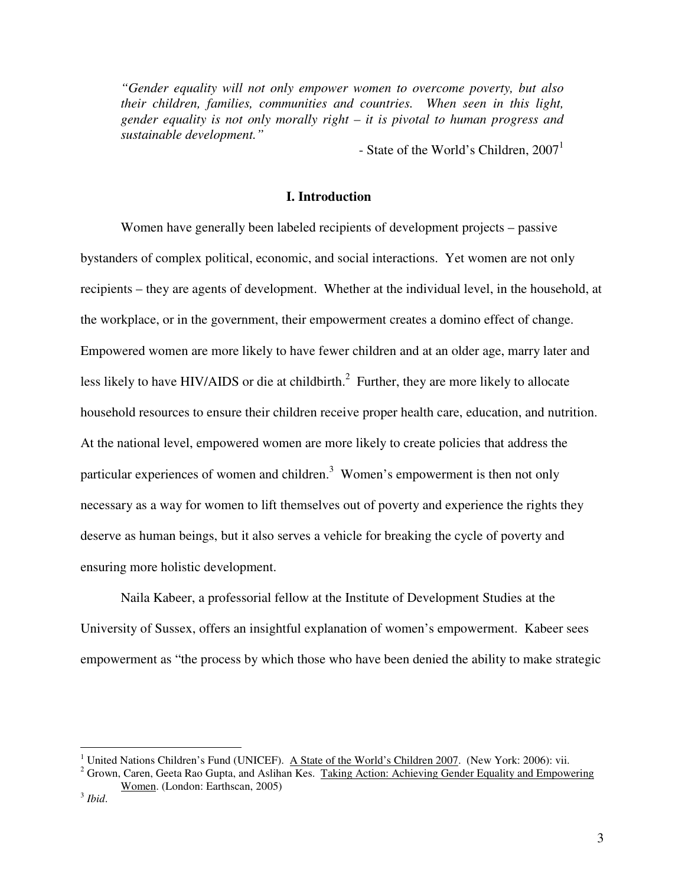*"Gender equality will not only empower women to overcome poverty, but also their children, families, communities and countries. When seen in this light, gender equality is not only morally right – it is pivotal to human progress and sustainable development."* 

- State of the World's Children,  $2007<sup>1</sup>$ 

# **I. Introduction**

Women have generally been labeled recipients of development projects – passive bystanders of complex political, economic, and social interactions. Yet women are not only recipients – they are agents of development. Whether at the individual level, in the household, at the workplace, or in the government, their empowerment creates a domino effect of change. Empowered women are more likely to have fewer children and at an older age, marry later and less likely to have HIV/AIDS or die at childbirth.<sup>2</sup> Further, they are more likely to allocate household resources to ensure their children receive proper health care, education, and nutrition. At the national level, empowered women are more likely to create policies that address the particular experiences of women and children.<sup>3</sup> Women's empowerment is then not only necessary as a way for women to lift themselves out of poverty and experience the rights they deserve as human beings, but it also serves a vehicle for breaking the cycle of poverty and ensuring more holistic development.

Naila Kabeer, a professorial fellow at the Institute of Development Studies at the University of Sussex, offers an insightful explanation of women's empowerment. Kabeer sees empowerment as "the process by which those who have been denied the ability to make strategic

-

<sup>&</sup>lt;sup>1</sup> United Nations Children's Fund (UNICEF). A State of the World's Children 2007. (New York: 2006): vii.

<sup>&</sup>lt;sup>2</sup> Grown, Caren, Geeta Rao Gupta, and Aslihan Kes. Taking Action: Achieving Gender Equality and Empowering Women. (London: Earthscan, 2005)

<sup>3</sup> *Ibid*.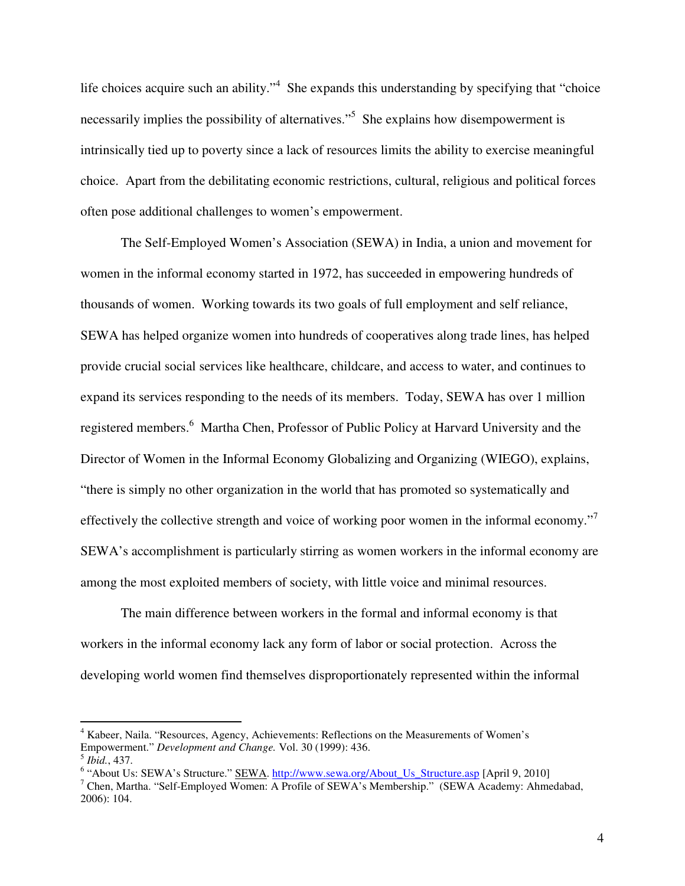life choices acquire such an ability."<sup>4</sup> She expands this understanding by specifying that "choice necessarily implies the possibility of alternatives."<sup>5</sup> She explains how disempowerment is intrinsically tied up to poverty since a lack of resources limits the ability to exercise meaningful choice. Apart from the debilitating economic restrictions, cultural, religious and political forces often pose additional challenges to women's empowerment.

The Self-Employed Women's Association (SEWA) in India, a union and movement for women in the informal economy started in 1972, has succeeded in empowering hundreds of thousands of women. Working towards its two goals of full employment and self reliance, SEWA has helped organize women into hundreds of cooperatives along trade lines, has helped provide crucial social services like healthcare, childcare, and access to water, and continues to expand its services responding to the needs of its members. Today, SEWA has over 1 million registered members.<sup>6</sup> Martha Chen, Professor of Public Policy at Harvard University and the Director of Women in the Informal Economy Globalizing and Organizing (WIEGO), explains, "there is simply no other organization in the world that has promoted so systematically and effectively the collective strength and voice of working poor women in the informal economy."<sup>7</sup> SEWA's accomplishment is particularly stirring as women workers in the informal economy are among the most exploited members of society, with little voice and minimal resources.

The main difference between workers in the formal and informal economy is that workers in the informal economy lack any form of labor or social protection. Across the developing world women find themselves disproportionately represented within the informal

<sup>&</sup>lt;sup>4</sup> Kabeer, Naila. "Resources, Agency, Achievements: Reflections on the Measurements of Women's Empowerment." *Development and Change.* Vol. 30 (1999): 436. 5 *Ibid.*, 437.

<sup>&</sup>lt;sup>6</sup> "About Us: SEWA's Structure." SEWA. http://www.sewa.org/About\_Us\_Structure.asp [April 9, 2010]

<sup>&</sup>lt;sup>7</sup> Chen, Martha. "Self-Employed Women: A Profile of SEWA's Membership." (SEWA Academy: Ahmedabad, 2006): 104.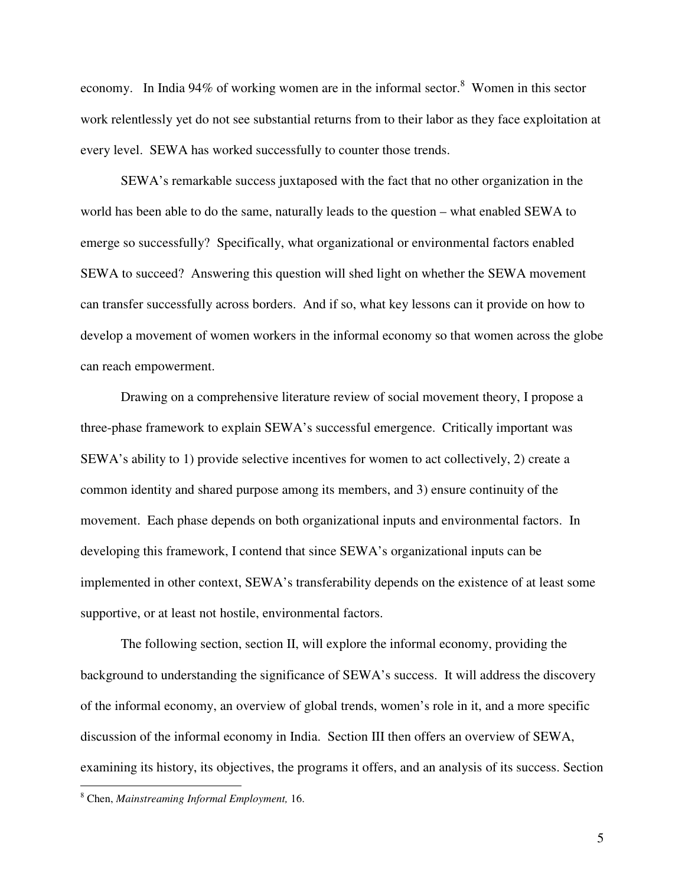economy. In India 94% of working women are in the informal sector.<sup>8</sup> Women in this sector work relentlessly yet do not see substantial returns from to their labor as they face exploitation at every level. SEWA has worked successfully to counter those trends.

SEWA's remarkable success juxtaposed with the fact that no other organization in the world has been able to do the same, naturally leads to the question – what enabled SEWA to emerge so successfully? Specifically, what organizational or environmental factors enabled SEWA to succeed? Answering this question will shed light on whether the SEWA movement can transfer successfully across borders. And if so, what key lessons can it provide on how to develop a movement of women workers in the informal economy so that women across the globe can reach empowerment.

Drawing on a comprehensive literature review of social movement theory, I propose a three-phase framework to explain SEWA's successful emergence. Critically important was SEWA's ability to 1) provide selective incentives for women to act collectively, 2) create a common identity and shared purpose among its members, and 3) ensure continuity of the movement. Each phase depends on both organizational inputs and environmental factors. In developing this framework, I contend that since SEWA's organizational inputs can be implemented in other context, SEWA's transferability depends on the existence of at least some supportive, or at least not hostile, environmental factors.

The following section, section II, will explore the informal economy, providing the background to understanding the significance of SEWA's success. It will address the discovery of the informal economy, an overview of global trends, women's role in it, and a more specific discussion of the informal economy in India. Section III then offers an overview of SEWA, examining its history, its objectives, the programs it offers, and an analysis of its success. Section

<sup>8</sup> Chen, *Mainstreaming Informal Employment,* 16.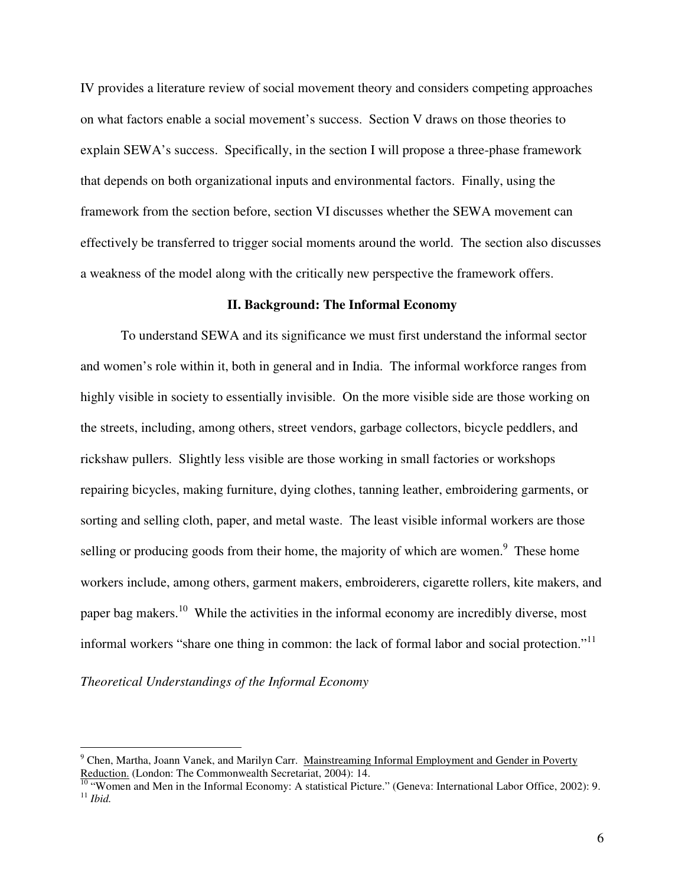IV provides a literature review of social movement theory and considers competing approaches on what factors enable a social movement's success. Section V draws on those theories to explain SEWA's success. Specifically, in the section I will propose a three-phase framework that depends on both organizational inputs and environmental factors. Finally, using the framework from the section before, section VI discusses whether the SEWA movement can effectively be transferred to trigger social moments around the world. The section also discusses a weakness of the model along with the critically new perspective the framework offers.

### **II. Background: The Informal Economy**

To understand SEWA and its significance we must first understand the informal sector and women's role within it, both in general and in India. The informal workforce ranges from highly visible in society to essentially invisible. On the more visible side are those working on the streets, including, among others, street vendors, garbage collectors, bicycle peddlers, and rickshaw pullers. Slightly less visible are those working in small factories or workshops repairing bicycles, making furniture, dying clothes, tanning leather, embroidering garments, or sorting and selling cloth, paper, and metal waste. The least visible informal workers are those selling or producing goods from their home, the majority of which are women. $\degree$  These home workers include, among others, garment makers, embroiderers, cigarette rollers, kite makers, and paper bag makers.<sup>10</sup> While the activities in the informal economy are incredibly diverse, most informal workers "share one thing in common: the lack of formal labor and social protection."<sup>11</sup>

*Theoretical Understandings of the Informal Economy* 

<sup>&</sup>lt;sup>9</sup> Chen, Martha, Joann Vanek, and Marilyn Carr. Mainstreaming Informal Employment and Gender in Poverty Reduction. (London: The Commonwealth Secretariat, 2004): 14.

 $10$  "Women and Men in the Informal Economy: A statistical Picture." (Geneva: International Labor Office, 2002): 9. <sup>11</sup> *Ibid.*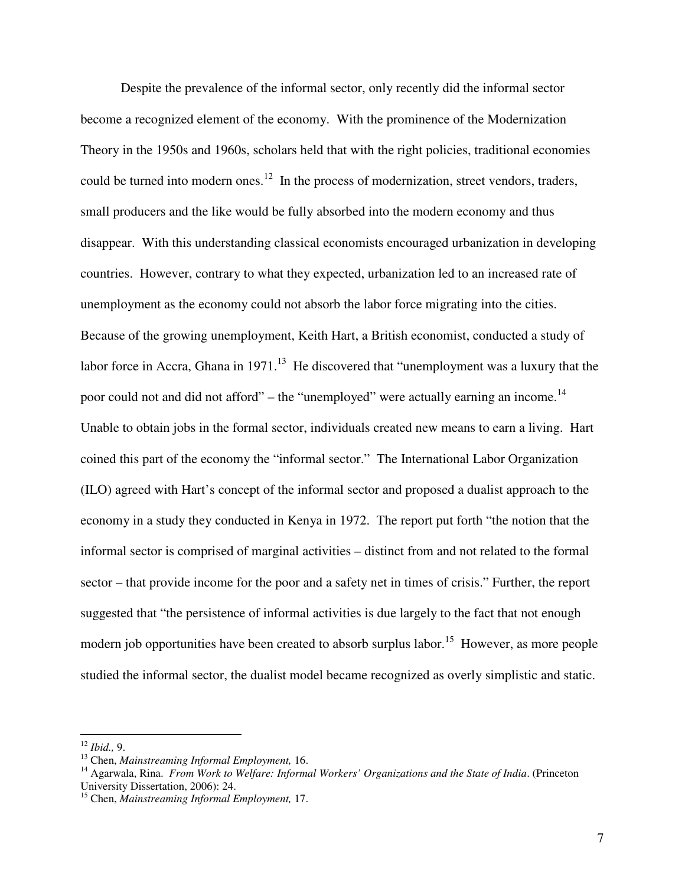Despite the prevalence of the informal sector, only recently did the informal sector become a recognized element of the economy. With the prominence of the Modernization Theory in the 1950s and 1960s, scholars held that with the right policies, traditional economies could be turned into modern ones.<sup>12</sup> In the process of modernization, street vendors, traders, small producers and the like would be fully absorbed into the modern economy and thus disappear. With this understanding classical economists encouraged urbanization in developing countries. However, contrary to what they expected, urbanization led to an increased rate of unemployment as the economy could not absorb the labor force migrating into the cities. Because of the growing unemployment, Keith Hart, a British economist, conducted a study of labor force in Accra, Ghana in  $1971$ <sup>13</sup> He discovered that "unemployment was a luxury that the poor could not and did not afford" – the "unemployed" were actually earning an income.<sup>14</sup> Unable to obtain jobs in the formal sector, individuals created new means to earn a living. Hart coined this part of the economy the "informal sector." The International Labor Organization (ILO) agreed with Hart's concept of the informal sector and proposed a dualist approach to the economy in a study they conducted in Kenya in 1972. The report put forth "the notion that the informal sector is comprised of marginal activities – distinct from and not related to the formal sector – that provide income for the poor and a safety net in times of crisis." Further, the report suggested that "the persistence of informal activities is due largely to the fact that not enough modern job opportunities have been created to absorb surplus labor.<sup>15</sup> However, as more people studied the informal sector, the dualist model became recognized as overly simplistic and static.

<sup>12</sup> *Ibid.,* 9.

<sup>13</sup> Chen, *Mainstreaming Informal Employment,* 16.

<sup>14</sup> Agarwala, Rina. *From Work to Welfare: Informal Workers' Organizations and the State of India*. (Princeton University Dissertation, 2006): 24.

<sup>15</sup> Chen, *Mainstreaming Informal Employment,* 17.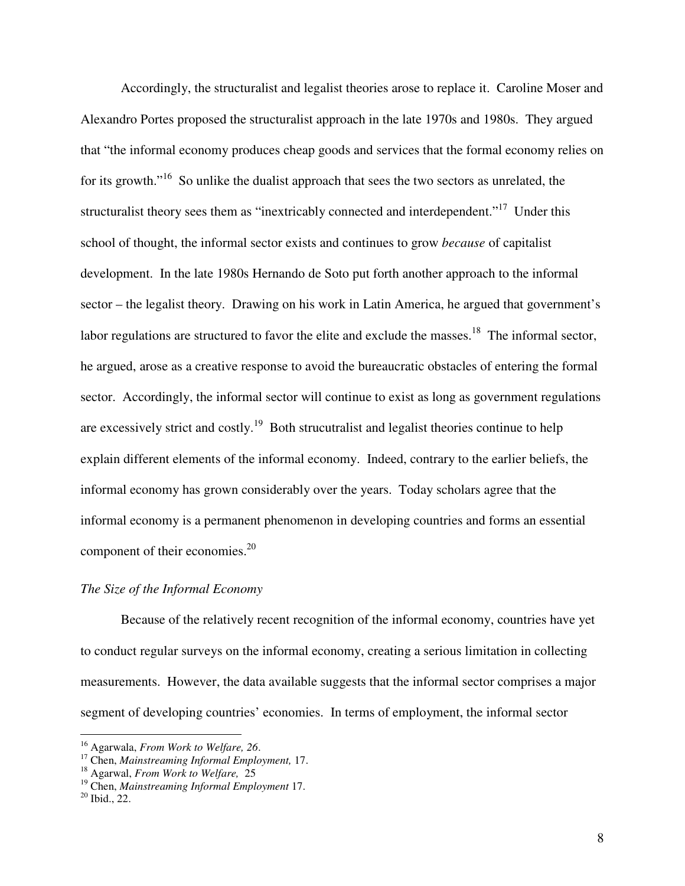Accordingly, the structuralist and legalist theories arose to replace it. Caroline Moser and Alexandro Portes proposed the structuralist approach in the late 1970s and 1980s. They argued that "the informal economy produces cheap goods and services that the formal economy relies on for its growth."<sup>16</sup> So unlike the dualist approach that sees the two sectors as unrelated, the structuralist theory sees them as "inextricably connected and interdependent."<sup>17</sup> Under this school of thought, the informal sector exists and continues to grow *because* of capitalist development. In the late 1980s Hernando de Soto put forth another approach to the informal sector – the legalist theory. Drawing on his work in Latin America, he argued that government's labor regulations are structured to favor the elite and exclude the masses.<sup>18</sup> The informal sector, he argued, arose as a creative response to avoid the bureaucratic obstacles of entering the formal sector. Accordingly, the informal sector will continue to exist as long as government regulations are excessively strict and costly.<sup>19</sup> Both strucutralist and legalist theories continue to help explain different elements of the informal economy. Indeed, contrary to the earlier beliefs, the informal economy has grown considerably over the years. Today scholars agree that the informal economy is a permanent phenomenon in developing countries and forms an essential component of their economies.<sup>20</sup>

### *The Size of the Informal Economy*

 Because of the relatively recent recognition of the informal economy, countries have yet to conduct regular surveys on the informal economy, creating a serious limitation in collecting measurements. However, the data available suggests that the informal sector comprises a major segment of developing countries' economies. In terms of employment, the informal sector

-

<sup>16</sup> Agarwala, *From Work to Welfare, 26*.

<sup>17</sup> Chen, *Mainstreaming Informal Employment,* 17.

<sup>18</sup> Agarwal, *From Work to Welfare,* 25

<sup>19</sup> Chen, *Mainstreaming Informal Employment* 17.

 $20$  Ibid., 22.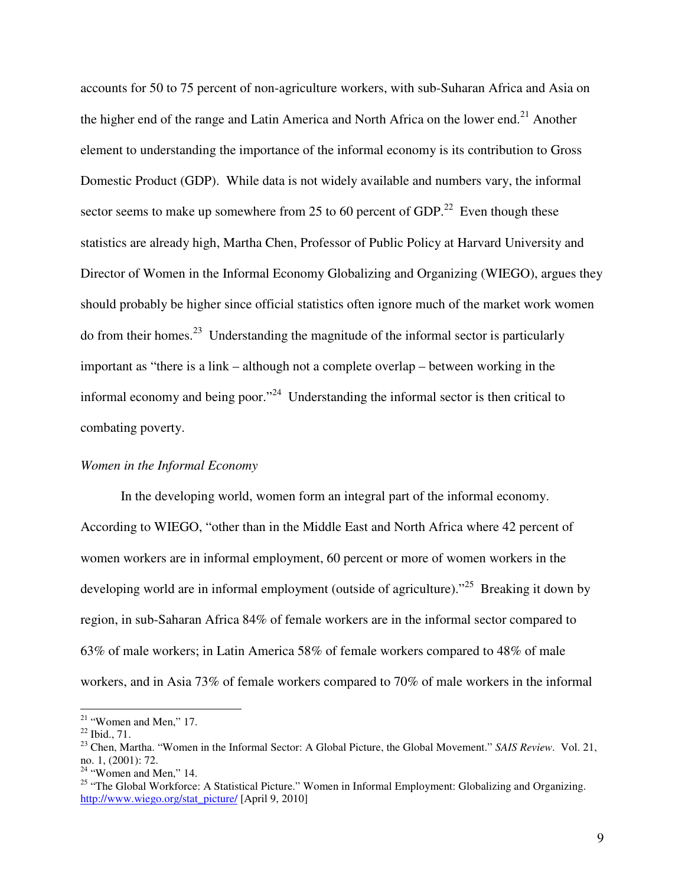accounts for 50 to 75 percent of non-agriculture workers, with sub-Suharan Africa and Asia on the higher end of the range and Latin America and North Africa on the lower end.<sup>21</sup> Another element to understanding the importance of the informal economy is its contribution to Gross Domestic Product (GDP). While data is not widely available and numbers vary, the informal sector seems to make up somewhere from 25 to 60 percent of GDP.<sup>22</sup> Even though these statistics are already high, Martha Chen, Professor of Public Policy at Harvard University and Director of Women in the Informal Economy Globalizing and Organizing (WIEGO), argues they should probably be higher since official statistics often ignore much of the market work women  $\mu$  do from their homes.<sup>23</sup> Understanding the magnitude of the informal sector is particularly important as "there is a link – although not a complete overlap – between working in the informal economy and being poor."<sup>24</sup> Understanding the informal sector is then critical to combating poverty.

### *Women in the Informal Economy*

In the developing world, women form an integral part of the informal economy. According to WIEGO, "other than in the Middle East and North Africa where 42 percent of women workers are in informal employment, 60 percent or more of women workers in the developing world are in informal employment (outside of agriculture)."<sup>25</sup> Breaking it down by region, in sub-Saharan Africa 84% of female workers are in the informal sector compared to 63% of male workers; in Latin America 58% of female workers compared to 48% of male workers, and in Asia 73% of female workers compared to 70% of male workers in the informal

 $21$  "Women and Men," 17.

<sup>22</sup> Ibid., 71.

<sup>23</sup> Chen, Martha. "Women in the Informal Sector: A Global Picture, the Global Movement." *SAIS Review*. Vol. 21, no. 1, (2001): 72.

 $24$  "Women and Men," 14.

<sup>&</sup>lt;sup>25</sup> "The Global Workforce: A Statistical Picture." Women in Informal Employment: Globalizing and Organizing. http://www.wiego.org/stat\_picture/ [April 9, 2010]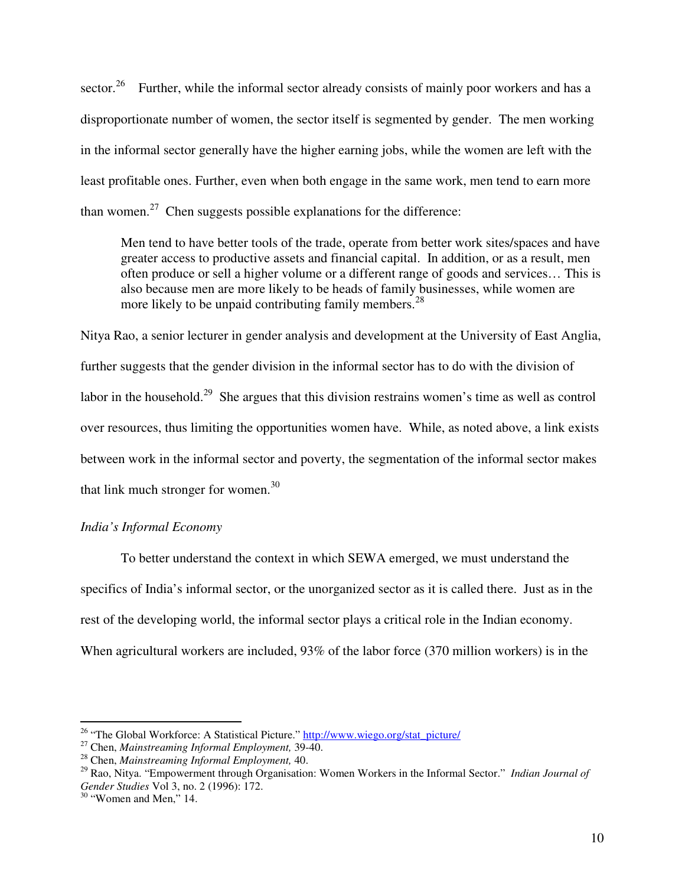sector.<sup>26</sup> Further, while the informal sector already consists of mainly poor workers and has a disproportionate number of women, the sector itself is segmented by gender. The men working in the informal sector generally have the higher earning jobs, while the women are left with the least profitable ones. Further, even when both engage in the same work, men tend to earn more than women.<sup>27</sup> Chen suggests possible explanations for the difference:

Men tend to have better tools of the trade, operate from better work sites/spaces and have greater access to productive assets and financial capital. In addition, or as a result, men often produce or sell a higher volume or a different range of goods and services… This is also because men are more likely to be heads of family businesses, while women are more likely to be unpaid contributing family members.<sup>28</sup>

Nitya Rao, a senior lecturer in gender analysis and development at the University of East Anglia, further suggests that the gender division in the informal sector has to do with the division of labor in the household.<sup>29</sup> She argues that this division restrains women's time as well as control over resources, thus limiting the opportunities women have. While, as noted above, a link exists between work in the informal sector and poverty, the segmentation of the informal sector makes that link much stronger for women.<sup>30</sup>

### *India's Informal Economy*

To better understand the context in which SEWA emerged, we must understand the specifics of India's informal sector, or the unorganized sector as it is called there. Just as in the rest of the developing world, the informal sector plays a critical role in the Indian economy. When agricultural workers are included, 93% of the labor force (370 million workers) is in the

-

<sup>&</sup>lt;sup>26</sup> "The Global Workforce: A Statistical Picture." http://www.wiego.org/stat\_picture/

<sup>27</sup> Chen, *Mainstreaming Informal Employment,* 39-40.

<sup>28</sup> Chen, *Mainstreaming Informal Employment,* 40.

<sup>29</sup> Rao, Nitya. "Empowerment through Organisation: Women Workers in the Informal Sector." *Indian Journal of Gender Studies* Vol 3, no. 2 (1996): 172.

 $30$  "Women and Men," 14.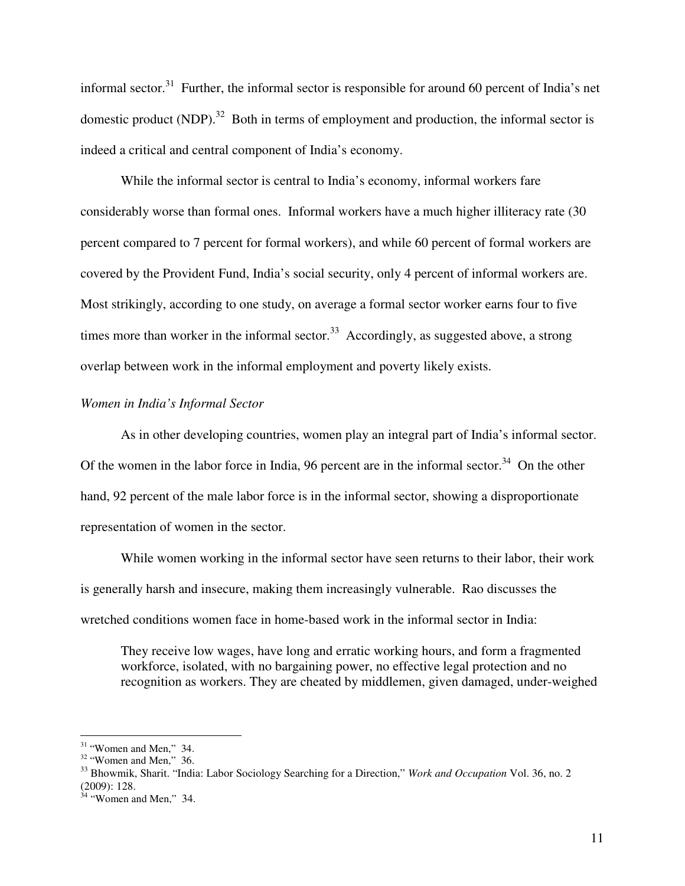informal sector.<sup>31</sup> Further, the informal sector is responsible for around 60 percent of India's net domestic product (NDP).<sup>32</sup> Both in terms of employment and production, the informal sector is indeed a critical and central component of India's economy.

While the informal sector is central to India's economy, informal workers fare considerably worse than formal ones. Informal workers have a much higher illiteracy rate (30 percent compared to 7 percent for formal workers), and while 60 percent of formal workers are covered by the Provident Fund, India's social security, only 4 percent of informal workers are. Most strikingly, according to one study, on average a formal sector worker earns four to five times more than worker in the informal sector.<sup>33</sup> Accordingly, as suggested above, a strong overlap between work in the informal employment and poverty likely exists.

### *Women in India's Informal Sector*

As in other developing countries, women play an integral part of India's informal sector. Of the women in the labor force in India, 96 percent are in the informal sector.<sup>34</sup> On the other hand, 92 percent of the male labor force is in the informal sector, showing a disproportionate representation of women in the sector.

 While women working in the informal sector have seen returns to their labor, their work is generally harsh and insecure, making them increasingly vulnerable. Rao discusses the wretched conditions women face in home-based work in the informal sector in India:

They receive low wages, have long and erratic working hours, and form a fragmented workforce, isolated, with no bargaining power, no effective legal protection and no recognition as workers. They are cheated by middlemen, given damaged, under-weighed

 $\overline{a}$ 

<sup>33</sup> Bhowmik, Sharit. "India: Labor Sociology Searching for a Direction," *Work and Occupation* Vol. 36, no. 2 (2009): 128.

 $31$  "Women and Men," 34.

 $32$  "Women and Men," 36.

 $34$  "Women and Men," 34.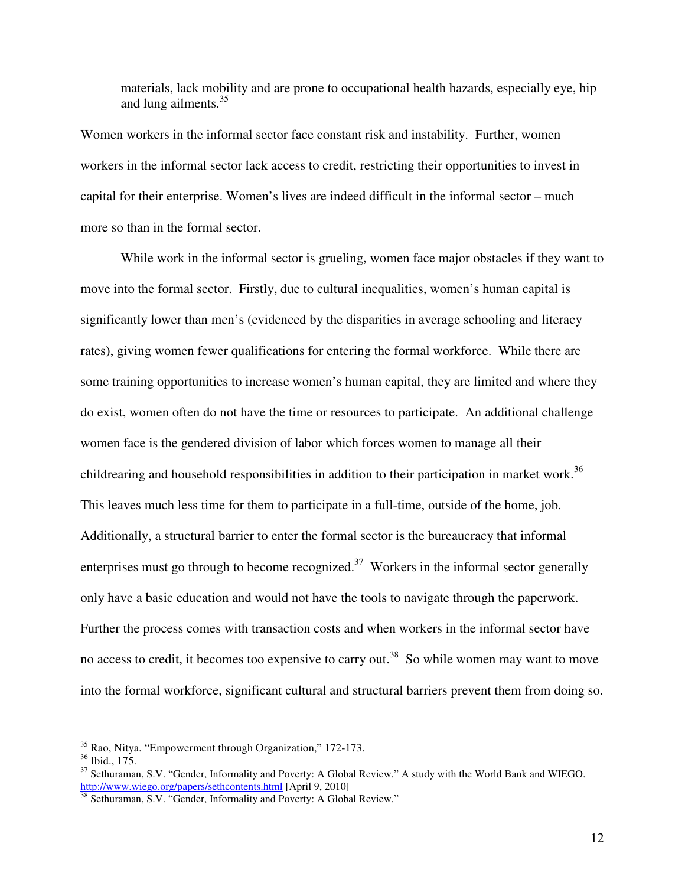materials, lack mobility and are prone to occupational health hazards, especially eye, hip and lung ailments. $35$ 

Women workers in the informal sector face constant risk and instability. Further, women workers in the informal sector lack access to credit, restricting their opportunities to invest in capital for their enterprise. Women's lives are indeed difficult in the informal sector – much more so than in the formal sector.

 While work in the informal sector is grueling, women face major obstacles if they want to move into the formal sector. Firstly, due to cultural inequalities, women's human capital is significantly lower than men's (evidenced by the disparities in average schooling and literacy rates), giving women fewer qualifications for entering the formal workforce. While there are some training opportunities to increase women's human capital, they are limited and where they do exist, women often do not have the time or resources to participate. An additional challenge women face is the gendered division of labor which forces women to manage all their childrearing and household responsibilities in addition to their participation in market work.<sup>36</sup> This leaves much less time for them to participate in a full-time, outside of the home, job. Additionally, a structural barrier to enter the formal sector is the bureaucracy that informal enterprises must go through to become recognized.<sup>37</sup> Workers in the informal sector generally only have a basic education and would not have the tools to navigate through the paperwork. Further the process comes with transaction costs and when workers in the informal sector have no access to credit, it becomes too expensive to carry out.<sup>38</sup> So while women may want to move into the formal workforce, significant cultural and structural barriers prevent them from doing so.

-

<sup>&</sup>lt;sup>35</sup> Rao, Nitya. "Empowerment through Organization," 172-173.

 $36$  Ibid., 175.

<sup>&</sup>lt;sup>37</sup> Sethuraman, S.V. "Gender, Informality and Poverty: A Global Review." A study with the World Bank and WIEGO. http://www.wiego.org/papers/sethcontents.html [April 9, 2010]

<sup>&</sup>lt;sup>38</sup> Sethuraman, S.V. "Gender, Informality and Poverty: A Global Review."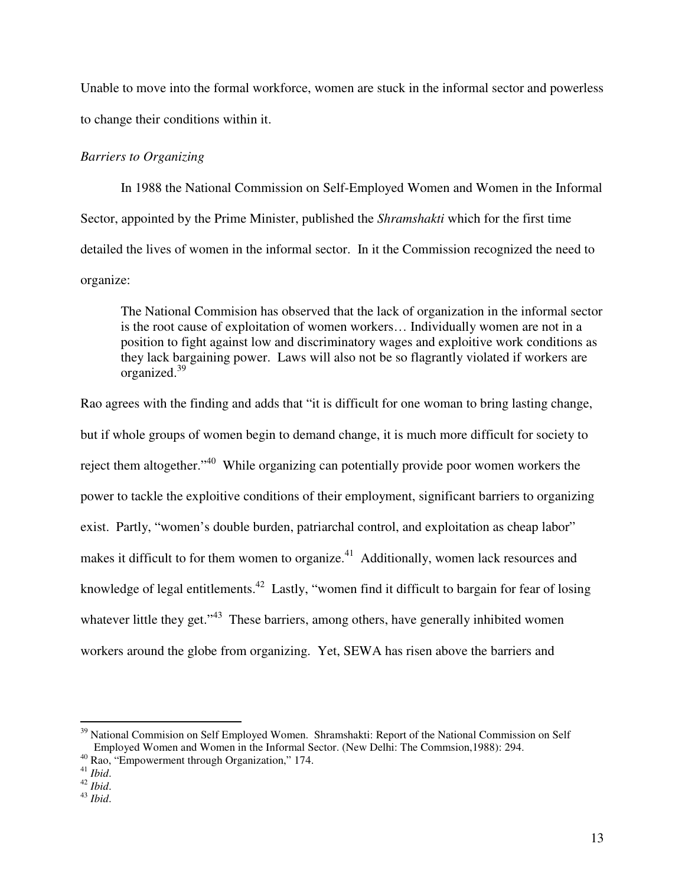Unable to move into the formal workforce, women are stuck in the informal sector and powerless to change their conditions within it.

## *Barriers to Organizing*

 In 1988 the National Commission on Self-Employed Women and Women in the Informal Sector, appointed by the Prime Minister, published the *Shramshakti* which for the first time detailed the lives of women in the informal sector. In it the Commission recognized the need to organize:

The National Commision has observed that the lack of organization in the informal sector is the root cause of exploitation of women workers… Individually women are not in a position to fight against low and discriminatory wages and exploitive work conditions as they lack bargaining power. Laws will also not be so flagrantly violated if workers are organized.<sup>39</sup>

Rao agrees with the finding and adds that "it is difficult for one woman to bring lasting change, but if whole groups of women begin to demand change, it is much more difficult for society to reject them altogether."<sup>40</sup> While organizing can potentially provide poor women workers the power to tackle the exploitive conditions of their employment, significant barriers to organizing exist. Partly, "women's double burden, patriarchal control, and exploitation as cheap labor" makes it difficult to for them women to organize.<sup>41</sup> Additionally, women lack resources and knowledge of legal entitlements.<sup>42</sup> Lastly, "women find it difficult to bargain for fear of losing whatever little they get."<sup>43</sup> These barriers, among others, have generally inhibited women workers around the globe from organizing. Yet, SEWA has risen above the barriers and

 $\overline{a}$ <sup>39</sup> National Commision on Self Employed Women. Shramshakti: Report of the National Commission on Self Employed Women and Women in the Informal Sector. (New Delhi: The Commsion,1988): 294.

<sup>40</sup> Rao, "Empowerment through Organization," 174.

<sup>41</sup> *Ibid*.

 $42$  *Ibid.* 

<sup>43</sup> *Ibid*.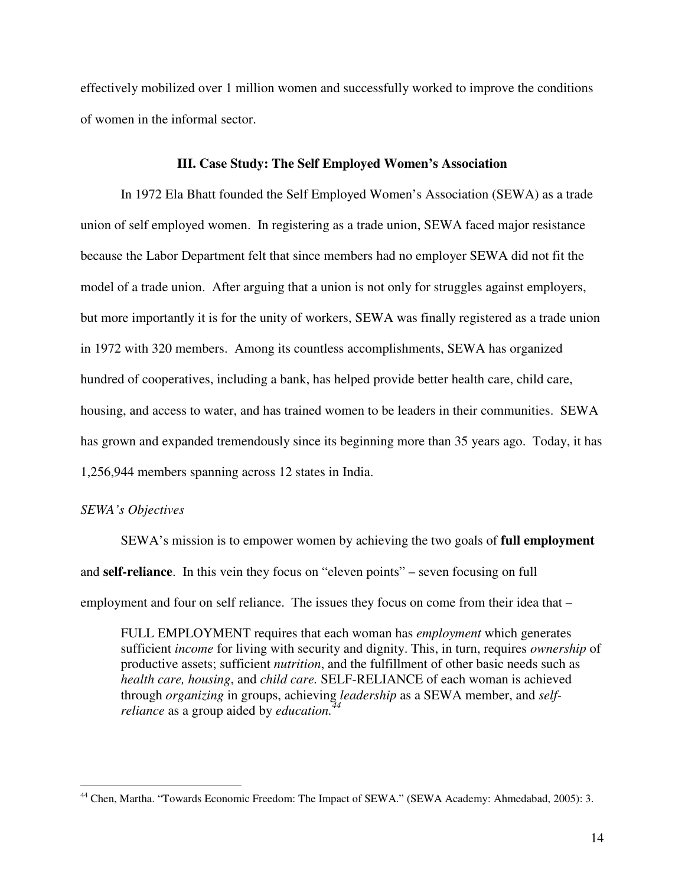effectively mobilized over 1 million women and successfully worked to improve the conditions of women in the informal sector.

### **III. Case Study: The Self Employed Women's Association**

In 1972 Ela Bhatt founded the Self Employed Women's Association (SEWA) as a trade union of self employed women. In registering as a trade union, SEWA faced major resistance because the Labor Department felt that since members had no employer SEWA did not fit the model of a trade union. After arguing that a union is not only for struggles against employers, but more importantly it is for the unity of workers, SEWA was finally registered as a trade union in 1972 with 320 members. Among its countless accomplishments, SEWA has organized hundred of cooperatives, including a bank, has helped provide better health care, child care, housing, and access to water, and has trained women to be leaders in their communities. SEWA has grown and expanded tremendously since its beginning more than 35 years ago. Today, it has 1,256,944 members spanning across 12 states in India.

### *SEWA's Objectives*

 $\overline{a}$ 

 SEWA's mission is to empower women by achieving the two goals of **full employment** and **self-reliance**. In this vein they focus on "eleven points" – seven focusing on full employment and four on self reliance. The issues they focus on come from their idea that –

FULL EMPLOYMENT requires that each woman has *employment* which generates sufficient *income* for living with security and dignity. This, in turn, requires *ownership* of productive assets; sufficient *nutrition*, and the fulfillment of other basic needs such as *health care, housing*, and *child care.* SELF-RELIANCE of each woman is achieved through *organizing* in groups, achieving *leadership* as a SEWA member, and *selfreliance* as a group aided by *education.<sup>44</sup>*

<sup>&</sup>lt;sup>44</sup> Chen, Martha. "Towards Economic Freedom: The Impact of SEWA." (SEWA Academy: Ahmedabad, 2005): 3.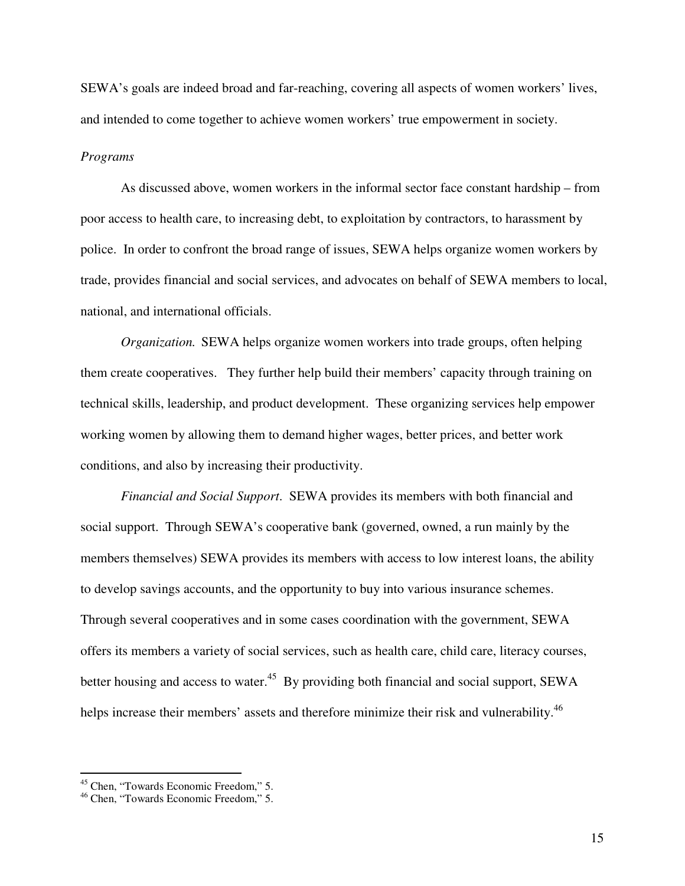SEWA's goals are indeed broad and far-reaching, covering all aspects of women workers' lives, and intended to come together to achieve women workers' true empowerment in society.

### *Programs*

 As discussed above, women workers in the informal sector face constant hardship – from poor access to health care, to increasing debt, to exploitation by contractors, to harassment by police. In order to confront the broad range of issues, SEWA helps organize women workers by trade, provides financial and social services, and advocates on behalf of SEWA members to local, national, and international officials.

*Organization.* SEWA helps organize women workers into trade groups, often helping them create cooperatives. They further help build their members' capacity through training on technical skills, leadership, and product development. These organizing services help empower working women by allowing them to demand higher wages, better prices, and better work conditions, and also by increasing their productivity.

*Financial and Social Support*. SEWA provides its members with both financial and social support. Through SEWA's cooperative bank (governed, owned, a run mainly by the members themselves) SEWA provides its members with access to low interest loans, the ability to develop savings accounts, and the opportunity to buy into various insurance schemes. Through several cooperatives and in some cases coordination with the government, SEWA offers its members a variety of social services, such as health care, child care, literacy courses, better housing and access to water.<sup>45</sup> By providing both financial and social support, SEWA helps increase their members' assets and therefore minimize their risk and vulnerability.<sup>46</sup>

<sup>&</sup>lt;sup>45</sup> Chen, "Towards Economic Freedom," 5.

<sup>46</sup> Chen, "Towards Economic Freedom," 5.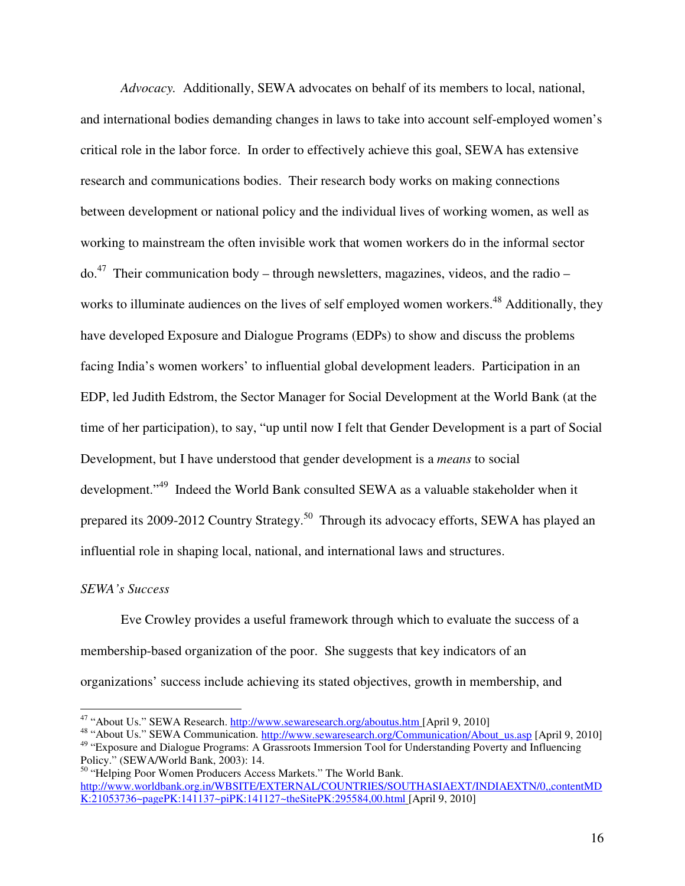*Advocacy.* Additionally, SEWA advocates on behalf of its members to local, national, and international bodies demanding changes in laws to take into account self-employed women's critical role in the labor force. In order to effectively achieve this goal, SEWA has extensive research and communications bodies. Their research body works on making connections between development or national policy and the individual lives of working women, as well as working to mainstream the often invisible work that women workers do in the informal sector  $\mu$ <sup>47</sup> Their communication body – through newsletters, magazines, videos, and the radio – works to illuminate audiences on the lives of self employed women workers.<sup>48</sup> Additionally, they have developed Exposure and Dialogue Programs (EDPs) to show and discuss the problems facing India's women workers' to influential global development leaders. Participation in an EDP, led Judith Edstrom, the Sector Manager for Social Development at the World Bank (at the time of her participation), to say, "up until now I felt that Gender Development is a part of Social Development, but I have understood that gender development is a *means* to social development."<sup>49</sup> Indeed the World Bank consulted SEWA as a valuable stakeholder when it prepared its 2009-2012 Country Strategy.<sup>50</sup> Through its advocacy efforts, SEWA has played an influential role in shaping local, national, and international laws and structures.

### *SEWA's Success*

 $\overline{a}$ 

 Eve Crowley provides a useful framework through which to evaluate the success of a membership-based organization of the poor. She suggests that key indicators of an organizations' success include achieving its stated objectives, growth in membership, and

<sup>&</sup>lt;sup>47</sup> "About Us." SEWA Research. http://www.sewaresearch.org/aboutus.htm [April 9, 2010]

<sup>48</sup> "About Us." SEWA Communication. http://www.sewaresearch.org/Communication/About\_us.asp [April 9, 2010] <sup>49</sup> "Exposure and Dialogue Programs: A Grassroots Immersion Tool for Understanding Poverty and Influencing Policy." (SEWA/World Bank, 2003): 14.

<sup>&</sup>lt;sup>50</sup> "Helping Poor Women Producers Access Markets." The World Bank. http://www.worldbank.org.in/WBSITE/EXTERNAL/COUNTRIES/SOUTHASIAEXT/INDIAEXTN/0,,contentMD K:21053736~pagePK:141137~piPK:141127~theSitePK:295584,00.html [April 9, 2010]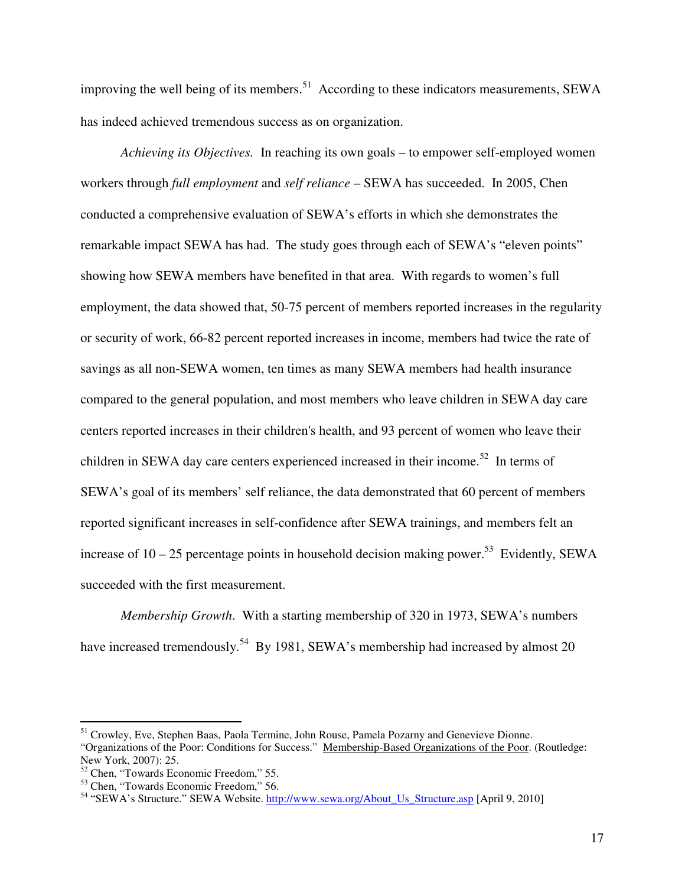improving the well being of its members.<sup>51</sup> According to these indicators measurements, SEWA has indeed achieved tremendous success as on organization.

*Achieving its Objectives.* In reaching its own goals – to empower self-employed women workers through *full employment* and *self reliance* – SEWA has succeeded. In 2005, Chen conducted a comprehensive evaluation of SEWA's efforts in which she demonstrates the remarkable impact SEWA has had. The study goes through each of SEWA's "eleven points" showing how SEWA members have benefited in that area. With regards to women's full employment, the data showed that, 50-75 percent of members reported increases in the regularity or security of work, 66-82 percent reported increases in income, members had twice the rate of savings as all non-SEWA women, ten times as many SEWA members had health insurance compared to the general population, and most members who leave children in SEWA day care centers reported increases in their children's health, and 93 percent of women who leave their children in SEWA day care centers experienced increased in their income.<sup>52</sup> In terms of SEWA's goal of its members' self reliance, the data demonstrated that 60 percent of members reported significant increases in self-confidence after SEWA trainings, and members felt an increase of  $10 - 25$  percentage points in household decision making power.<sup>53</sup> Evidently, SEWA succeeded with the first measurement.

*Membership Growth*. With a starting membership of 320 in 1973, SEWA's numbers have increased tremendously.<sup>54</sup> By 1981, SEWA's membership had increased by almost 20

-

<sup>&</sup>lt;sup>51</sup> Crowley, Eve, Stephen Baas, Paola Termine, John Rouse, Pamela Pozarny and Genevieve Dionne. "Organizations of the Poor: Conditions for Success." Membership-Based Organizations of the Poor. (Routledge: New York, 2007): 25.

<sup>52</sup> Chen, "Towards Economic Freedom," 55.

<sup>53</sup> Chen, "Towards Economic Freedom," 56.

<sup>&</sup>lt;sup>54</sup> "SEWA's Structure." SEWA Website. http://www.sewa.org/About\_Us\_Structure.asp [April 9, 2010]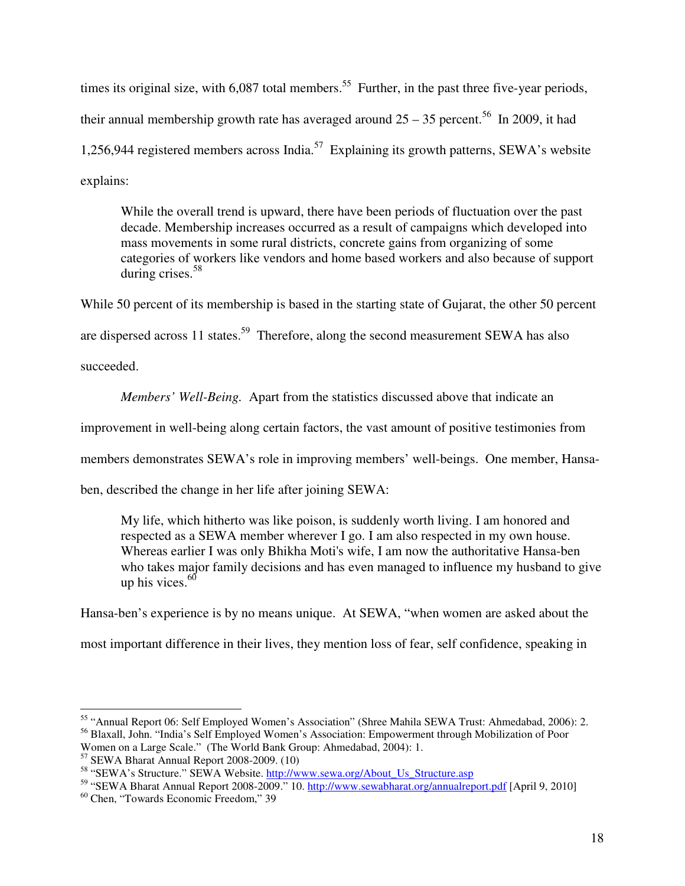times its original size, with  $6,087$  total members.<sup>55</sup> Further, in the past three five-year periods, their annual membership growth rate has averaged around  $25 - 35$  percent.<sup>56</sup> In 2009, it had 1,256,944 registered members across India.<sup>57</sup> Explaining its growth patterns, SEWA's website explains:

While the overall trend is upward, there have been periods of fluctuation over the past decade. Membership increases occurred as a result of campaigns which developed into mass movements in some rural districts, concrete gains from organizing of some categories of workers like vendors and home based workers and also because of support during crises.<sup>58</sup>

While 50 percent of its membership is based in the starting state of Gujarat, the other 50 percent are dispersed across 11 states.<sup>59</sup> Therefore, along the second measurement SEWA has also succeeded.

*Members' Well-Being.* Apart from the statistics discussed above that indicate an

improvement in well-being along certain factors, the vast amount of positive testimonies from

members demonstrates SEWA's role in improving members' well-beings. One member, Hansa-

ben, described the change in her life after joining SEWA:

My life, which hitherto was like poison, is suddenly worth living. I am honored and respected as a SEWA member wherever I go. I am also respected in my own house. Whereas earlier I was only Bhikha Moti's wife, I am now the authoritative Hansa-ben who takes major family decisions and has even managed to influence my husband to give up his vices. $60$ 

Hansa-ben's experience is by no means unique. At SEWA, "when women are asked about the

most important difference in their lives, they mention loss of fear, self confidence, speaking in

 $\overline{a}$ <sup>55</sup> "Annual Report 06: Self Employed Women's Association" (Shree Mahila SEWA Trust: Ahmedabad, 2006): 2. <sup>56</sup> Blaxall, John. "India's Self Employed Women's Association: Empowerment through Mobilization of Poor Women on a Large Scale." (The World Bank Group: Ahmedabad, 2004): 1.

<sup>57</sup> SEWA Bharat Annual Report 2008-2009. (10)

<sup>&</sup>lt;sup>58</sup> "SEWA's Structure." SEWA Website. http://www.sewa.org/About\_Us\_Structure.asp

<sup>59</sup> "SEWA Bharat Annual Report 2008-2009." 10. http://www.sewabharat.org/annualreport.pdf [April 9, 2010]

<sup>60</sup> Chen, "Towards Economic Freedom," 39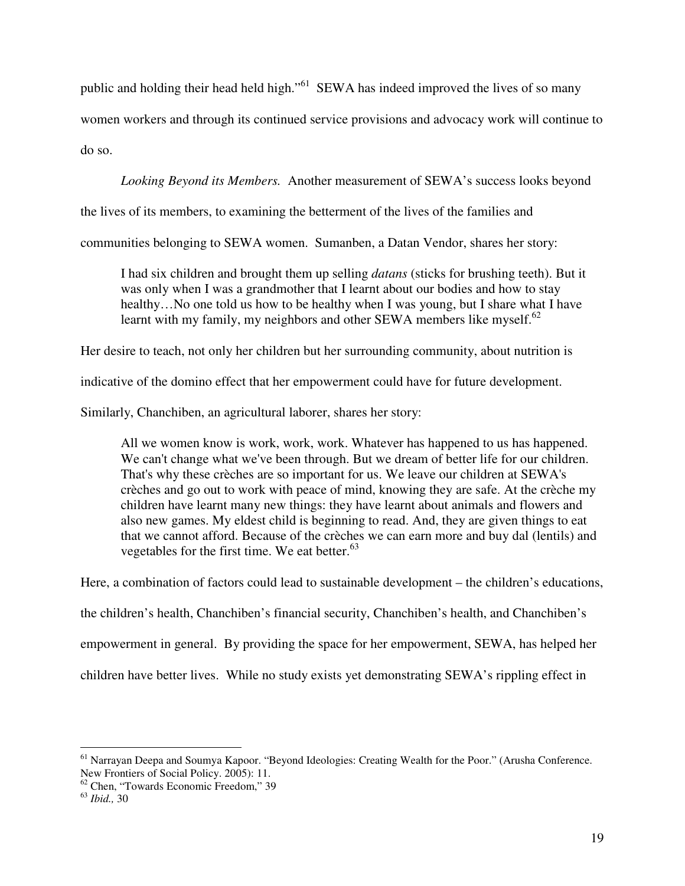public and holding their head held high."<sup>61</sup> SEWA has indeed improved the lives of so many

women workers and through its continued service provisions and advocacy work will continue to

do so.

*Looking Beyond its Members.* Another measurement of SEWA's success looks beyond

the lives of its members, to examining the betterment of the lives of the families and

communities belonging to SEWA women. Sumanben, a Datan Vendor, shares her story:

I had six children and brought them up selling *datans* (sticks for brushing teeth). But it was only when I was a grandmother that I learnt about our bodies and how to stay healthy…No one told us how to be healthy when I was young, but I share what I have learnt with my family, my neighbors and other SEWA members like myself.<sup>62</sup>

Her desire to teach, not only her children but her surrounding community, about nutrition is

indicative of the domino effect that her empowerment could have for future development.

Similarly, Chanchiben, an agricultural laborer, shares her story:

All we women know is work, work, work. Whatever has happened to us has happened. We can't change what we've been through. But we dream of better life for our children. That's why these crèches are so important for us. We leave our children at SEWA's crèches and go out to work with peace of mind, knowing they are safe. At the crèche my children have learnt many new things: they have learnt about animals and flowers and also new games. My eldest child is beginning to read. And, they are given things to eat that we cannot afford. Because of the crèches we can earn more and buy dal (lentils) and vegetables for the first time. We eat better.<sup>63</sup>

Here, a combination of factors could lead to sustainable development – the children's educations,

the children's health, Chanchiben's financial security, Chanchiben's health, and Chanchiben's

empowerment in general. By providing the space for her empowerment, SEWA, has helped her

children have better lives. While no study exists yet demonstrating SEWA's rippling effect in

<sup>&</sup>lt;sup>61</sup> Narrayan Deepa and Soumya Kapoor. "Beyond Ideologies: Creating Wealth for the Poor." (Arusha Conference. New Frontiers of Social Policy. 2005): 11.

<sup>62</sup> Chen, "Towards Economic Freedom," 39

<sup>63</sup> *Ibid.,* 30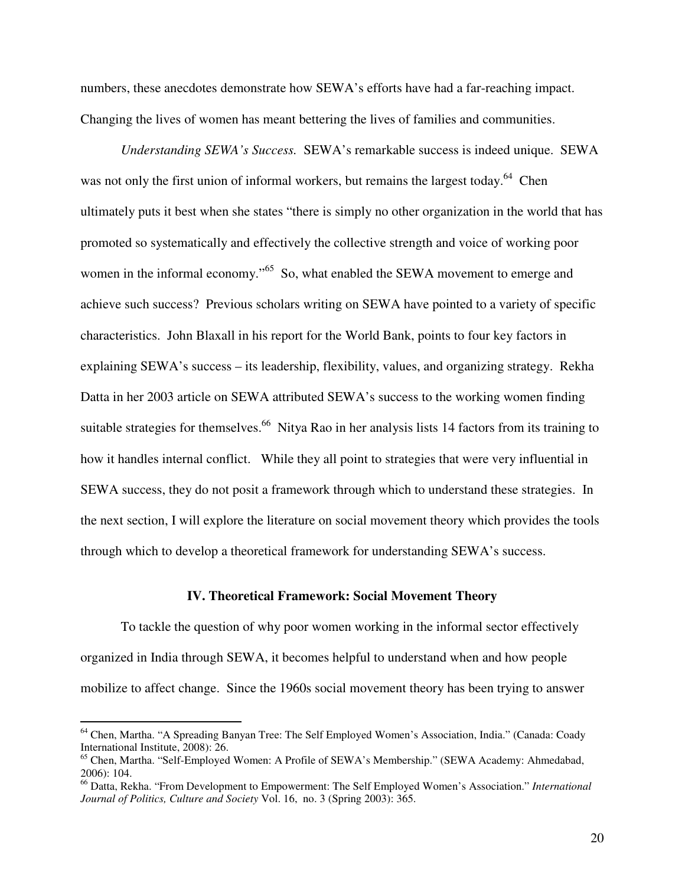numbers, these anecdotes demonstrate how SEWA's efforts have had a far-reaching impact. Changing the lives of women has meant bettering the lives of families and communities.

*Understanding SEWA's Success.* SEWA's remarkable success is indeed unique. SEWA was not only the first union of informal workers, but remains the largest today.<sup>64</sup> Chen ultimately puts it best when she states "there is simply no other organization in the world that has promoted so systematically and effectively the collective strength and voice of working poor women in the informal economy."<sup>65</sup> So, what enabled the SEWA movement to emerge and achieve such success? Previous scholars writing on SEWA have pointed to a variety of specific characteristics. John Blaxall in his report for the World Bank, points to four key factors in explaining SEWA's success – its leadership, flexibility, values, and organizing strategy. Rekha Datta in her 2003 article on SEWA attributed SEWA's success to the working women finding suitable strategies for themselves.<sup>66</sup> Nitya Rao in her analysis lists 14 factors from its training to how it handles internal conflict. While they all point to strategies that were very influential in SEWA success, they do not posit a framework through which to understand these strategies. In the next section, I will explore the literature on social movement theory which provides the tools through which to develop a theoretical framework for understanding SEWA's success.

### **IV. Theoretical Framework: Social Movement Theory**

To tackle the question of why poor women working in the informal sector effectively organized in India through SEWA, it becomes helpful to understand when and how people mobilize to affect change. Since the 1960s social movement theory has been trying to answer

<sup>&</sup>lt;sup>64</sup> Chen, Martha. "A Spreading Banyan Tree: The Self Employed Women's Association, India." (Canada: Coady International Institute, 2008): 26.

<sup>65</sup> Chen, Martha. "Self-Employed Women: A Profile of SEWA's Membership." (SEWA Academy: Ahmedabad, 2006): 104.

<sup>66</sup> Datta, Rekha. "From Development to Empowerment: The Self Employed Women's Association." *International Journal of Politics, Culture and Society* Vol. 16, no. 3 (Spring 2003): 365.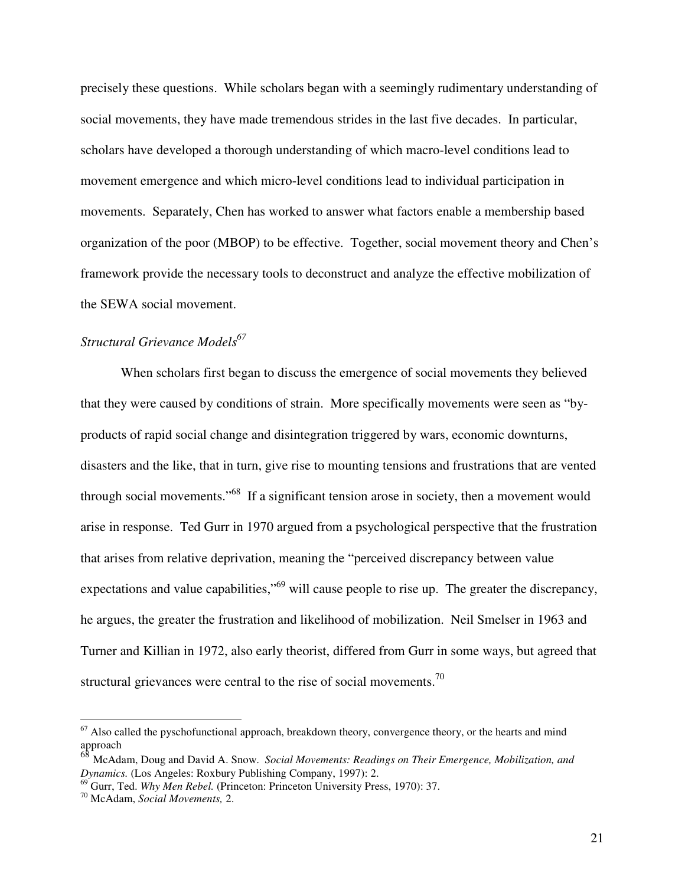precisely these questions. While scholars began with a seemingly rudimentary understanding of social movements, they have made tremendous strides in the last five decades. In particular, scholars have developed a thorough understanding of which macro-level conditions lead to movement emergence and which micro-level conditions lead to individual participation in movements. Separately, Chen has worked to answer what factors enable a membership based organization of the poor (MBOP) to be effective. Together, social movement theory and Chen's framework provide the necessary tools to deconstruct and analyze the effective mobilization of the SEWA social movement.

# *Structural Grievance Models<sup>67</sup>*

 When scholars first began to discuss the emergence of social movements they believed that they were caused by conditions of strain. More specifically movements were seen as "byproducts of rapid social change and disintegration triggered by wars, economic downturns, disasters and the like, that in turn, give rise to mounting tensions and frustrations that are vented through social movements."<sup>68</sup> If a significant tension arose in society, then a movement would arise in response. Ted Gurr in 1970 argued from a psychological perspective that the frustration that arises from relative deprivation, meaning the "perceived discrepancy between value expectations and value capabilities,"<sup>69</sup> will cause people to rise up. The greater the discrepancy, he argues, the greater the frustration and likelihood of mobilization. Neil Smelser in 1963 and Turner and Killian in 1972, also early theorist, differed from Gurr in some ways, but agreed that structural grievances were central to the rise of social movements.<sup>70</sup>

 $67$  Also called the pyschofunctional approach, breakdown theory, convergence theory, or the hearts and mind approach

<sup>68</sup> McAdam, Doug and David A. Snow. *Social Movements: Readings on Their Emergence, Mobilization, and Dynamics.* (Los Angeles: Roxbury Publishing Company, 1997): 2.

<sup>69</sup> Gurr, Ted. *Why Men Rebel.* (Princeton: Princeton University Press, 1970): 37.

<sup>70</sup> McAdam, *Social Movements,* 2.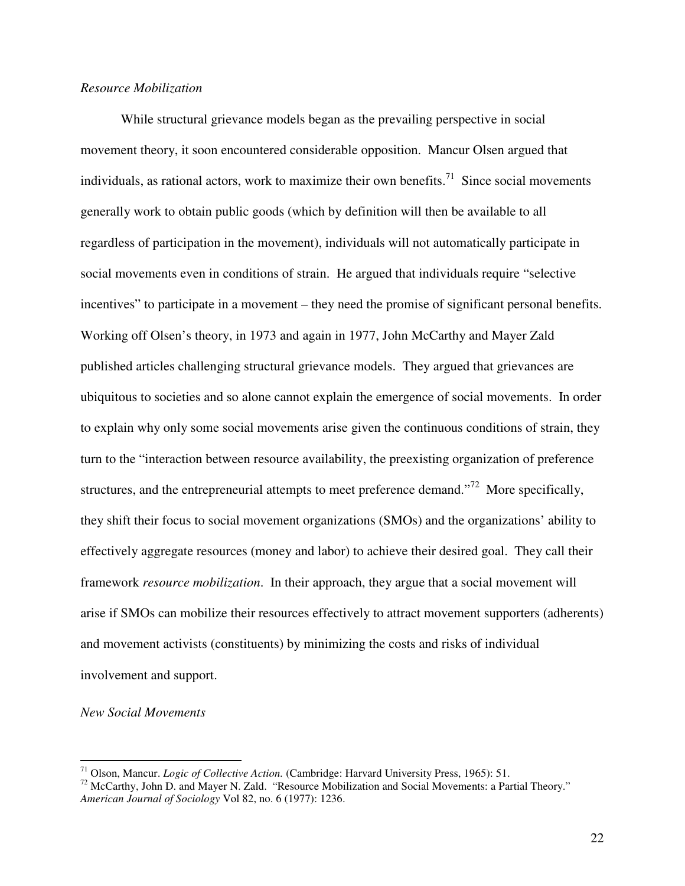### *Resource Mobilization*

 While structural grievance models began as the prevailing perspective in social movement theory, it soon encountered considerable opposition. Mancur Olsen argued that individuals, as rational actors, work to maximize their own benefits.<sup>71</sup> Since social movements generally work to obtain public goods (which by definition will then be available to all regardless of participation in the movement), individuals will not automatically participate in social movements even in conditions of strain. He argued that individuals require "selective incentives" to participate in a movement – they need the promise of significant personal benefits. Working off Olsen's theory, in 1973 and again in 1977, John McCarthy and Mayer Zald published articles challenging structural grievance models. They argued that grievances are ubiquitous to societies and so alone cannot explain the emergence of social movements. In order to explain why only some social movements arise given the continuous conditions of strain, they turn to the "interaction between resource availability, the preexisting organization of preference structures, and the entrepreneurial attempts to meet preference demand."<sup>72</sup> More specifically, they shift their focus to social movement organizations (SMOs) and the organizations' ability to effectively aggregate resources (money and labor) to achieve their desired goal. They call their framework *resource mobilization*. In their approach, they argue that a social movement will arise if SMOs can mobilize their resources effectively to attract movement supporters (adherents) and movement activists (constituents) by minimizing the costs and risks of individual involvement and support.

### *New Social Movements*

<u>.</u>

<sup>71</sup> Olson, Mancur. *Logic of Collective Action.* (Cambridge: Harvard University Press, 1965): 51.

<sup>72</sup> McCarthy, John D. and Mayer N. Zald. "Resource Mobilization and Social Movements: a Partial Theory." *American Journal of Sociology* Vol 82, no. 6 (1977): 1236.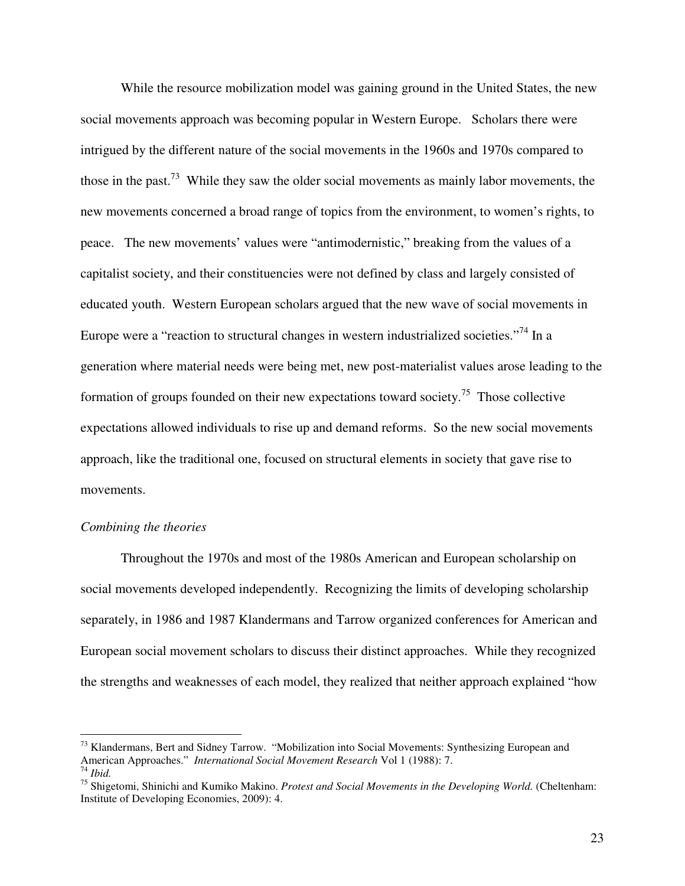While the resource mobilization model was gaining ground in the United States, the new social movements approach was becoming popular in Western Europe. Scholars there were intrigued by the different nature of the social movements in the 1960s and 1970s compared to those in the past.<sup>73</sup> While they saw the older social movements as mainly labor movements, the new movements concerned a broad range of topics from the environment, to women's rights, to peace. The new movements' values were "antimodernistic," breaking from the values of a capitalist society, and their constituencies were not defined by class and largely consisted of educated youth. Western European scholars argued that the new wave of social movements in Europe were a "reaction to structural changes in western industrialized societies."<sup>74</sup> In a generation where material needs were being met, new post-materialist values arose leading to the formation of groups founded on their new expectations toward society.<sup>75</sup> Those collective expectations allowed individuals to rise up and demand reforms. So the new social movements approach, like the traditional one, focused on structural elements in society that gave rise to movements.

### *Combining the theories*

 $\overline{a}$ 

 Throughout the 1970s and most of the 1980s American and European scholarship on social movements developed independently. Recognizing the limits of developing scholarship separately, in 1986 and 1987 Klandermans and Tarrow organized conferences for American and European social movement scholars to discuss their distinct approaches. While they recognized the strengths and weaknesses of each model, they realized that neither approach explained "how

<sup>&</sup>lt;sup>73</sup> Klandermans, Bert and Sidney Tarrow. "Mobilization into Social Movements: Synthesizing European and American Approaches." *International Social Movement Research* Vol 1 (1988): 7. <sup>74</sup> *Ibid.*

<sup>75</sup> Shigetomi, Shinichi and Kumiko Makino. *Protest and Social Movements in the Developing World.* (Cheltenham: Institute of Developing Economies, 2009): 4.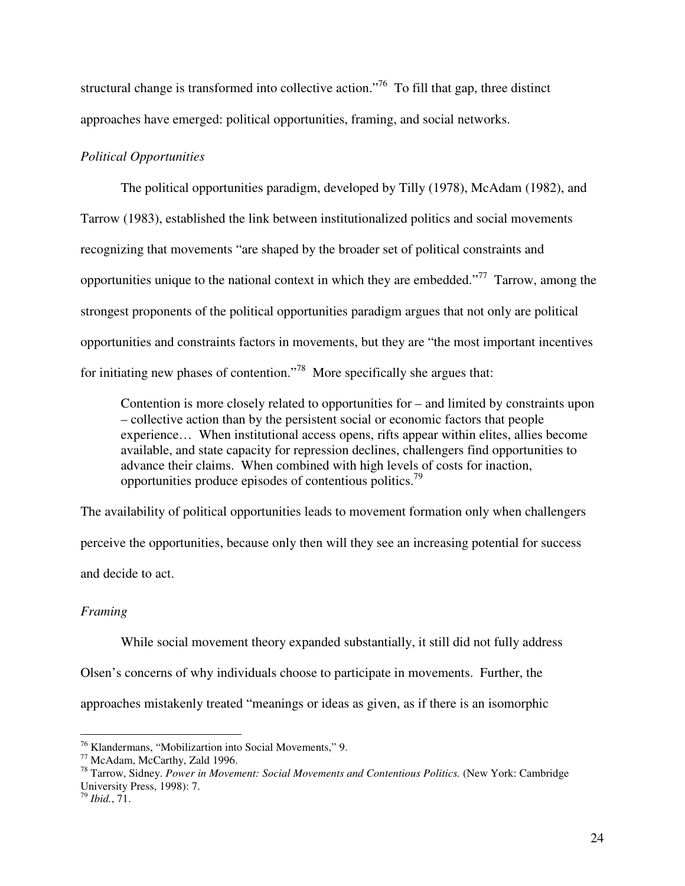structural change is transformed into collective action.<sup> $76$ </sup> To fill that gap, three distinct approaches have emerged: political opportunities, framing, and social networks.

# *Political Opportunities*

 The political opportunities paradigm, developed by Tilly (1978), McAdam (1982), and Tarrow (1983), established the link between institutionalized politics and social movements recognizing that movements "are shaped by the broader set of political constraints and opportunities unique to the national context in which they are embedded."<sup>77</sup> Tarrow, among the strongest proponents of the political opportunities paradigm argues that not only are political opportunities and constraints factors in movements, but they are "the most important incentives for initiating new phases of contention."<sup>78</sup> More specifically she argues that:

Contention is more closely related to opportunities for – and limited by constraints upon – collective action than by the persistent social or economic factors that people experience… When institutional access opens, rifts appear within elites, allies become available, and state capacity for repression declines, challengers find opportunities to advance their claims. When combined with high levels of costs for inaction, opportunities produce episodes of contentious politics.<sup>79</sup>

The availability of political opportunities leads to movement formation only when challengers perceive the opportunities, because only then will they see an increasing potential for success and decide to act.

# *Framing*

 While social movement theory expanded substantially, it still did not fully address Olsen's concerns of why individuals choose to participate in movements. Further, the approaches mistakenly treated "meanings or ideas as given, as if there is an isomorphic

<sup>&</sup>lt;sup>76</sup> Klandermans, "Mobilizartion into Social Movements," 9.

<sup>77</sup> McAdam, McCarthy, Zald 1996.

<sup>78</sup> Tarrow, Sidney. *Power in Movement: Social Movements and Contentious Politics.* (New York: Cambridge University Press, 1998): 7.

<sup>79</sup> *Ibid.*, 71.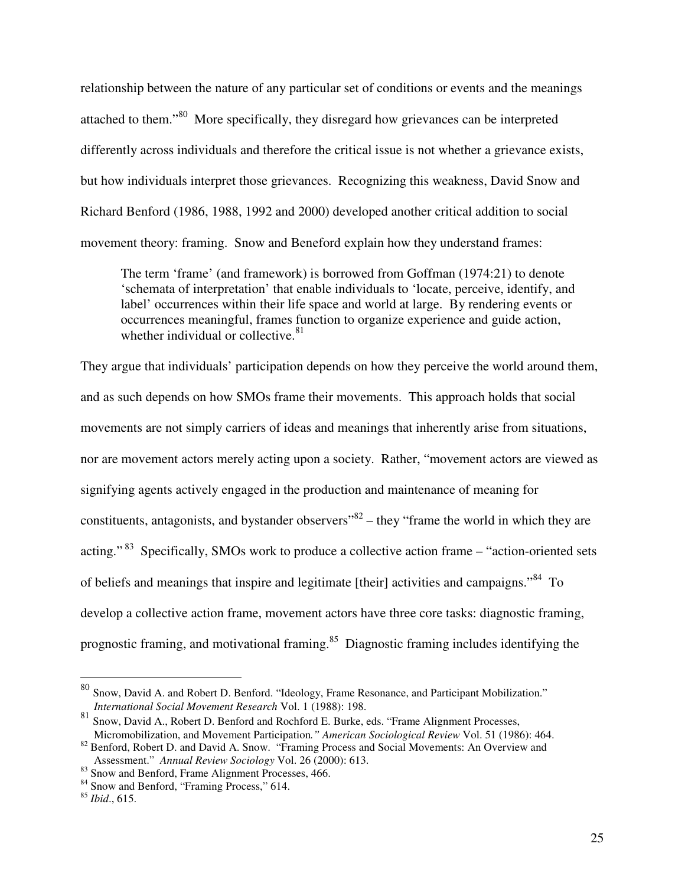relationship between the nature of any particular set of conditions or events and the meanings attached to them."<sup>80</sup> More specifically, they disregard how grievances can be interpreted differently across individuals and therefore the critical issue is not whether a grievance exists, but how individuals interpret those grievances. Recognizing this weakness, David Snow and Richard Benford (1986, 1988, 1992 and 2000) developed another critical addition to social movement theory: framing. Snow and Beneford explain how they understand frames:

The term 'frame' (and framework) is borrowed from Goffman (1974:21) to denote 'schemata of interpretation' that enable individuals to 'locate, perceive, identify, and label' occurrences within their life space and world at large. By rendering events or occurrences meaningful, frames function to organize experience and guide action, whether individual or collective. $81$ 

They argue that individuals' participation depends on how they perceive the world around them, and as such depends on how SMOs frame their movements. This approach holds that social movements are not simply carriers of ideas and meanings that inherently arise from situations, nor are movement actors merely acting upon a society. Rather, "movement actors are viewed as signifying agents actively engaged in the production and maintenance of meaning for constituents, antagonists, and bystander observers $"^{82}$  – they "frame the world in which they are acting."<sup>83</sup> Specifically, SMOs work to produce a collective action frame – "action-oriented sets of beliefs and meanings that inspire and legitimate [their] activities and campaigns."<sup>84</sup> To develop a collective action frame, movement actors have three core tasks: diagnostic framing, prognostic framing, and motivational framing.<sup>85</sup> Diagnostic framing includes identifying the

 $80$  Snow, David A. and Robert D. Benford. "Ideology, Frame Resonance, and Participant Mobilization." *International Social Movement Research* Vol. 1 (1988): 198.

<sup>81</sup> Snow, David A., Robert D. Benford and Rochford E. Burke, eds. "Frame Alignment Processes, Micromobilization, and Movement Participation*." American Sociological Review* Vol. 51 (1986): 464.

<sup>&</sup>lt;sup>82</sup> Benford, Robert D. and David A. Snow. "Framing Process and Social Movements: An Overview and Assessment." *Annual Review Sociology* Vol. 26 (2000): 613.

<sup>&</sup>lt;sup>83</sup> Snow and Benford, Frame Alignment Processes, 466.

<sup>&</sup>lt;sup>84</sup> Snow and Benford, "Framing Process," 614.

<sup>85</sup> *Ibid*., 615.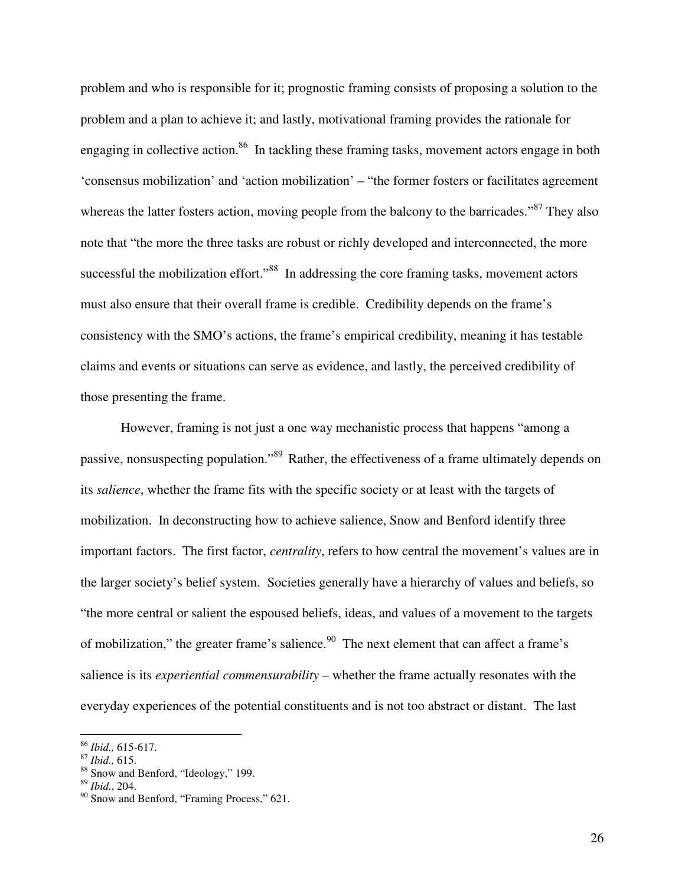problem and who is responsible for it; prognostic framing consists of proposing a solution to the problem and a plan to achieve it; and lastly, motivational framing provides the rationale for engaging in collective action.<sup>86</sup> In tackling these framing tasks, movement actors engage in both 'consensus mobilization' and 'action mobilization' – "the former fosters or facilitates agreement whereas the latter fosters action, moving people from the balcony to the barricades."<sup>87</sup> They also note that "the more the three tasks are robust or richly developed and interconnected, the more successful the mobilization effort."<sup>88</sup> In addressing the core framing tasks, movement actors must also ensure that their overall frame is credible. Credibility depends on the frame's consistency with the SMO's actions, the frame's empirical credibility, meaning it has testable claims and events or situations can serve as evidence, and lastly, the perceived credibility of those presenting the frame.

However, framing is not just a one way mechanistic process that happens "among a passive, nonsuspecting population."<sup>89</sup> Rather, the effectiveness of a frame ultimately depends on its *salience*, whether the frame fits with the specific society or at least with the targets of mobilization. In deconstructing how to achieve salience, Snow and Benford identify three important factors. The first factor, *centrality*, refers to how central the movement's values are in the larger society's belief system. Societies generally have a hierarchy of values and beliefs, so "the more central or salient the espoused beliefs, ideas, and values of a movement to the targets of mobilization," the greater frame's salience.<sup>90</sup> The next element that can affect a frame's salience is its *experiential commensurability* – whether the frame actually resonates with the everyday experiences of the potential constituents and is not too abstract or distant. The last

-

<sup>86</sup> *Ibid.,* 615-617.

<sup>87</sup> *Ibid.,* 615.

<sup>88</sup> Snow and Benford, "Ideology," 199.

<sup>89</sup> *Ibid.*, 204.

<sup>&</sup>lt;sup>90</sup> Snow and Benford, "Framing Process," 621.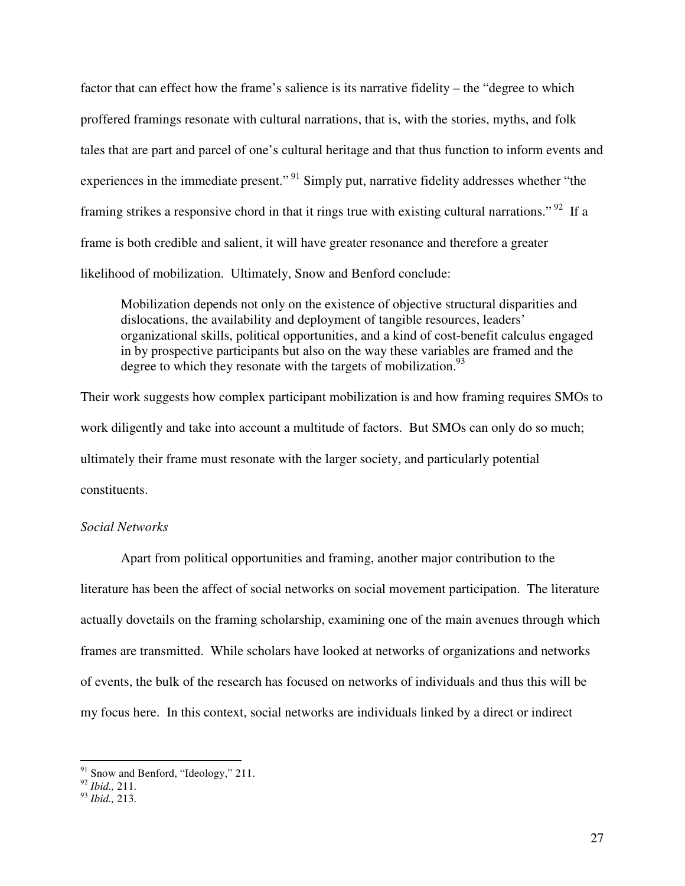factor that can effect how the frame's salience is its narrative fidelity – the "degree to which proffered framings resonate with cultural narrations, that is, with the stories, myths, and folk tales that are part and parcel of one's cultural heritage and that thus function to inform events and experiences in the immediate present."<sup>91</sup> Simply put, narrative fidelity addresses whether "the framing strikes a responsive chord in that it rings true with existing cultural narrations."<sup>92</sup> If a frame is both credible and salient, it will have greater resonance and therefore a greater likelihood of mobilization. Ultimately, Snow and Benford conclude:

Mobilization depends not only on the existence of objective structural disparities and dislocations, the availability and deployment of tangible resources, leaders' organizational skills, political opportunities, and a kind of cost-benefit calculus engaged in by prospective participants but also on the way these variables are framed and the degree to which they resonate with the targets of mobilization.<sup>93</sup>

Their work suggests how complex participant mobilization is and how framing requires SMOs to work diligently and take into account a multitude of factors. But SMOs can only do so much; ultimately their frame must resonate with the larger society, and particularly potential constituents.

### *Social Networks*

 Apart from political opportunities and framing, another major contribution to the literature has been the affect of social networks on social movement participation. The literature actually dovetails on the framing scholarship, examining one of the main avenues through which frames are transmitted. While scholars have looked at networks of organizations and networks of events, the bulk of the research has focused on networks of individuals and thus this will be my focus here. In this context, social networks are individuals linked by a direct or indirect

<u>.</u>

 $91$  Snow and Benford, "Ideology," 211.

<sup>92</sup> *Ibid.,* 211.

<sup>93</sup> *Ibid.,* 213.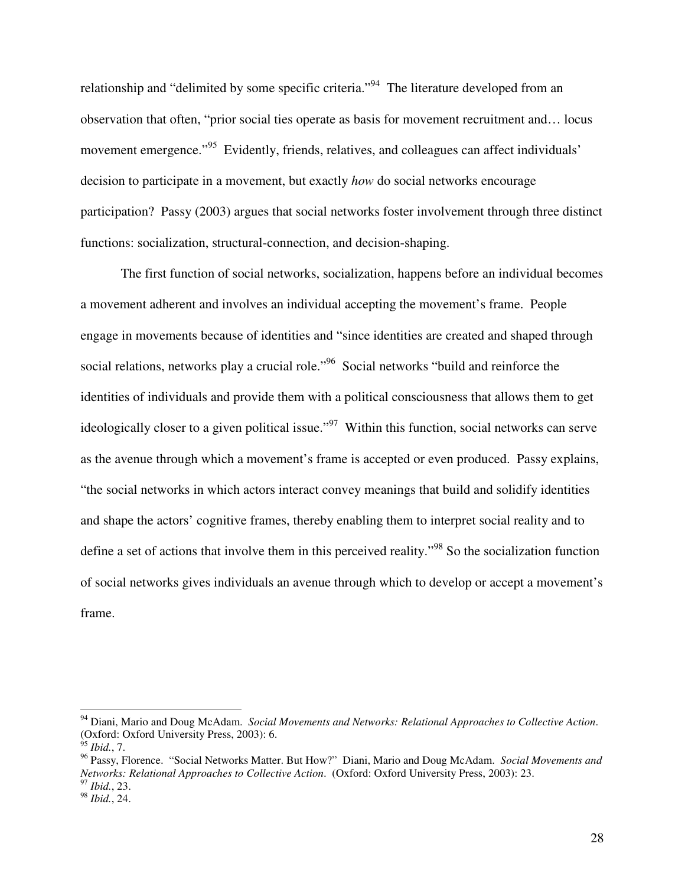relationship and "delimited by some specific criteria."<sup>94</sup> The literature developed from an observation that often, "prior social ties operate as basis for movement recruitment and… locus movement emergence."<sup>95</sup> Evidently, friends, relatives, and colleagues can affect individuals' decision to participate in a movement, but exactly *how* do social networks encourage participation? Passy (2003) argues that social networks foster involvement through three distinct functions: socialization, structural-connection, and decision-shaping.

 The first function of social networks, socialization, happens before an individual becomes a movement adherent and involves an individual accepting the movement's frame. People engage in movements because of identities and "since identities are created and shaped through social relations, networks play a crucial role."<sup>96</sup> Social networks "build and reinforce the identities of individuals and provide them with a political consciousness that allows them to get ideologically closer to a given political issue."<sup>97</sup> Within this function, social networks can serve as the avenue through which a movement's frame is accepted or even produced. Passy explains, "the social networks in which actors interact convey meanings that build and solidify identities and shape the actors' cognitive frames, thereby enabling them to interpret social reality and to define a set of actions that involve them in this perceived reality."<sup>98</sup> So the socialization function of social networks gives individuals an avenue through which to develop or accept a movement's frame.

<sup>94</sup> Diani, Mario and Doug McAdam. *Social Movements and Networks: Relational Approaches to Collective Action*. (Oxford: Oxford University Press, 2003): 6.

<sup>95</sup> *Ibid.*, 7.

<sup>96</sup> Passy, Florence. "Social Networks Matter. But How?" Diani, Mario and Doug McAdam. *Social Movements and Networks: Relational Approaches to Collective Action*. (Oxford: Oxford University Press, 2003): 23.

<sup>97</sup> *Ibid.*, 23.

<sup>98</sup> *Ibid.*, 24.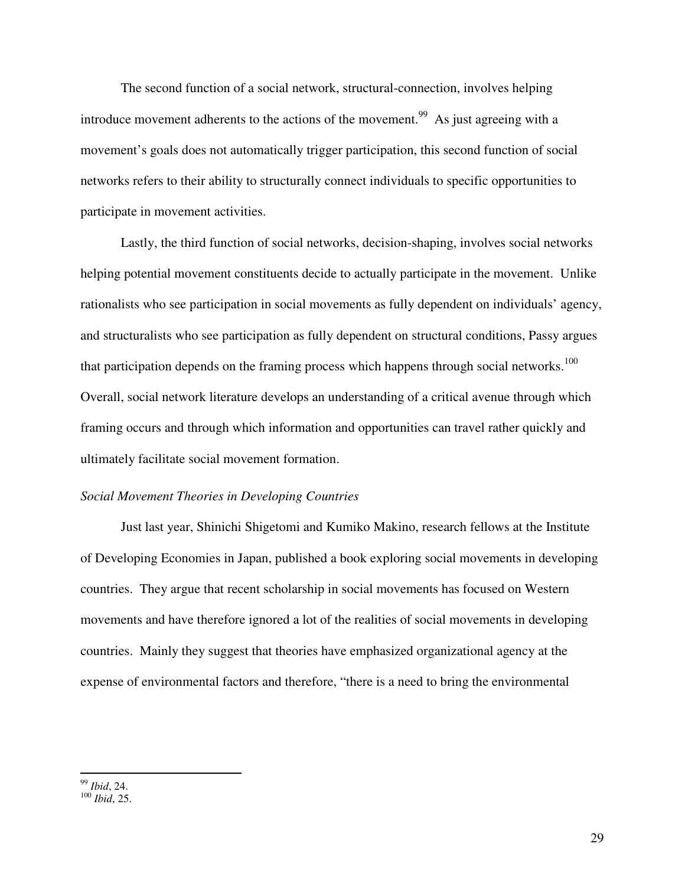The second function of a social network, structural-connection, involves helping introduce movement adherents to the actions of the movement.<sup>99</sup> As just agreeing with a movement's goals does not automatically trigger participation, this second function of social networks refers to their ability to structurally connect individuals to specific opportunities to participate in movement activities.

Lastly, the third function of social networks, decision-shaping, involves social networks helping potential movement constituents decide to actually participate in the movement. Unlike rationalists who see participation in social movements as fully dependent on individuals' agency, and structuralists who see participation as fully dependent on structural conditions, Passy argues that participation depends on the framing process which happens through social networks.<sup>100</sup> Overall, social network literature develops an understanding of a critical avenue through which framing occurs and through which information and opportunities can travel rather quickly and ultimately facilitate social movement formation.

### *Social Movement Theories in Developing Countries*

 Just last year, Shinichi Shigetomi and Kumiko Makino, research fellows at the Institute of Developing Economies in Japan, published a book exploring social movements in developing countries. They argue that recent scholarship in social movements has focused on Western movements and have therefore ignored a lot of the realities of social movements in developing countries. Mainly they suggest that theories have emphasized organizational agency at the expense of environmental factors and therefore, "there is a need to bring the environmental

 $\overline{a}$ <sup>99</sup> *Ibid*, 24.

<sup>100</sup> *Ibid*, 25.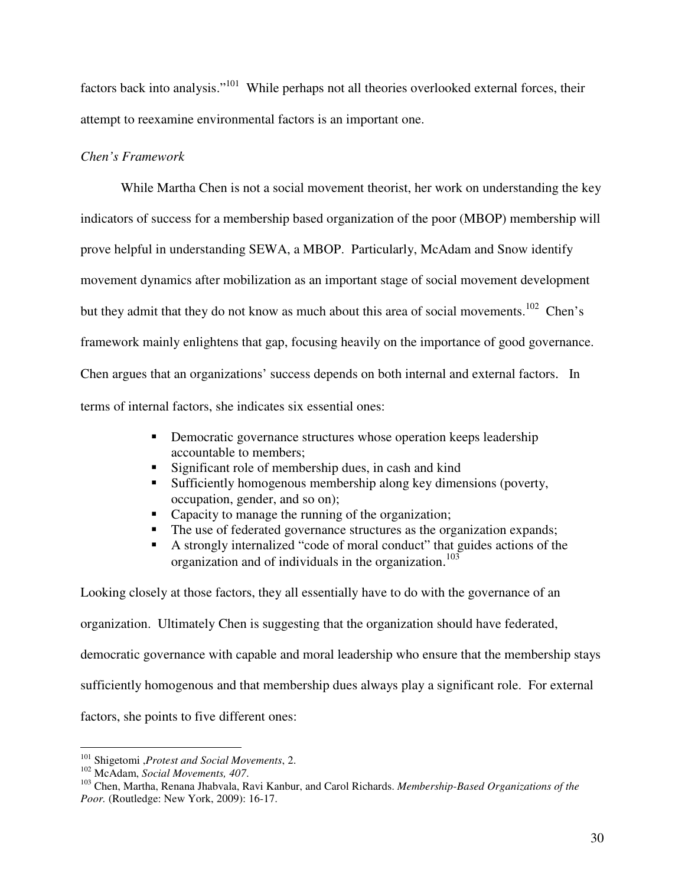factors back into analysis."<sup>101</sup> While perhaps not all theories overlooked external forces, their attempt to reexamine environmental factors is an important one.

# *Chen's Framework*

 While Martha Chen is not a social movement theorist, her work on understanding the key indicators of success for a membership based organization of the poor (MBOP) membership will prove helpful in understanding SEWA, a MBOP. Particularly, McAdam and Snow identify movement dynamics after mobilization as an important stage of social movement development but they admit that they do not know as much about this area of social movements.<sup>102</sup> Chen's framework mainly enlightens that gap, focusing heavily on the importance of good governance. Chen argues that an organizations' success depends on both internal and external factors. In terms of internal factors, she indicates six essential ones:

- Democratic governance structures whose operation keeps leadership accountable to members;
- Significant role of membership dues, in cash and kind
- Sufficiently homogenous membership along key dimensions (poverty, occupation, gender, and so on);
- Capacity to manage the running of the organization;
- The use of federated governance structures as the organization expands;
- A strongly internalized "code of moral conduct" that guides actions of the organization and of individuals in the organization. 103

Looking closely at those factors, they all essentially have to do with the governance of an organization. Ultimately Chen is suggesting that the organization should have federated, democratic governance with capable and moral leadership who ensure that the membership stays sufficiently homogenous and that membership dues always play a significant role. For external factors, she points to five different ones:

 $\overline{a}$ <sup>101</sup> Shigetomi ,*Protest and Social Movements*, 2.

<sup>102</sup> McAdam, *Social Movements, 407*.

<sup>103</sup> Chen, Martha, Renana Jhabvala, Ravi Kanbur, and Carol Richards. *Membership-Based Organizations of the Poor.* (Routledge: New York, 2009): 16-17.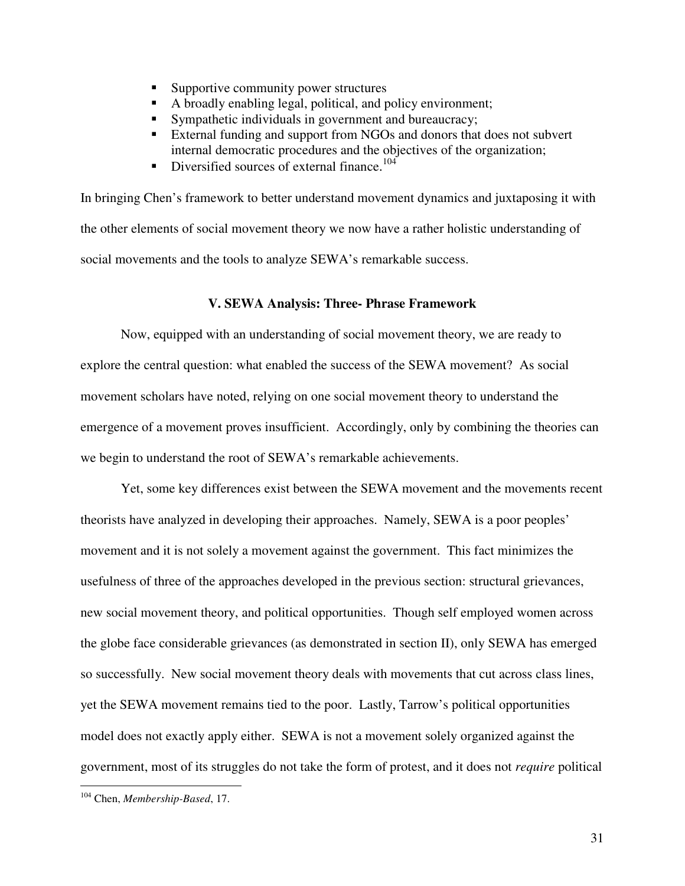- Supportive community power structures
- A broadly enabling legal, political, and policy environment;
- Sympathetic individuals in government and bureaucracy;
- External funding and support from NGOs and donors that does not subvert internal democratic procedures and the objectives of the organization;
- Diversified sources of external finance.<sup>104</sup>

In bringing Chen's framework to better understand movement dynamics and juxtaposing it with the other elements of social movement theory we now have a rather holistic understanding of social movements and the tools to analyze SEWA's remarkable success.

### **V. SEWA Analysis: Three- Phrase Framework**

 Now, equipped with an understanding of social movement theory, we are ready to explore the central question: what enabled the success of the SEWA movement? As social movement scholars have noted, relying on one social movement theory to understand the emergence of a movement proves insufficient. Accordingly, only by combining the theories can we begin to understand the root of SEWA's remarkable achievements.

Yet, some key differences exist between the SEWA movement and the movements recent theorists have analyzed in developing their approaches. Namely, SEWA is a poor peoples' movement and it is not solely a movement against the government. This fact minimizes the usefulness of three of the approaches developed in the previous section: structural grievances, new social movement theory, and political opportunities. Though self employed women across the globe face considerable grievances (as demonstrated in section II), only SEWA has emerged so successfully. New social movement theory deals with movements that cut across class lines, yet the SEWA movement remains tied to the poor. Lastly, Tarrow's political opportunities model does not exactly apply either. SEWA is not a movement solely organized against the government, most of its struggles do not take the form of protest, and it does not *require* political

<sup>104</sup> Chen, *Membership-Based*, 17.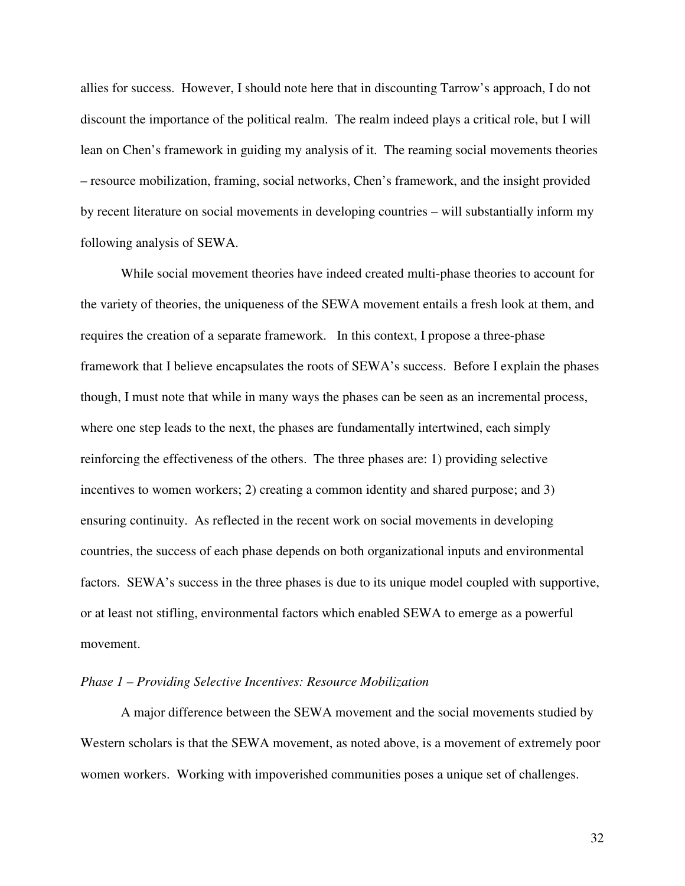allies for success. However, I should note here that in discounting Tarrow's approach, I do not discount the importance of the political realm. The realm indeed plays a critical role, but I will lean on Chen's framework in guiding my analysis of it. The reaming social movements theories – resource mobilization, framing, social networks, Chen's framework, and the insight provided by recent literature on social movements in developing countries – will substantially inform my following analysis of SEWA.

While social movement theories have indeed created multi-phase theories to account for the variety of theories, the uniqueness of the SEWA movement entails a fresh look at them, and requires the creation of a separate framework. In this context, I propose a three-phase framework that I believe encapsulates the roots of SEWA's success. Before I explain the phases though, I must note that while in many ways the phases can be seen as an incremental process, where one step leads to the next, the phases are fundamentally intertwined, each simply reinforcing the effectiveness of the others. The three phases are: 1) providing selective incentives to women workers; 2) creating a common identity and shared purpose; and 3) ensuring continuity. As reflected in the recent work on social movements in developing countries, the success of each phase depends on both organizational inputs and environmental factors. SEWA's success in the three phases is due to its unique model coupled with supportive, or at least not stifling, environmental factors which enabled SEWA to emerge as a powerful movement.

### *Phase 1 – Providing Selective Incentives: Resource Mobilization*

 A major difference between the SEWA movement and the social movements studied by Western scholars is that the SEWA movement, as noted above, is a movement of extremely poor women workers. Working with impoverished communities poses a unique set of challenges.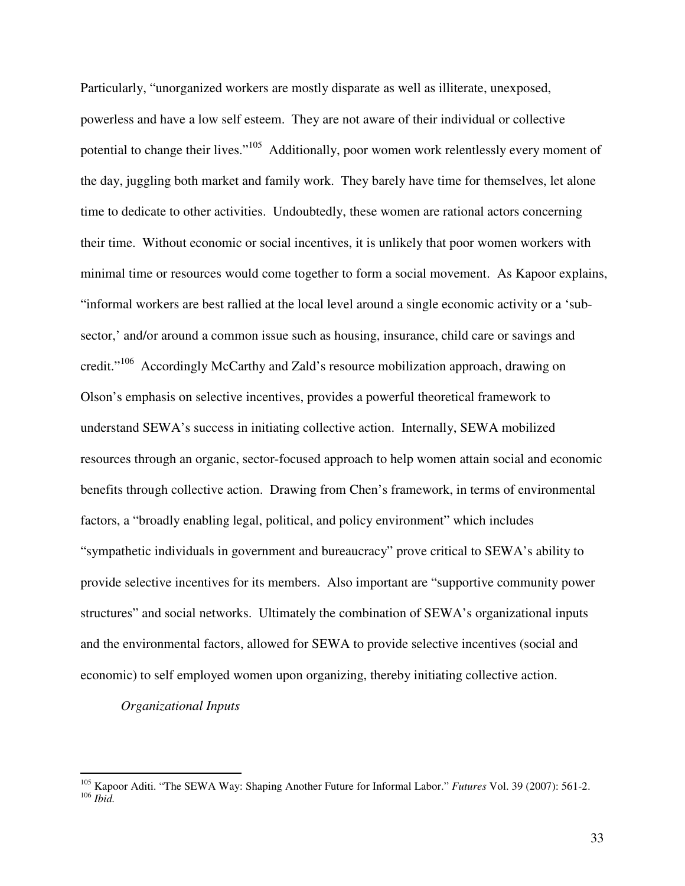Particularly, "unorganized workers are mostly disparate as well as illiterate, unexposed, powerless and have a low self esteem. They are not aware of their individual or collective potential to change their lives."<sup>105</sup> Additionally, poor women work relentlessly every moment of the day, juggling both market and family work. They barely have time for themselves, let alone time to dedicate to other activities. Undoubtedly, these women are rational actors concerning their time. Without economic or social incentives, it is unlikely that poor women workers with minimal time or resources would come together to form a social movement. As Kapoor explains, "informal workers are best rallied at the local level around a single economic activity or a 'subsector,' and/or around a common issue such as housing, insurance, child care or savings and credit."<sup>106</sup> Accordingly McCarthy and Zald's resource mobilization approach, drawing on Olson's emphasis on selective incentives, provides a powerful theoretical framework to understand SEWA's success in initiating collective action. Internally, SEWA mobilized resources through an organic, sector-focused approach to help women attain social and economic benefits through collective action. Drawing from Chen's framework, in terms of environmental factors, a "broadly enabling legal, political, and policy environment" which includes "sympathetic individuals in government and bureaucracy" prove critical to SEWA's ability to provide selective incentives for its members. Also important are "supportive community power structures" and social networks. Ultimately the combination of SEWA's organizational inputs and the environmental factors, allowed for SEWA to provide selective incentives (social and economic) to self employed women upon organizing, thereby initiating collective action.

### *Organizational Inputs*

<sup>105</sup> Kapoor Aditi. "The SEWA Way: Shaping Another Future for Informal Labor." *Futures* Vol. 39 (2007): 561-2. <sup>106</sup> *Ibid.*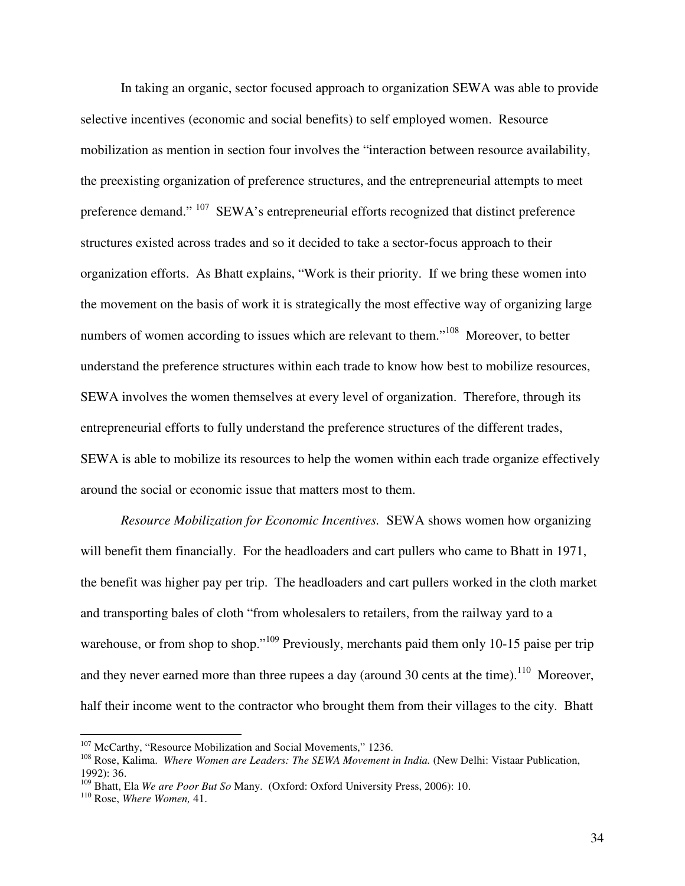In taking an organic, sector focused approach to organization SEWA was able to provide selective incentives (economic and social benefits) to self employed women. Resource mobilization as mention in section four involves the "interaction between resource availability, the preexisting organization of preference structures, and the entrepreneurial attempts to meet preference demand." <sup>107</sup> SEWA's entrepreneurial efforts recognized that distinct preference structures existed across trades and so it decided to take a sector-focus approach to their organization efforts. As Bhatt explains, "Work is their priority. If we bring these women into the movement on the basis of work it is strategically the most effective way of organizing large numbers of women according to issues which are relevant to them."<sup>108</sup> Moreover, to better understand the preference structures within each trade to know how best to mobilize resources, SEWA involves the women themselves at every level of organization. Therefore, through its entrepreneurial efforts to fully understand the preference structures of the different trades, SEWA is able to mobilize its resources to help the women within each trade organize effectively around the social or economic issue that matters most to them.

 *Resource Mobilization for Economic Incentives.* SEWA shows women how organizing will benefit them financially. For the headloaders and cart pullers who came to Bhatt in 1971, the benefit was higher pay per trip. The headloaders and cart pullers worked in the cloth market and transporting bales of cloth "from wholesalers to retailers, from the railway yard to a warehouse, or from shop to shop."<sup>109</sup> Previously, merchants paid them only 10-15 paise per trip and they never earned more than three rupees a day (around 30 cents at the time).<sup>110</sup> Moreover, half their income went to the contractor who brought them from their villages to the city. Bhatt

-

<sup>&</sup>lt;sup>107</sup> McCarthy, "Resource Mobilization and Social Movements," 1236.

<sup>&</sup>lt;sup>108</sup> Rose, Kalima. *Where Women are Leaders: The SEWA Movement in India*. (New Delhi: Vistaar Publication, 1992): 36.

<sup>109</sup> Bhatt, Ela *We are Poor But So* Many. (Oxford: Oxford University Press, 2006): 10.

<sup>110</sup> Rose, *Where Women,* 41.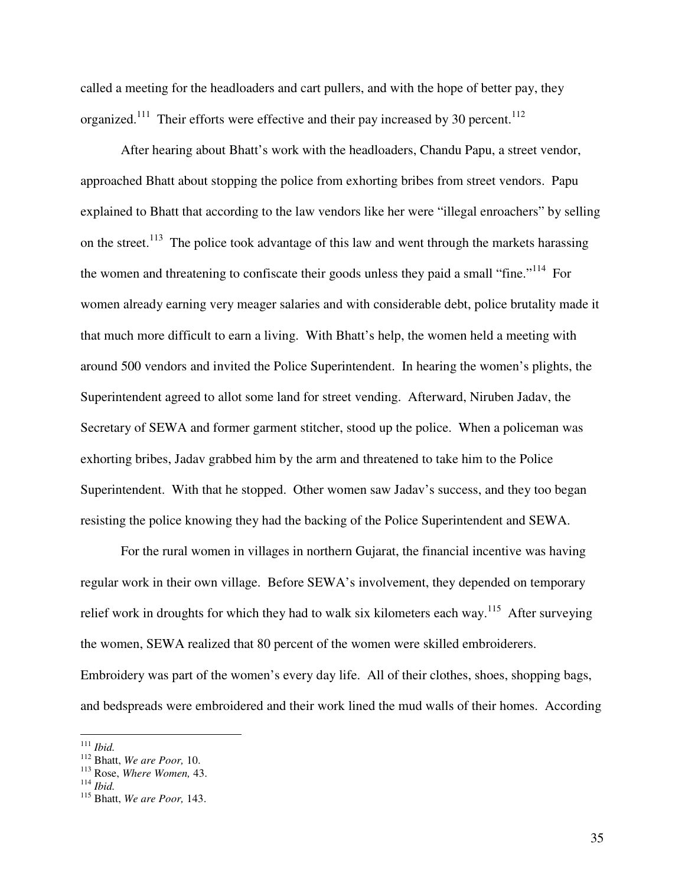called a meeting for the headloaders and cart pullers, and with the hope of better pay, they organized.<sup>111</sup> Their efforts were effective and their pay increased by 30 percent.<sup>112</sup>

 After hearing about Bhatt's work with the headloaders, Chandu Papu, a street vendor, approached Bhatt about stopping the police from exhorting bribes from street vendors. Papu explained to Bhatt that according to the law vendors like her were "illegal enroachers" by selling on the street.<sup>113</sup> The police took advantage of this law and went through the markets harassing the women and threatening to confiscate their goods unless they paid a small "fine."<sup>114</sup> For women already earning very meager salaries and with considerable debt, police brutality made it that much more difficult to earn a living. With Bhatt's help, the women held a meeting with around 500 vendors and invited the Police Superintendent. In hearing the women's plights, the Superintendent agreed to allot some land for street vending. Afterward, Niruben Jadav, the Secretary of SEWA and former garment stitcher, stood up the police. When a policeman was exhorting bribes, Jadav grabbed him by the arm and threatened to take him to the Police Superintendent. With that he stopped. Other women saw Jadav's success, and they too began resisting the police knowing they had the backing of the Police Superintendent and SEWA.

 For the rural women in villages in northern Gujarat, the financial incentive was having regular work in their own village. Before SEWA's involvement, they depended on temporary relief work in droughts for which they had to walk six kilometers each way.<sup>115</sup> After surveying the women, SEWA realized that 80 percent of the women were skilled embroiderers. Embroidery was part of the women's every day life. All of their clothes, shoes, shopping bags, and bedspreads were embroidered and their work lined the mud walls of their homes. According

<sup>111</sup> *Ibid.*

<sup>112</sup> Bhatt, *We are Poor,* 10.

<sup>113</sup> Rose, *Where Women,* 43.

<sup>114</sup> *Ibid.* 

<sup>115</sup> Bhatt, *We are Poor,* 143.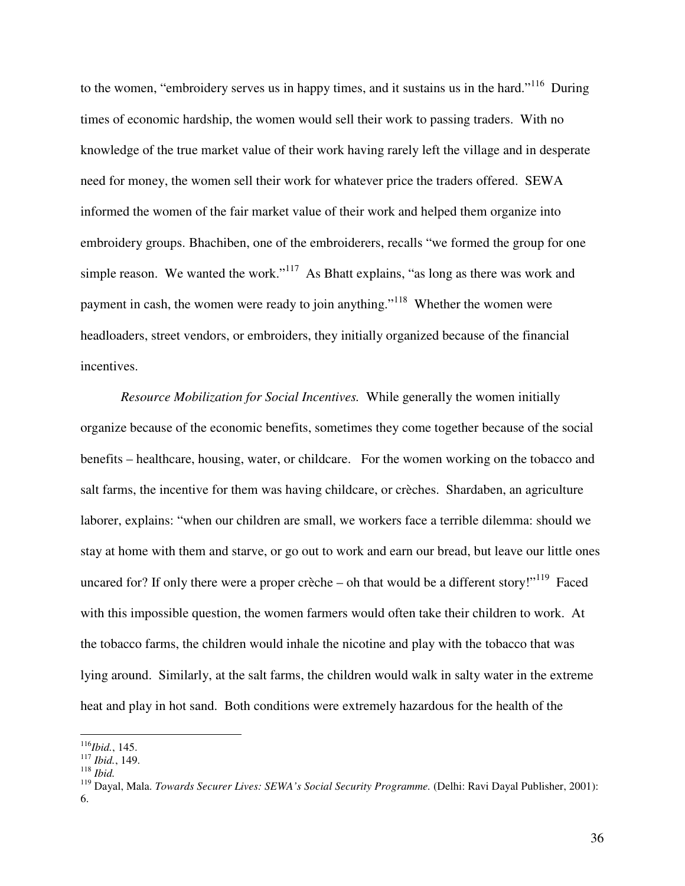to the women, "embroidery serves us in happy times, and it sustains us in the hard."<sup>116</sup> During times of economic hardship, the women would sell their work to passing traders. With no knowledge of the true market value of their work having rarely left the village and in desperate need for money, the women sell their work for whatever price the traders offered. SEWA informed the women of the fair market value of their work and helped them organize into embroidery groups. Bhachiben, one of the embroiderers, recalls "we formed the group for one simple reason. We wanted the work."<sup>117</sup> As Bhatt explains, "as long as there was work and payment in cash, the women were ready to join anything."<sup>118</sup> Whether the women were headloaders, street vendors, or embroiders, they initially organized because of the financial incentives.

*Resource Mobilization for Social Incentives.* While generally the women initially organize because of the economic benefits, sometimes they come together because of the social benefits – healthcare, housing, water, or childcare. For the women working on the tobacco and salt farms, the incentive for them was having childcare, or crèches. Shardaben, an agriculture laborer, explains: "when our children are small, we workers face a terrible dilemma: should we stay at home with them and starve, or go out to work and earn our bread, but leave our little ones uncared for? If only there were a proper crèche – oh that would be a different story!"<sup>119</sup> Faced with this impossible question, the women farmers would often take their children to work. At the tobacco farms, the children would inhale the nicotine and play with the tobacco that was lying around. Similarly, at the salt farms, the children would walk in salty water in the extreme heat and play in hot sand. Both conditions were extremely hazardous for the health of the

 $\overline{a}$ <sup>116</sup>*Ibid.*, 145.

<sup>117</sup> *Ibid.*, 149.

<sup>118</sup> *Ibid.*

<sup>119</sup> Dayal, Mala. *Towards Securer Lives: SEWA's Social Security Programme.* (Delhi: Ravi Dayal Publisher, 2001): 6.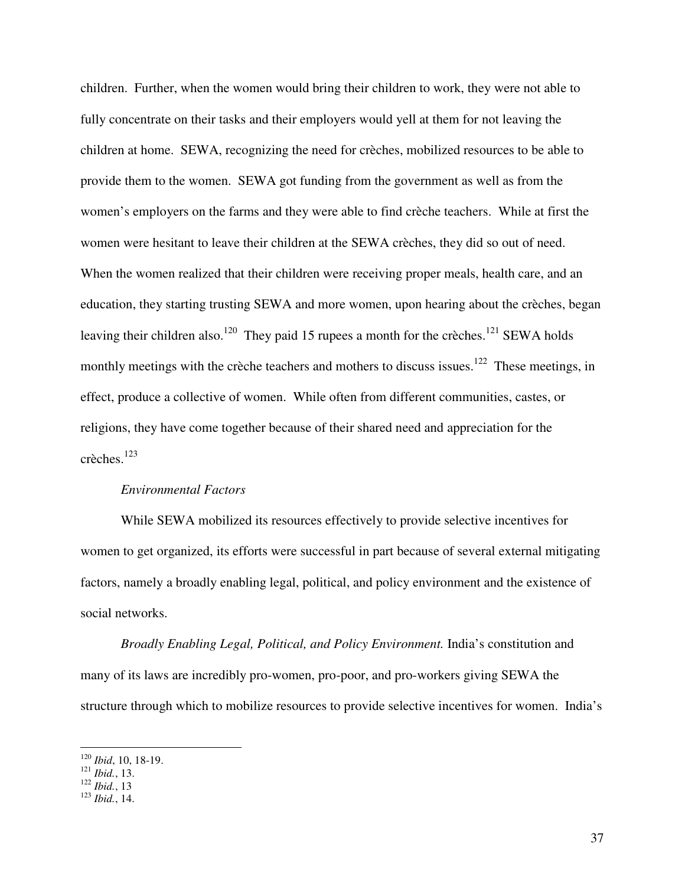children. Further, when the women would bring their children to work, they were not able to fully concentrate on their tasks and their employers would yell at them for not leaving the children at home. SEWA, recognizing the need for crèches, mobilized resources to be able to provide them to the women. SEWA got funding from the government as well as from the women's employers on the farms and they were able to find crèche teachers. While at first the women were hesitant to leave their children at the SEWA crèches, they did so out of need. When the women realized that their children were receiving proper meals, health care, and an education, they starting trusting SEWA and more women, upon hearing about the crèches, began leaving their children also.<sup>120</sup> They paid 15 rupees a month for the crèches.<sup>121</sup> SEWA holds monthly meetings with the crèche teachers and mothers to discuss issues.<sup>122</sup> These meetings, in effect, produce a collective of women. While often from different communities, castes, or religions, they have come together because of their shared need and appreciation for the crèches.<sup>123</sup>

### *Environmental Factors*

 While SEWA mobilized its resources effectively to provide selective incentives for women to get organized, its efforts were successful in part because of several external mitigating factors, namely a broadly enabling legal, political, and policy environment and the existence of social networks.

*Broadly Enabling Legal, Political, and Policy Environment.* India's constitution and many of its laws are incredibly pro-women, pro-poor, and pro-workers giving SEWA the structure through which to mobilize resources to provide selective incentives for women. India's

-

<sup>120</sup> *Ibid*, 10, 18-19.

<sup>121</sup> *Ibid.*, 13.

<sup>122</sup> *Ibid.*, 13

<sup>123</sup> *Ibid.*, 14.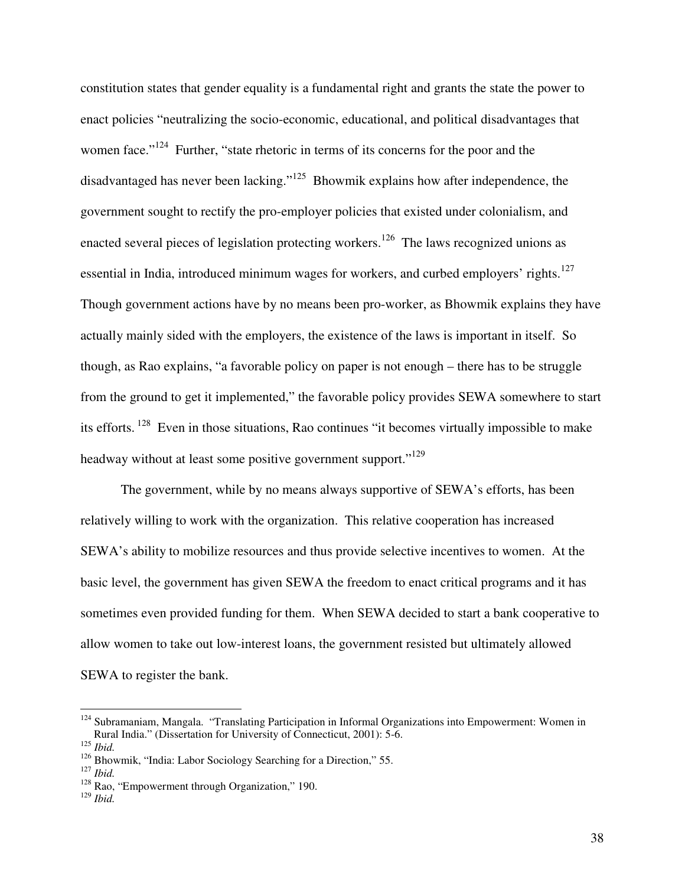constitution states that gender equality is a fundamental right and grants the state the power to enact policies "neutralizing the socio-economic, educational, and political disadvantages that women face."<sup>124</sup> Further, "state rhetoric in terms of its concerns for the poor and the disadvantaged has never been lacking."<sup>125</sup> Bhowmik explains how after independence, the government sought to rectify the pro-employer policies that existed under colonialism, and enacted several pieces of legislation protecting workers.<sup>126</sup> The laws recognized unions as essential in India, introduced minimum wages for workers, and curbed employers' rights.<sup>127</sup> Though government actions have by no means been pro-worker, as Bhowmik explains they have actually mainly sided with the employers, the existence of the laws is important in itself. So though, as Rao explains, "a favorable policy on paper is not enough – there has to be struggle from the ground to get it implemented," the favorable policy provides SEWA somewhere to start its efforts.<sup>128</sup> Even in those situations, Rao continues "it becomes virtually impossible to make headway without at least some positive government support."<sup>129</sup>

The government, while by no means always supportive of SEWA's efforts, has been relatively willing to work with the organization. This relative cooperation has increased SEWA's ability to mobilize resources and thus provide selective incentives to women. At the basic level, the government has given SEWA the freedom to enact critical programs and it has sometimes even provided funding for them. When SEWA decided to start a bank cooperative to allow women to take out low-interest loans, the government resisted but ultimately allowed SEWA to register the bank.

<sup>&</sup>lt;sup>124</sup> Subramaniam, Mangala. "Translating Participation in Informal Organizations into Empowerment: Women in Rural India." (Dissertation for University of Connecticut, 2001): 5-6.

<sup>125</sup> *Ibid.*

<sup>&</sup>lt;sup>126</sup> Bhowmik, "India: Labor Sociology Searching for a Direction," 55.

<sup>127</sup> *Ibid.*

<sup>&</sup>lt;sup>128</sup> Rao, "Empowerment through Organization," 190.

<sup>129</sup> *Ibid.*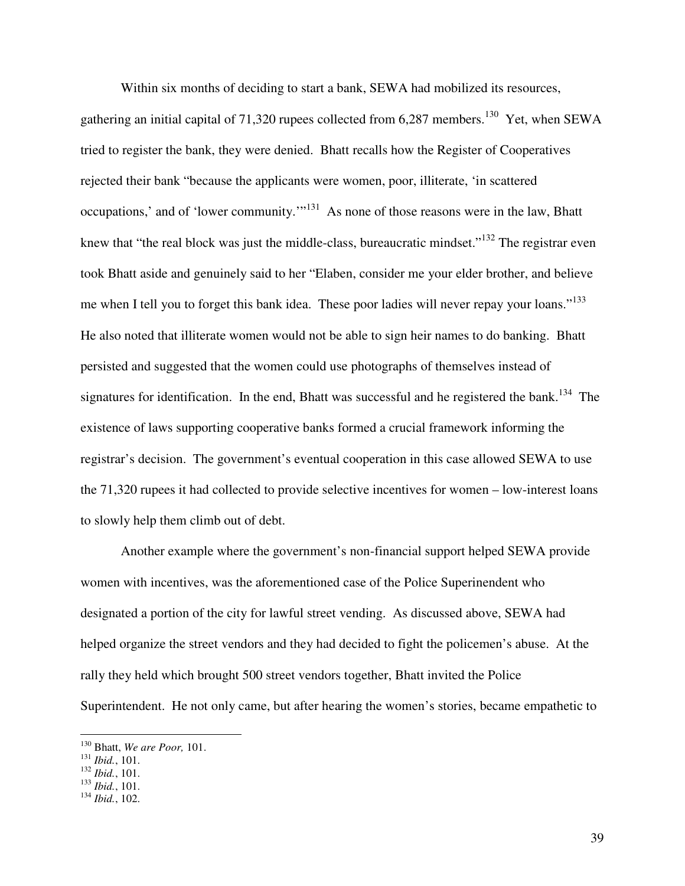Within six months of deciding to start a bank, SEWA had mobilized its resources, gathering an initial capital of 71,320 rupees collected from  $6,287$  members.<sup>130</sup> Yet, when SEWA tried to register the bank, they were denied. Bhatt recalls how the Register of Cooperatives rejected their bank "because the applicants were women, poor, illiterate, 'in scattered occupations,' and of 'lower community.'"<sup>131</sup> As none of those reasons were in the law, Bhatt knew that "the real block was just the middle-class, bureaucratic mindset."<sup>132</sup> The registrar even took Bhatt aside and genuinely said to her "Elaben, consider me your elder brother, and believe me when I tell you to forget this bank idea. These poor ladies will never repay your loans."<sup>133</sup> He also noted that illiterate women would not be able to sign heir names to do banking. Bhatt persisted and suggested that the women could use photographs of themselves instead of signatures for identification. In the end, Bhatt was successful and he registered the bank.<sup>134</sup> The existence of laws supporting cooperative banks formed a crucial framework informing the registrar's decision. The government's eventual cooperation in this case allowed SEWA to use the 71,320 rupees it had collected to provide selective incentives for women – low-interest loans to slowly help them climb out of debt.

 Another example where the government's non-financial support helped SEWA provide women with incentives, was the aforementioned case of the Police Superinendent who designated a portion of the city for lawful street vending. As discussed above, SEWA had helped organize the street vendors and they had decided to fight the policemen's abuse. At the rally they held which brought 500 street vendors together, Bhatt invited the Police Superintendent. He not only came, but after hearing the women's stories, became empathetic to

<sup>130</sup> Bhatt, *We are Poor,* 101.

<sup>131</sup> *Ibid.*, 101.

<sup>132</sup> *Ibid.*, 101.

<sup>133</sup> *Ibid.*, 101.

<sup>134</sup> *Ibid.*, 102.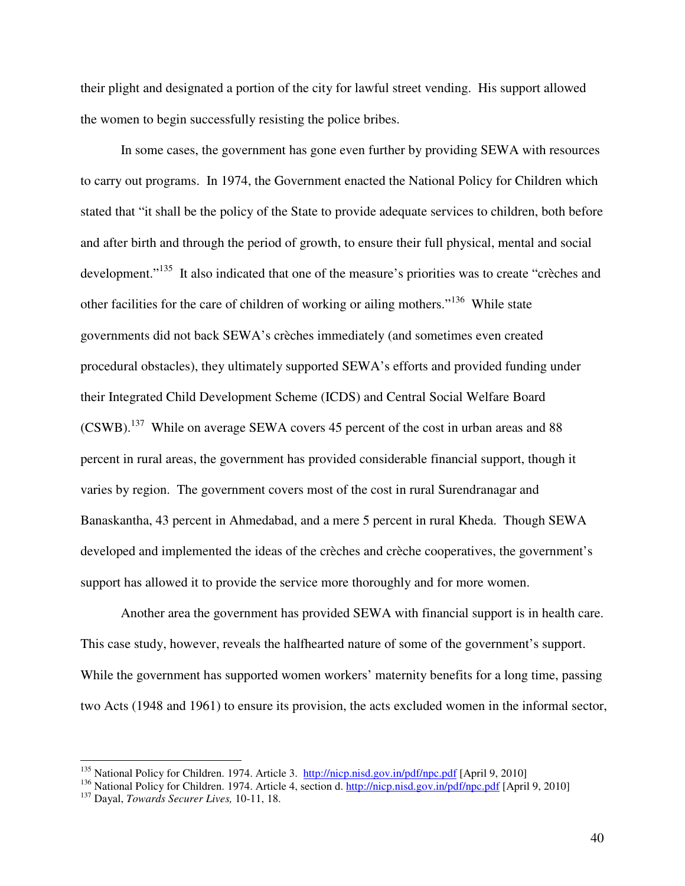their plight and designated a portion of the city for lawful street vending. His support allowed the women to begin successfully resisting the police bribes.

 In some cases, the government has gone even further by providing SEWA with resources to carry out programs. In 1974, the Government enacted the National Policy for Children which stated that "it shall be the policy of the State to provide adequate services to children, both before and after birth and through the period of growth, to ensure their full physical, mental and social development."<sup>135</sup> It also indicated that one of the measure's priorities was to create "crèches and other facilities for the care of children of working or ailing mothers."<sup>136</sup> While state governments did not back SEWA's crèches immediately (and sometimes even created procedural obstacles), they ultimately supported SEWA's efforts and provided funding under their Integrated Child Development Scheme (ICDS) and Central Social Welfare Board (CSWB).<sup>137</sup> While on average SEWA covers 45 percent of the cost in urban areas and 88 percent in rural areas, the government has provided considerable financial support, though it varies by region. The government covers most of the cost in rural Surendranagar and Banaskantha, 43 percent in Ahmedabad, and a mere 5 percent in rural Kheda. Though SEWA developed and implemented the ideas of the crèches and crèche cooperatives, the government's support has allowed it to provide the service more thoroughly and for more women.

 Another area the government has provided SEWA with financial support is in health care. This case study, however, reveals the halfhearted nature of some of the government's support. While the government has supported women workers' maternity benefits for a long time, passing two Acts (1948 and 1961) to ensure its provision, the acts excluded women in the informal sector,

<u>.</u>

<sup>&</sup>lt;sup>135</sup> National Policy for Children. 1974. Article 3. http://nicp.nisd.gov.in/pdf/npc.pdf [April 9, 2010]

<sup>136</sup> National Policy for Children. 1974. Article 4, section d. http://nicp.nisd.gov.in/pdf/npc.pdf [April 9, 2010]

<sup>137</sup> Dayal, *Towards Securer Lives,* 10-11, 18.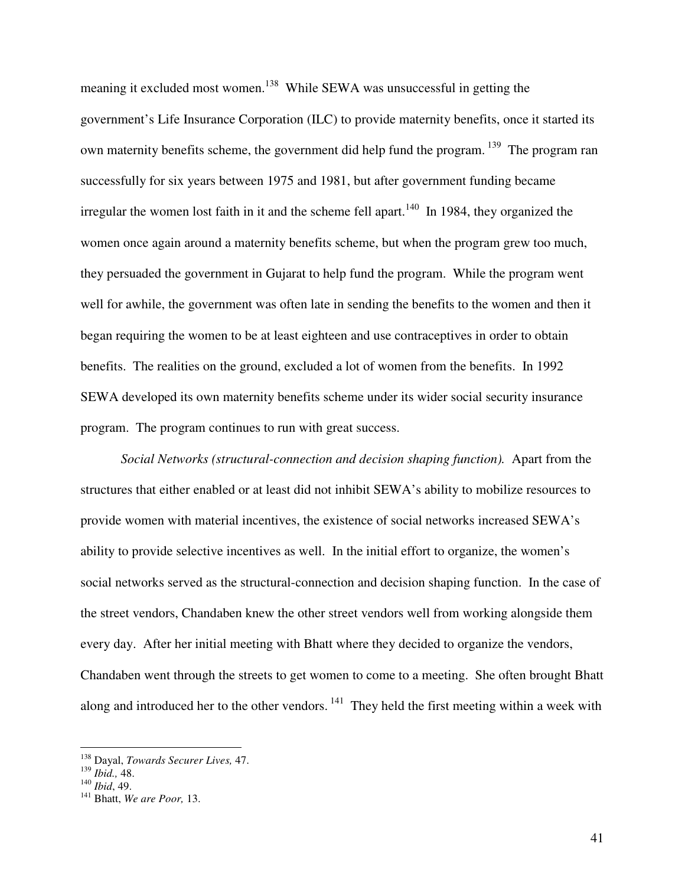meaning it excluded most women.<sup>138</sup> While SEWA was unsuccessful in getting the government's Life Insurance Corporation (ILC) to provide maternity benefits, once it started its own maternity benefits scheme, the government did help fund the program.<sup>139</sup> The program ran successfully for six years between 1975 and 1981, but after government funding became irregular the women lost faith in it and the scheme fell apart.<sup>140</sup> In 1984, they organized the women once again around a maternity benefits scheme, but when the program grew too much, they persuaded the government in Gujarat to help fund the program. While the program went well for awhile, the government was often late in sending the benefits to the women and then it began requiring the women to be at least eighteen and use contraceptives in order to obtain benefits. The realities on the ground, excluded a lot of women from the benefits. In 1992 SEWA developed its own maternity benefits scheme under its wider social security insurance program. The program continues to run with great success.

*Social Networks (structural-connection and decision shaping function).* Apart from the structures that either enabled or at least did not inhibit SEWA's ability to mobilize resources to provide women with material incentives, the existence of social networks increased SEWA's ability to provide selective incentives as well. In the initial effort to organize, the women's social networks served as the structural-connection and decision shaping function. In the case of the street vendors, Chandaben knew the other street vendors well from working alongside them every day. After her initial meeting with Bhatt where they decided to organize the vendors, Chandaben went through the streets to get women to come to a meeting. She often brought Bhatt along and introduced her to the other vendors.<sup>141</sup> They held the first meeting within a week with

<sup>138</sup> Dayal, *Towards Securer Lives,* 47.

<sup>139</sup> *Ibid.,* 48.

<sup>140</sup> *Ibid*, 49.

<sup>141</sup> Bhatt, *We are Poor,* 13.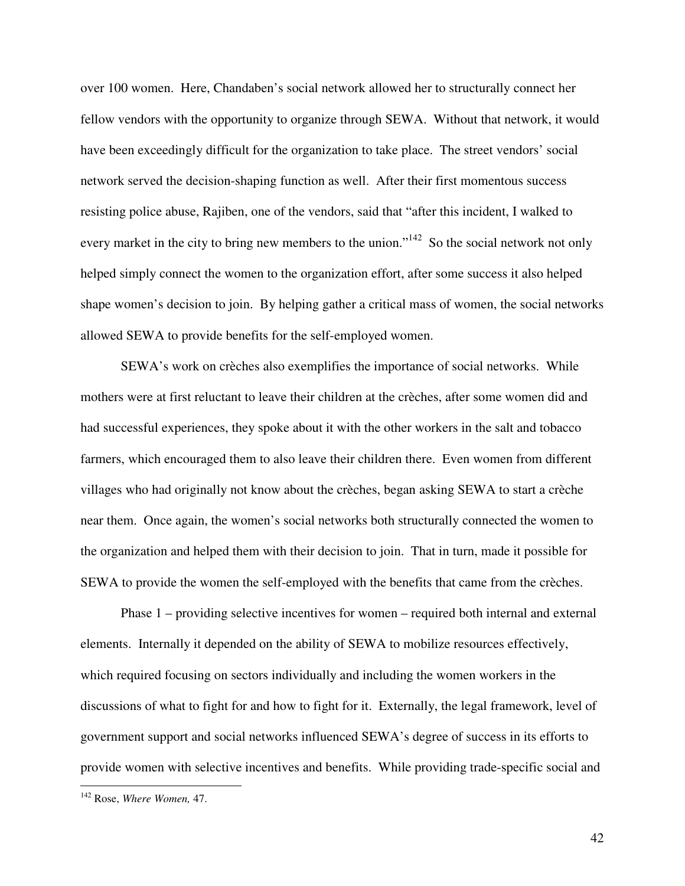over 100 women. Here, Chandaben's social network allowed her to structurally connect her fellow vendors with the opportunity to organize through SEWA. Without that network, it would have been exceedingly difficult for the organization to take place. The street vendors' social network served the decision-shaping function as well. After their first momentous success resisting police abuse, Rajiben, one of the vendors, said that "after this incident, I walked to every market in the city to bring new members to the union."<sup>142</sup> So the social network not only helped simply connect the women to the organization effort, after some success it also helped shape women's decision to join. By helping gather a critical mass of women, the social networks allowed SEWA to provide benefits for the self-employed women.

SEWA's work on crèches also exemplifies the importance of social networks. While mothers were at first reluctant to leave their children at the crèches, after some women did and had successful experiences, they spoke about it with the other workers in the salt and tobacco farmers, which encouraged them to also leave their children there. Even women from different villages who had originally not know about the crèches, began asking SEWA to start a crèche near them. Once again, the women's social networks both structurally connected the women to the organization and helped them with their decision to join. That in turn, made it possible for SEWA to provide the women the self-employed with the benefits that came from the crèches.

 Phase 1 – providing selective incentives for women – required both internal and external elements. Internally it depended on the ability of SEWA to mobilize resources effectively, which required focusing on sectors individually and including the women workers in the discussions of what to fight for and how to fight for it. Externally, the legal framework, level of government support and social networks influenced SEWA's degree of success in its efforts to provide women with selective incentives and benefits. While providing trade-specific social and

<sup>142</sup> Rose, *Where Women,* 47.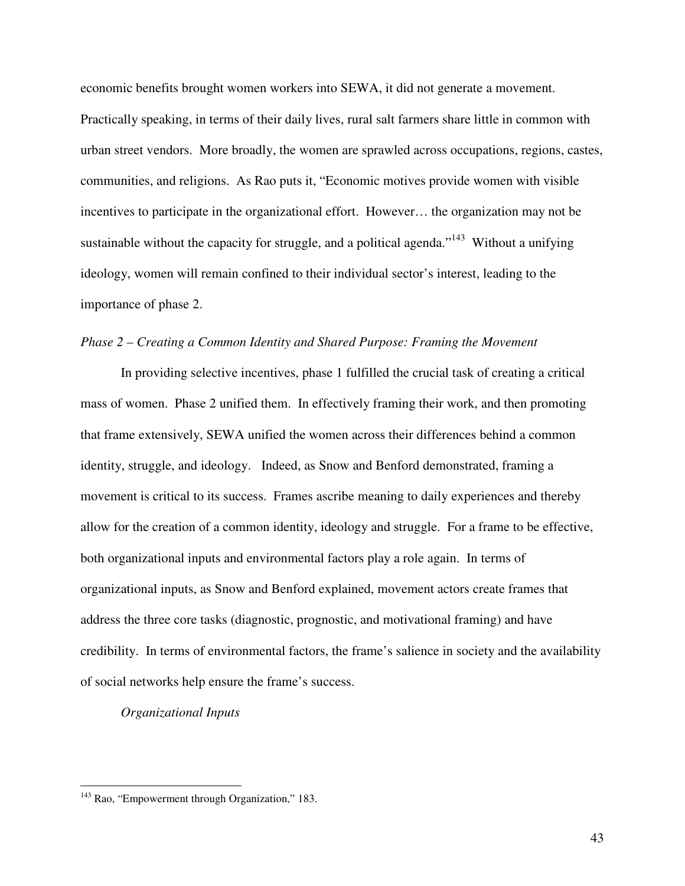economic benefits brought women workers into SEWA, it did not generate a movement. Practically speaking, in terms of their daily lives, rural salt farmers share little in common with urban street vendors. More broadly, the women are sprawled across occupations, regions, castes, communities, and religions. As Rao puts it, "Economic motives provide women with visible incentives to participate in the organizational effort. However… the organization may not be sustainable without the capacity for struggle, and a political agenda."<sup>143</sup> Without a unifying ideology, women will remain confined to their individual sector's interest, leading to the importance of phase 2.

### *Phase 2 – Creating a Common Identity and Shared Purpose: Framing the Movement*

 In providing selective incentives, phase 1 fulfilled the crucial task of creating a critical mass of women. Phase 2 unified them. In effectively framing their work, and then promoting that frame extensively, SEWA unified the women across their differences behind a common identity, struggle, and ideology. Indeed, as Snow and Benford demonstrated, framing a movement is critical to its success. Frames ascribe meaning to daily experiences and thereby allow for the creation of a common identity, ideology and struggle. For a frame to be effective, both organizational inputs and environmental factors play a role again. In terms of organizational inputs, as Snow and Benford explained, movement actors create frames that address the three core tasks (diagnostic, prognostic, and motivational framing) and have credibility. In terms of environmental factors, the frame's salience in society and the availability of social networks help ensure the frame's success.

### *Organizational Inputs*

<sup>&</sup>lt;sup>143</sup> Rao, "Empowerment through Organization," 183.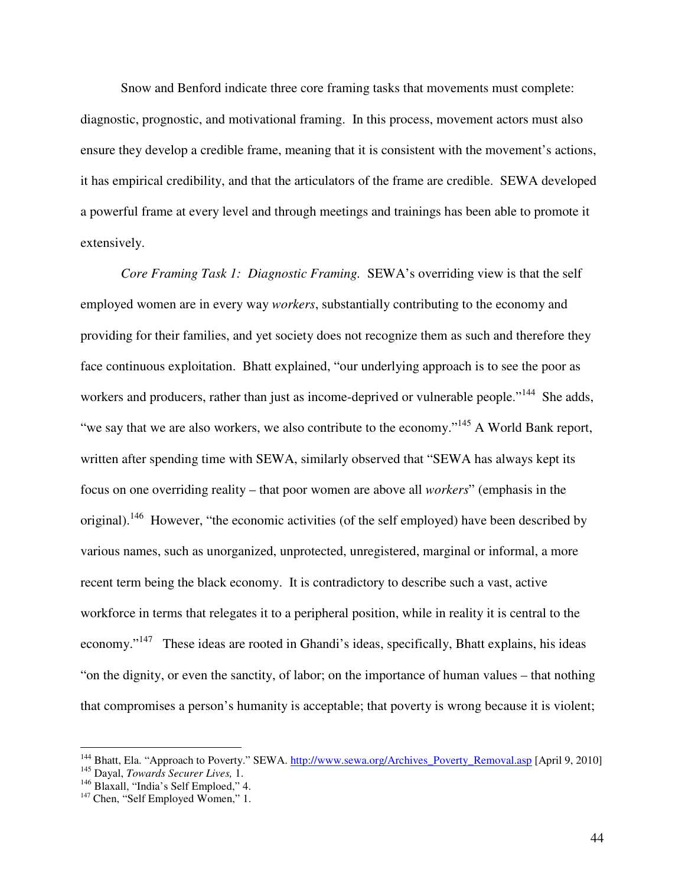Snow and Benford indicate three core framing tasks that movements must complete: diagnostic, prognostic, and motivational framing. In this process, movement actors must also ensure they develop a credible frame, meaning that it is consistent with the movement's actions, it has empirical credibility, and that the articulators of the frame are credible. SEWA developed a powerful frame at every level and through meetings and trainings has been able to promote it extensively.

*Core Framing Task 1: Diagnostic Framing.* SEWA's overriding view is that the self employed women are in every way *workers*, substantially contributing to the economy and providing for their families, and yet society does not recognize them as such and therefore they face continuous exploitation. Bhatt explained, "our underlying approach is to see the poor as workers and producers, rather than just as income-deprived or vulnerable people."<sup>144</sup> She adds, "we say that we are also workers, we also contribute to the economy."<sup>145</sup> A World Bank report, written after spending time with SEWA, similarly observed that "SEWA has always kept its focus on one overriding reality – that poor women are above all *workers*" (emphasis in the original).<sup>146</sup> However, "the economic activities (of the self employed) have been described by various names, such as unorganized, unprotected, unregistered, marginal or informal, a more recent term being the black economy. It is contradictory to describe such a vast, active workforce in terms that relegates it to a peripheral position, while in reality it is central to the economy."<sup>147</sup> These ideas are rooted in Ghandi's ideas, specifically, Bhatt explains, his ideas "on the dignity, or even the sanctity, of labor; on the importance of human values – that nothing that compromises a person's humanity is acceptable; that poverty is wrong because it is violent;

<sup>&</sup>lt;sup>144</sup> Bhatt, Ela. "Approach to Poverty." SEWA. http://www.sewa.org/Archives\_Poverty\_Removal.asp [April 9, 2010]

<sup>145</sup> Dayal, *Towards Securer Lives,* 1.

<sup>&</sup>lt;sup>146</sup> Blaxall, "India's Self Emploed," 4.

<sup>&</sup>lt;sup>147</sup> Chen, "Self Employed Women," 1.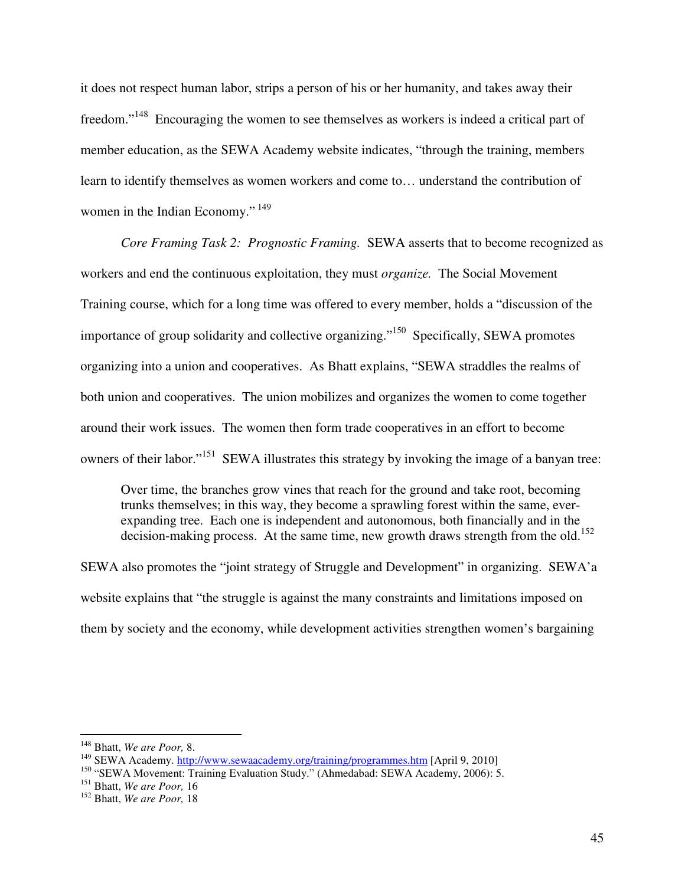it does not respect human labor, strips a person of his or her humanity, and takes away their freedom."<sup>148</sup> Encouraging the women to see themselves as workers is indeed a critical part of member education, as the SEWA Academy website indicates, "through the training, members learn to identify themselves as women workers and come to… understand the contribution of women in the Indian Economy."<sup>149</sup>

*Core Framing Task 2: Prognostic Framing.* SEWA asserts that to become recognized as workers and end the continuous exploitation, they must *organize.* The Social Movement Training course, which for a long time was offered to every member, holds a "discussion of the importance of group solidarity and collective organizing."<sup>150</sup> Specifically, SEWA promotes organizing into a union and cooperatives. As Bhatt explains, "SEWA straddles the realms of both union and cooperatives. The union mobilizes and organizes the women to come together around their work issues. The women then form trade cooperatives in an effort to become owners of their labor."<sup>151</sup> SEWA illustrates this strategy by invoking the image of a banyan tree:

Over time, the branches grow vines that reach for the ground and take root, becoming trunks themselves; in this way, they become a sprawling forest within the same, everexpanding tree. Each one is independent and autonomous, both financially and in the decision-making process. At the same time, new growth draws strength from the old.<sup>152</sup>

SEWA also promotes the "joint strategy of Struggle and Development" in organizing. SEWA'a website explains that "the struggle is against the many constraints and limitations imposed on them by society and the economy, while development activities strengthen women's bargaining

<sup>148</sup> Bhatt, *We are Poor,* 8.

<sup>&</sup>lt;sup>149</sup> SEWA Academy. http://www.sewaacademy.org/training/programmes.htm [April 9, 2010]

<sup>&</sup>lt;sup>150</sup> "SEWA Movement: Training Evaluation Study." (Ahmedabad: SEWA Academy, 2006): 5.

<sup>151</sup> Bhatt, *We are Poor,* 16

<sup>152</sup> Bhatt, *We are Poor,* 18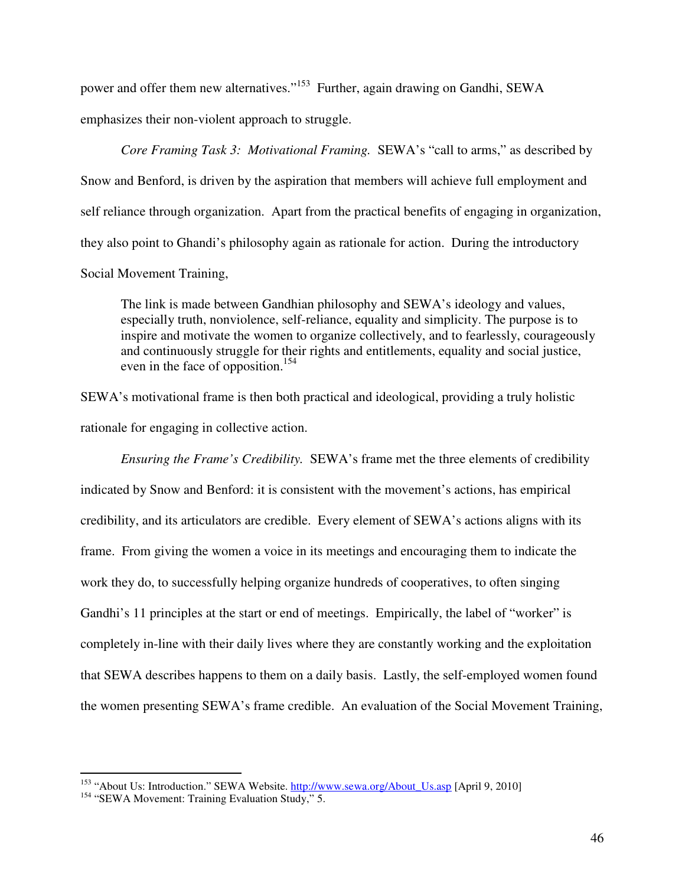power and offer them new alternatives."<sup>153</sup> Further, again drawing on Gandhi, SEWA emphasizes their non-violent approach to struggle.

*Core Framing Task 3: Motivational Framing.* SEWA's "call to arms," as described by Snow and Benford, is driven by the aspiration that members will achieve full employment and self reliance through organization. Apart from the practical benefits of engaging in organization, they also point to Ghandi's philosophy again as rationale for action. During the introductory Social Movement Training,

The link is made between Gandhian philosophy and SEWA's ideology and values, especially truth, nonviolence, self-reliance, equality and simplicity. The purpose is to inspire and motivate the women to organize collectively, and to fearlessly, courageously and continuously struggle for their rights and entitlements, equality and social justice, even in the face of opposition.<sup>154</sup>

SEWA's motivational frame is then both practical and ideological, providing a truly holistic rationale for engaging in collective action.

*Ensuring the Frame's Credibility.* SEWA's frame met the three elements of credibility indicated by Snow and Benford: it is consistent with the movement's actions, has empirical credibility, and its articulators are credible. Every element of SEWA's actions aligns with its frame. From giving the women a voice in its meetings and encouraging them to indicate the work they do, to successfully helping organize hundreds of cooperatives, to often singing Gandhi's 11 principles at the start or end of meetings. Empirically, the label of "worker" is completely in-line with their daily lives where they are constantly working and the exploitation that SEWA describes happens to them on a daily basis. Lastly, the self-employed women found the women presenting SEWA's frame credible. An evaluation of the Social Movement Training,

-

<sup>&</sup>lt;sup>153</sup> "About Us: Introduction." SEWA Website. http://www.sewa.org/About\_Us.asp [April 9, 2010]

<sup>&</sup>lt;sup>154</sup> "SEWA Movement: Training Evaluation Study," 5.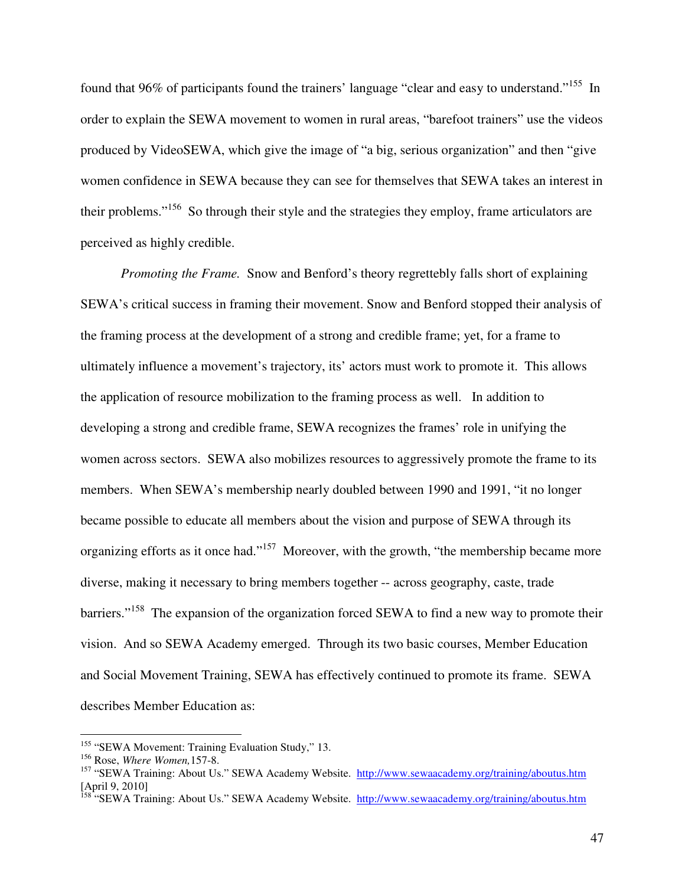found that 96% of participants found the trainers' language "clear and easy to understand."<sup>155</sup> In order to explain the SEWA movement to women in rural areas, "barefoot trainers" use the videos produced by VideoSEWA, which give the image of "a big, serious organization" and then "give women confidence in SEWA because they can see for themselves that SEWA takes an interest in their problems."<sup>156</sup> So through their style and the strategies they employ, frame articulators are perceived as highly credible.

*Promoting the Frame.* Snow and Benford's theory regrettebly falls short of explaining SEWA's critical success in framing their movement. Snow and Benford stopped their analysis of the framing process at the development of a strong and credible frame; yet, for a frame to ultimately influence a movement's trajectory, its' actors must work to promote it. This allows the application of resource mobilization to the framing process as well. In addition to developing a strong and credible frame, SEWA recognizes the frames' role in unifying the women across sectors. SEWA also mobilizes resources to aggressively promote the frame to its members. When SEWA's membership nearly doubled between 1990 and 1991, "it no longer became possible to educate all members about the vision and purpose of SEWA through its organizing efforts as it once had."<sup>157</sup> Moreover, with the growth, "the membership became more diverse, making it necessary to bring members together -- across geography, caste, trade barriers."<sup>158</sup> The expansion of the organization forced SEWA to find a new way to promote their vision. And so SEWA Academy emerged. Through its two basic courses, Member Education and Social Movement Training, SEWA has effectively continued to promote its frame. SEWA describes Member Education as:

<sup>&</sup>lt;sup>155</sup> "SEWA Movement: Training Evaluation Study," 13.

<sup>156</sup> Rose, *Where Women,*157-8.

<sup>&</sup>lt;sup>157</sup> "SEWA Training: About Us." SEWA Academy Website. http://www.sewaacademy.org/training/aboutus.htm [April 9, 2010]

<sup>&</sup>lt;sup>158</sup> "SEWA Training: About Us." SEWA Academy Website. http://www.sewaacademy.org/training/aboutus.htm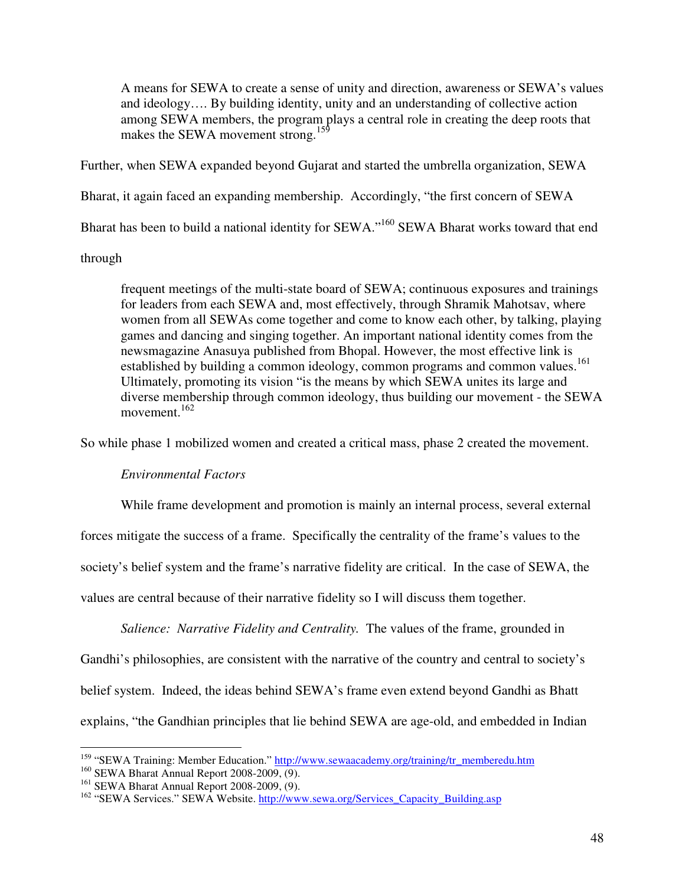A means for SEWA to create a sense of unity and direction, awareness or SEWA's values and ideology…. By building identity, unity and an understanding of collective action among SEWA members, the program plays a central role in creating the deep roots that makes the SEWA movement strong.<sup>159</sup>

Further, when SEWA expanded beyond Gujarat and started the umbrella organization, SEWA

Bharat, it again faced an expanding membership. Accordingly, "the first concern of SEWA

Bharat has been to build a national identity for SEWA."<sup>160</sup> SEWA Bharat works toward that end

# through

frequent meetings of the multi-state board of SEWA; continuous exposures and trainings for leaders from each SEWA and, most effectively, through Shramik Mahotsav, where women from all SEWAs come together and come to know each other, by talking, playing games and dancing and singing together. An important national identity comes from the newsmagazine Anasuya published from Bhopal. However, the most effective link is established by building a common ideology, common programs and common values.<sup>161</sup> Ultimately, promoting its vision "is the means by which SEWA unites its large and diverse membership through common ideology, thus building our movement - the SEWA movement.<sup>162</sup>

So while phase 1 mobilized women and created a critical mass, phase 2 created the movement.

# *Environmental Factors*

While frame development and promotion is mainly an internal process, several external

forces mitigate the success of a frame. Specifically the centrality of the frame's values to the

society's belief system and the frame's narrative fidelity are critical. In the case of SEWA, the

values are central because of their narrative fidelity so I will discuss them together.

*Salience: Narrative Fidelity and Centrality.* The values of the frame, grounded in Gandhi's philosophies, are consistent with the narrative of the country and central to society's belief system. Indeed, the ideas behind SEWA's frame even extend beyond Gandhi as Bhatt explains, "the Gandhian principles that lie behind SEWA are age-old, and embedded in Indian

<sup>&</sup>lt;sup>159</sup> "SEWA Training: Member Education." http://www.sewaacademy.org/training/tr\_memberedu.htm

<sup>160</sup> SEWA Bharat Annual Report 2008-2009, (9).

<sup>&</sup>lt;sup>161</sup> SEWA Bharat Annual Report 2008-2009, (9).

<sup>&</sup>lt;sup>162</sup> "SEWA Services." SEWA Website. http://www.sewa.org/Services\_Capacity\_Building.asp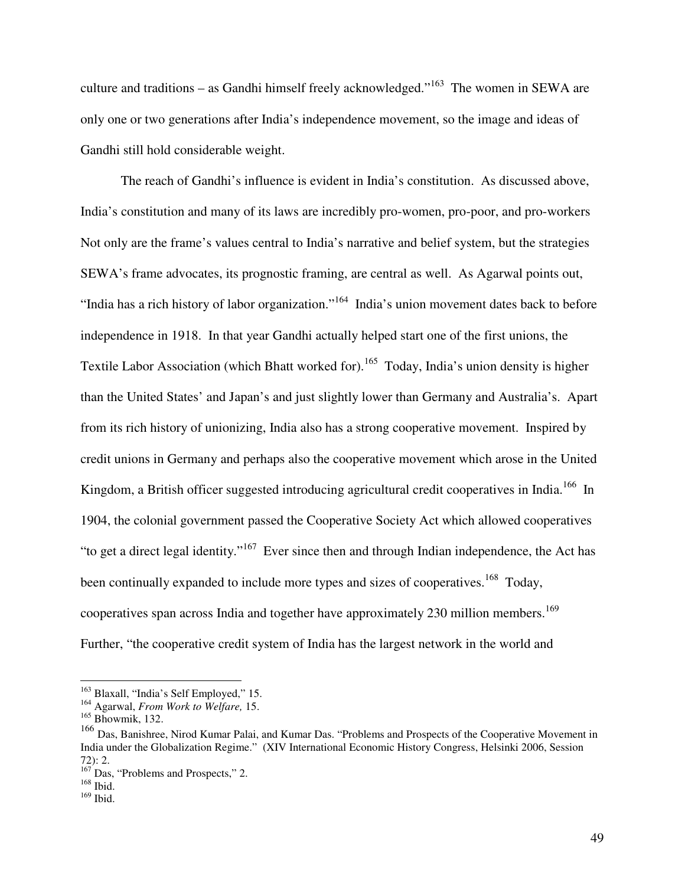culture and traditions – as Gandhi himself freely acknowledged."<sup>163</sup> The women in SEWA are only one or two generations after India's independence movement, so the image and ideas of Gandhi still hold considerable weight.

 The reach of Gandhi's influence is evident in India's constitution. As discussed above, India's constitution and many of its laws are incredibly pro-women, pro-poor, and pro-workers Not only are the frame's values central to India's narrative and belief system, but the strategies SEWA's frame advocates, its prognostic framing, are central as well. As Agarwal points out, "India has a rich history of labor organization."<sup>164</sup> India's union movement dates back to before independence in 1918. In that year Gandhi actually helped start one of the first unions, the Textile Labor Association (which Bhatt worked for).<sup>165</sup> Today, India's union density is higher than the United States' and Japan's and just slightly lower than Germany and Australia's. Apart from its rich history of unionizing, India also has a strong cooperative movement. Inspired by credit unions in Germany and perhaps also the cooperative movement which arose in the United Kingdom, a British officer suggested introducing agricultural credit cooperatives in India.<sup>166</sup> In 1904, the colonial government passed the Cooperative Society Act which allowed cooperatives "to get a direct legal identity."<sup>167</sup> Ever since then and through Indian independence, the Act has been continually expanded to include more types and sizes of cooperatives.<sup>168</sup> Today, cooperatives span across India and together have approximately 230 million members.<sup>169</sup> Further, "the cooperative credit system of India has the largest network in the world and

-

<sup>&</sup>lt;sup>163</sup> Blaxall, "India's Self Employed," 15.

<sup>164</sup> Agarwal, *From Work to Welfare,* 15.

<sup>165</sup> Bhowmik, 132.

<sup>166</sup> Das, Banishree, Nirod Kumar Palai, and Kumar Das. "Problems and Prospects of the Cooperative Movement in India under the Globalization Regime." (XIV International Economic History Congress, Helsinki 2006, Session 72): 2.

<sup>&</sup>lt;sup>167</sup> Das, "Problems and Prospects," 2.

<sup>168</sup> Ibid.

 $169$  Ibid.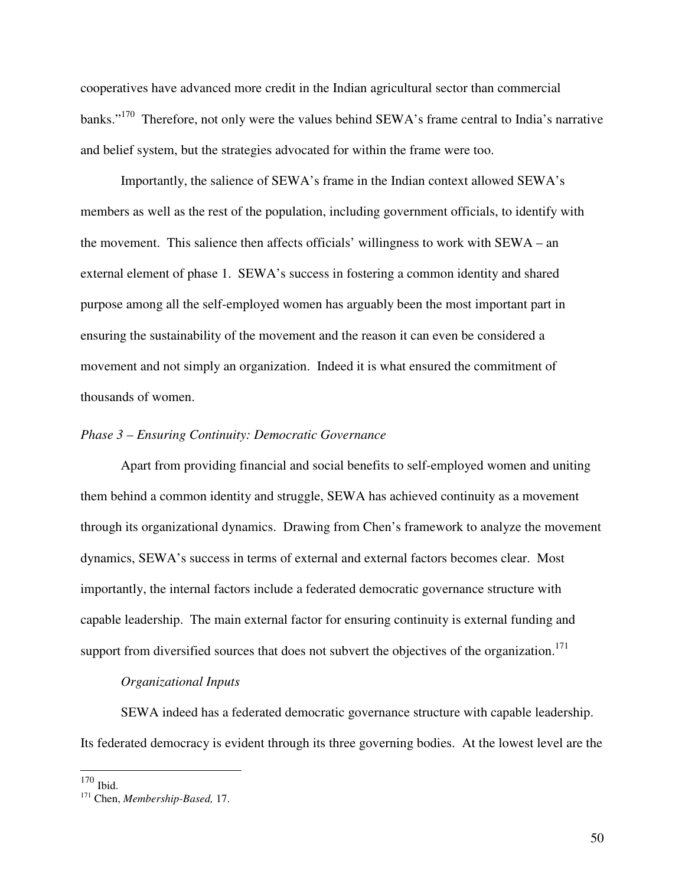cooperatives have advanced more credit in the Indian agricultural sector than commercial banks."<sup>170</sup> Therefore, not only were the values behind SEWA's frame central to India's narrative and belief system, but the strategies advocated for within the frame were too.

 Importantly, the salience of SEWA's frame in the Indian context allowed SEWA's members as well as the rest of the population, including government officials, to identify with the movement. This salience then affects officials' willingness to work with SEWA – an external element of phase 1. SEWA's success in fostering a common identity and shared purpose among all the self-employed women has arguably been the most important part in ensuring the sustainability of the movement and the reason it can even be considered a movement and not simply an organization. Indeed it is what ensured the commitment of thousands of women.

### *Phase 3 – Ensuring Continuity: Democratic Governance*

 Apart from providing financial and social benefits to self-employed women and uniting them behind a common identity and struggle, SEWA has achieved continuity as a movement through its organizational dynamics. Drawing from Chen's framework to analyze the movement dynamics, SEWA's success in terms of external and external factors becomes clear. Most importantly, the internal factors include a federated democratic governance structure with capable leadership. The main external factor for ensuring continuity is external funding and support from diversified sources that does not subvert the objectives of the organization.<sup>171</sup>

### *Organizational Inputs*

 SEWA indeed has a federated democratic governance structure with capable leadership. Its federated democracy is evident through its three governing bodies. At the lowest level are the

-

 $170$  Ibid.

<sup>171</sup> Chen, *Membership-Based,* 17.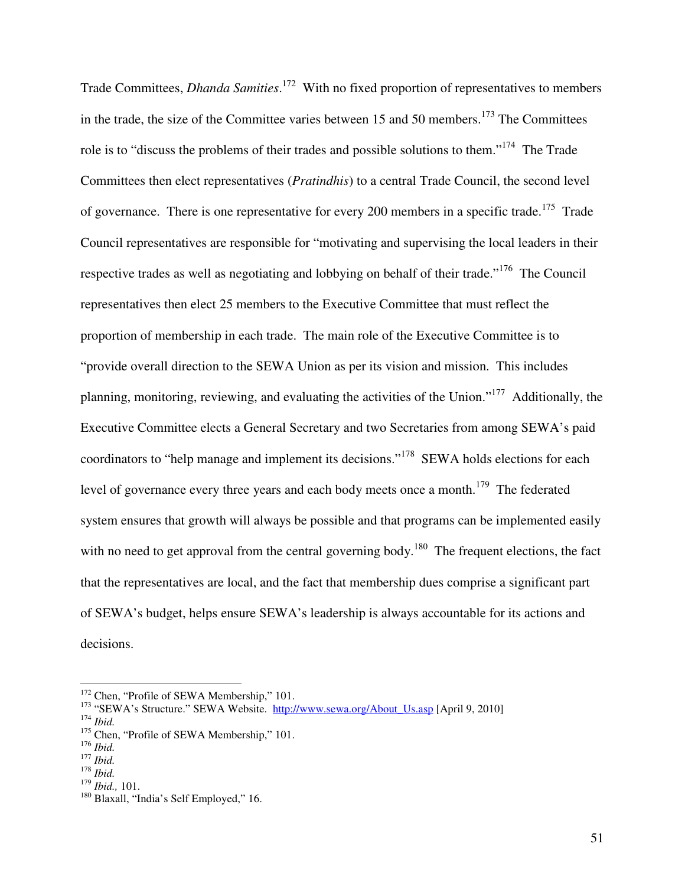Trade Committees, *Dhanda Samities*. <sup>172</sup> With no fixed proportion of representatives to members in the trade, the size of the Committee varies between 15 and 50 members.<sup>173</sup> The Committees role is to "discuss the problems of their trades and possible solutions to them."<sup>174</sup> The Trade Committees then elect representatives (*Pratindhis*) to a central Trade Council, the second level of governance. There is one representative for every 200 members in a specific trade.<sup>175</sup> Trade Council representatives are responsible for "motivating and supervising the local leaders in their respective trades as well as negotiating and lobbying on behalf of their trade."<sup>176</sup> The Council representatives then elect 25 members to the Executive Committee that must reflect the proportion of membership in each trade. The main role of the Executive Committee is to "provide overall direction to the SEWA Union as per its vision and mission. This includes planning, monitoring, reviewing, and evaluating the activities of the Union."<sup>177</sup> Additionally, the Executive Committee elects a General Secretary and two Secretaries from among SEWA's paid coordinators to "help manage and implement its decisions."<sup>178</sup> SEWA holds elections for each level of governance every three years and each body meets once a month.<sup>179</sup> The federated system ensures that growth will always be possible and that programs can be implemented easily with no need to get approval from the central governing body.<sup>180</sup> The frequent elections, the fact that the representatives are local, and the fact that membership dues comprise a significant part of SEWA's budget, helps ensure SEWA's leadership is always accountable for its actions and decisions.

<u>.</u>

<sup>&</sup>lt;sup>172</sup> Chen, "Profile of SEWA Membership," 101.

<sup>&</sup>lt;sup>173</sup> "SEWA's Structure." SEWA Website. http://www.sewa.org/About\_Us.asp [April 9, 2010] <sup>174</sup> *Ibid.*

<sup>&</sup>lt;sup>175</sup> Chen, "Profile of SEWA Membership," 101.

<sup>176</sup> *Ibid.*

<sup>177</sup> *Ibid.*

<sup>178</sup> *Ibid.*

<sup>179</sup> *Ibid.,* 101.

<sup>&</sup>lt;sup>180</sup> Blaxall, "India's Self Employed," 16.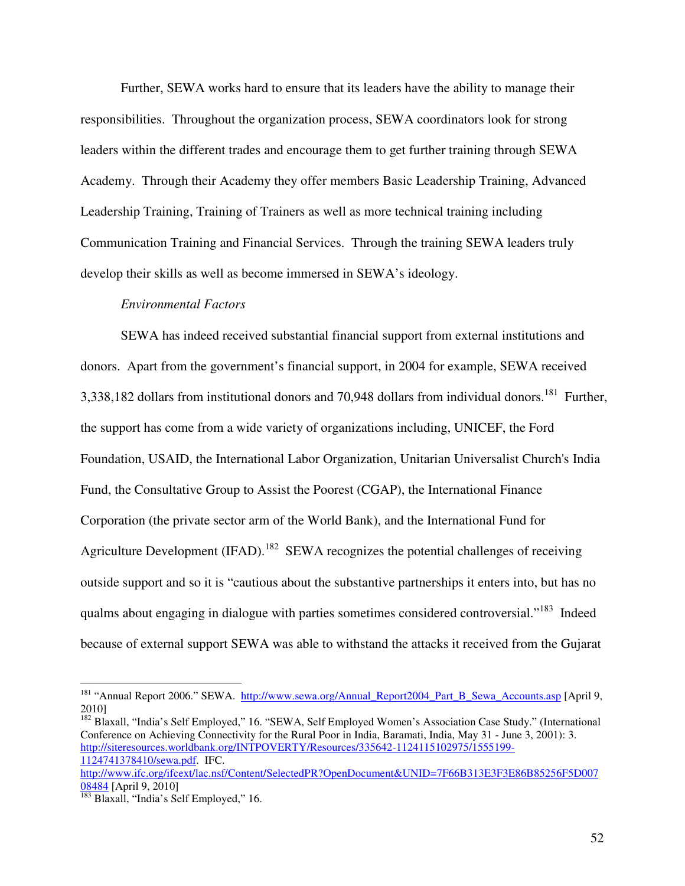Further, SEWA works hard to ensure that its leaders have the ability to manage their responsibilities. Throughout the organization process, SEWA coordinators look for strong leaders within the different trades and encourage them to get further training through SEWA Academy. Through their Academy they offer members Basic Leadership Training, Advanced Leadership Training, Training of Trainers as well as more technical training including Communication Training and Financial Services. Through the training SEWA leaders truly develop their skills as well as become immersed in SEWA's ideology.

### *Environmental Factors*

 SEWA has indeed received substantial financial support from external institutions and donors. Apart from the government's financial support, in 2004 for example, SEWA received 3,338,182 dollars from institutional donors and 70,948 dollars from individual donors.<sup>181</sup> Further, the support has come from a wide variety of organizations including, UNICEF, the Ford Foundation, USAID, the International Labor Organization, Unitarian Universalist Church's India Fund, the Consultative Group to Assist the Poorest (CGAP), the International Finance Corporation (the private sector arm of the World Bank), and the International Fund for Agriculture Development (IFAD).<sup>182</sup> SEWA recognizes the potential challenges of receiving outside support and so it is "cautious about the substantive partnerships it enters into, but has no qualms about engaging in dialogue with parties sometimes considered controversial."<sup>183</sup> Indeed because of external support SEWA was able to withstand the attacks it received from the Gujarat

<u>.</u>

<sup>&</sup>lt;sup>181</sup> "Annual Report 2006." SEWA. http://www.sewa.org/Annual\_Report2004\_Part\_B\_Sewa\_Accounts.asp [April 9, 2010]

<sup>&</sup>lt;sup>182</sup> Blaxall, "India's Self Employed," 16. "SEWA, Self Employed Women's Association Case Study." (International Conference on Achieving Connectivity for the Rural Poor in India, Baramati, India, May 31 - June 3, 2001): 3. http://siteresources.worldbank.org/INTPOVERTY/Resources/335642-1124115102975/1555199- 1124741378410/sewa.pdf. IFC. http://www.ifc.org/ifcext/lac.nsf/Content/SelectedPR?OpenDocument&UNID=7F66B313E3F3E86B85256F5D007

<sup>08484 [</sup>April 9, 2010]

 $\frac{183}{183}$  Blaxall, "India's Self Employed," 16.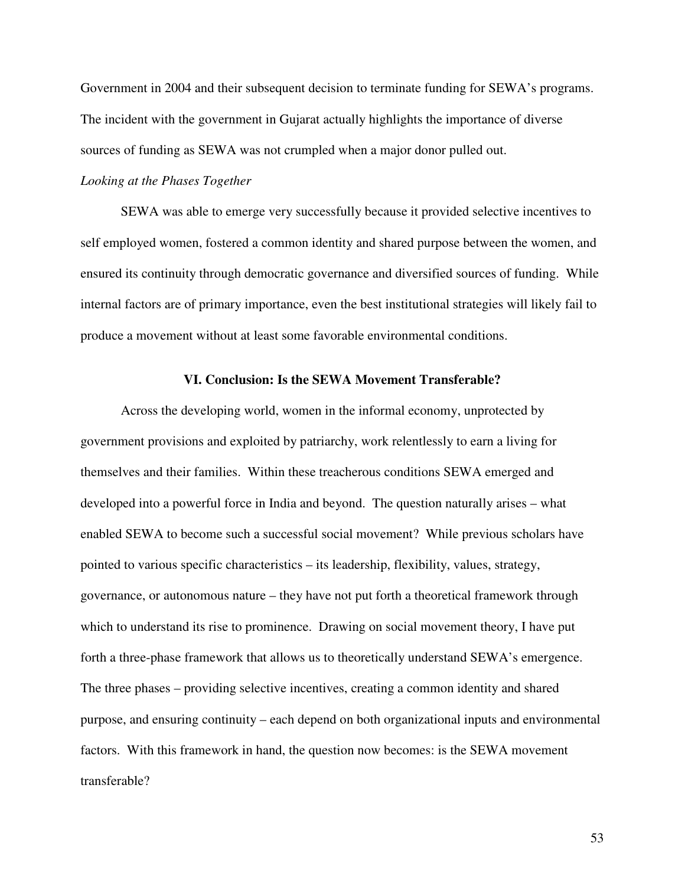Government in 2004 and their subsequent decision to terminate funding for SEWA's programs. The incident with the government in Gujarat actually highlights the importance of diverse sources of funding as SEWA was not crumpled when a major donor pulled out.

## *Looking at the Phases Together*

SEWA was able to emerge very successfully because it provided selective incentives to self employed women, fostered a common identity and shared purpose between the women, and ensured its continuity through democratic governance and diversified sources of funding. While internal factors are of primary importance, even the best institutional strategies will likely fail to produce a movement without at least some favorable environmental conditions.

### **VI. Conclusion: Is the SEWA Movement Transferable?**

 Across the developing world, women in the informal economy, unprotected by government provisions and exploited by patriarchy, work relentlessly to earn a living for themselves and their families. Within these treacherous conditions SEWA emerged and developed into a powerful force in India and beyond. The question naturally arises – what enabled SEWA to become such a successful social movement? While previous scholars have pointed to various specific characteristics – its leadership, flexibility, values, strategy, governance, or autonomous nature – they have not put forth a theoretical framework through which to understand its rise to prominence. Drawing on social movement theory, I have put forth a three-phase framework that allows us to theoretically understand SEWA's emergence. The three phases – providing selective incentives, creating a common identity and shared purpose, and ensuring continuity – each depend on both organizational inputs and environmental factors. With this framework in hand, the question now becomes: is the SEWA movement transferable?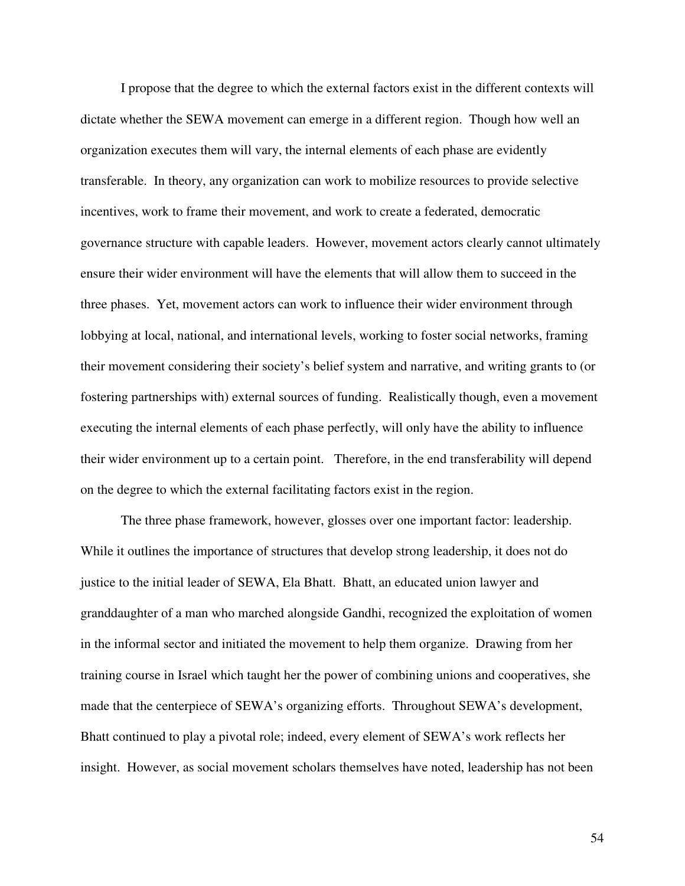I propose that the degree to which the external factors exist in the different contexts will dictate whether the SEWA movement can emerge in a different region. Though how well an organization executes them will vary, the internal elements of each phase are evidently transferable. In theory, any organization can work to mobilize resources to provide selective incentives, work to frame their movement, and work to create a federated, democratic governance structure with capable leaders. However, movement actors clearly cannot ultimately ensure their wider environment will have the elements that will allow them to succeed in the three phases. Yet, movement actors can work to influence their wider environment through lobbying at local, national, and international levels, working to foster social networks, framing their movement considering their society's belief system and narrative, and writing grants to (or fostering partnerships with) external sources of funding. Realistically though, even a movement executing the internal elements of each phase perfectly, will only have the ability to influence their wider environment up to a certain point. Therefore, in the end transferability will depend on the degree to which the external facilitating factors exist in the region.

 The three phase framework, however, glosses over one important factor: leadership. While it outlines the importance of structures that develop strong leadership, it does not do justice to the initial leader of SEWA, Ela Bhatt. Bhatt, an educated union lawyer and granddaughter of a man who marched alongside Gandhi, recognized the exploitation of women in the informal sector and initiated the movement to help them organize. Drawing from her training course in Israel which taught her the power of combining unions and cooperatives, she made that the centerpiece of SEWA's organizing efforts. Throughout SEWA's development, Bhatt continued to play a pivotal role; indeed, every element of SEWA's work reflects her insight. However, as social movement scholars themselves have noted, leadership has not been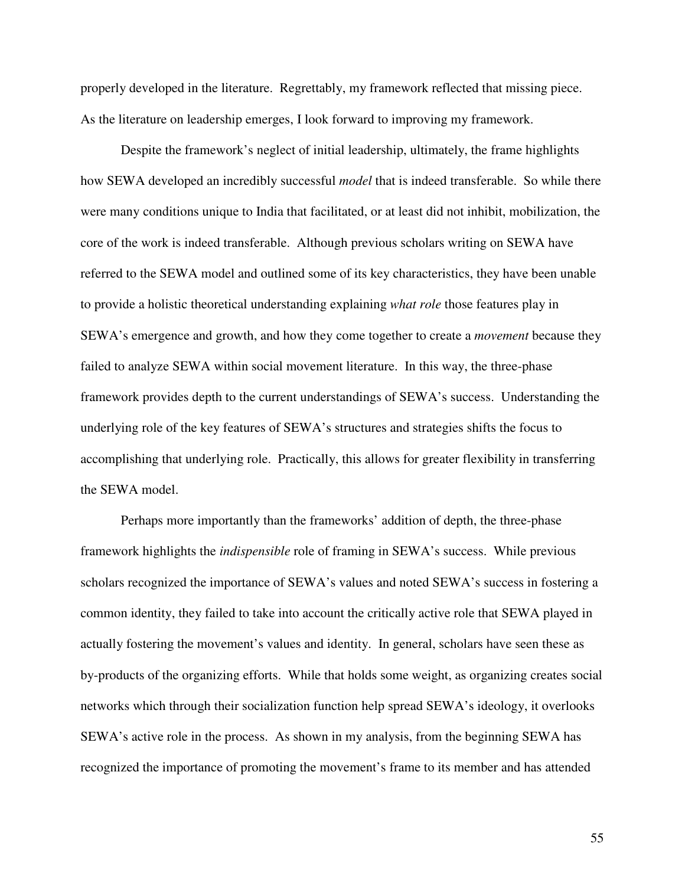properly developed in the literature. Regrettably, my framework reflected that missing piece. As the literature on leadership emerges, I look forward to improving my framework.

Despite the framework's neglect of initial leadership, ultimately, the frame highlights how SEWA developed an incredibly successful *model* that is indeed transferable. So while there were many conditions unique to India that facilitated, or at least did not inhibit, mobilization, the core of the work is indeed transferable. Although previous scholars writing on SEWA have referred to the SEWA model and outlined some of its key characteristics, they have been unable to provide a holistic theoretical understanding explaining *what role* those features play in SEWA's emergence and growth, and how they come together to create a *movement* because they failed to analyze SEWA within social movement literature. In this way, the three-phase framework provides depth to the current understandings of SEWA's success. Understanding the underlying role of the key features of SEWA's structures and strategies shifts the focus to accomplishing that underlying role. Practically, this allows for greater flexibility in transferring the SEWA model.

Perhaps more importantly than the frameworks' addition of depth, the three-phase framework highlights the *indispensible* role of framing in SEWA's success. While previous scholars recognized the importance of SEWA's values and noted SEWA's success in fostering a common identity, they failed to take into account the critically active role that SEWA played in actually fostering the movement's values and identity. In general, scholars have seen these as by-products of the organizing efforts. While that holds some weight, as organizing creates social networks which through their socialization function help spread SEWA's ideology, it overlooks SEWA's active role in the process. As shown in my analysis, from the beginning SEWA has recognized the importance of promoting the movement's frame to its member and has attended

55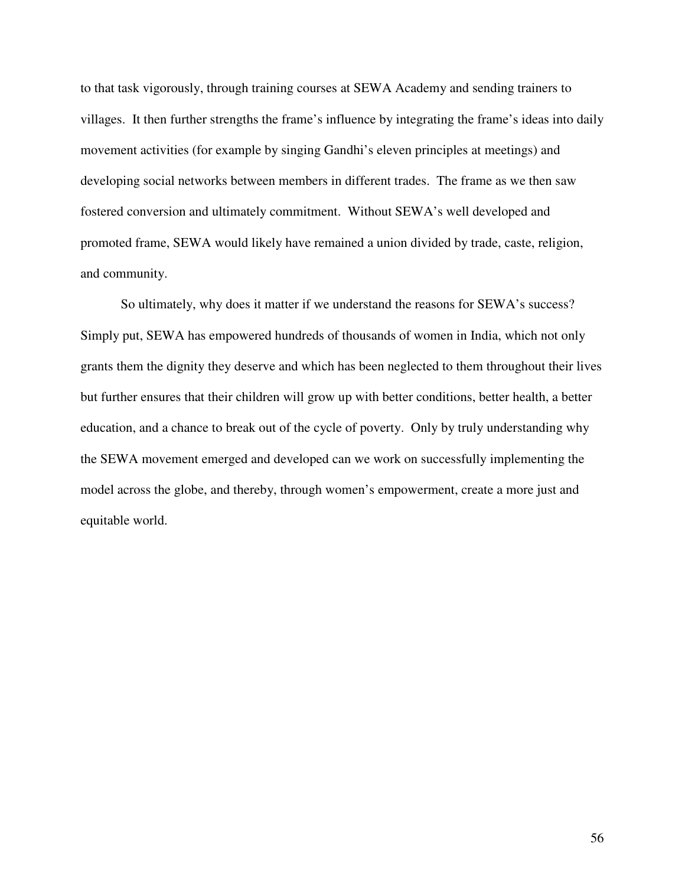to that task vigorously, through training courses at SEWA Academy and sending trainers to villages. It then further strengths the frame's influence by integrating the frame's ideas into daily movement activities (for example by singing Gandhi's eleven principles at meetings) and developing social networks between members in different trades. The frame as we then saw fostered conversion and ultimately commitment. Without SEWA's well developed and promoted frame, SEWA would likely have remained a union divided by trade, caste, religion, and community.

So ultimately, why does it matter if we understand the reasons for SEWA's success? Simply put, SEWA has empowered hundreds of thousands of women in India, which not only grants them the dignity they deserve and which has been neglected to them throughout their lives but further ensures that their children will grow up with better conditions, better health, a better education, and a chance to break out of the cycle of poverty. Only by truly understanding why the SEWA movement emerged and developed can we work on successfully implementing the model across the globe, and thereby, through women's empowerment, create a more just and equitable world.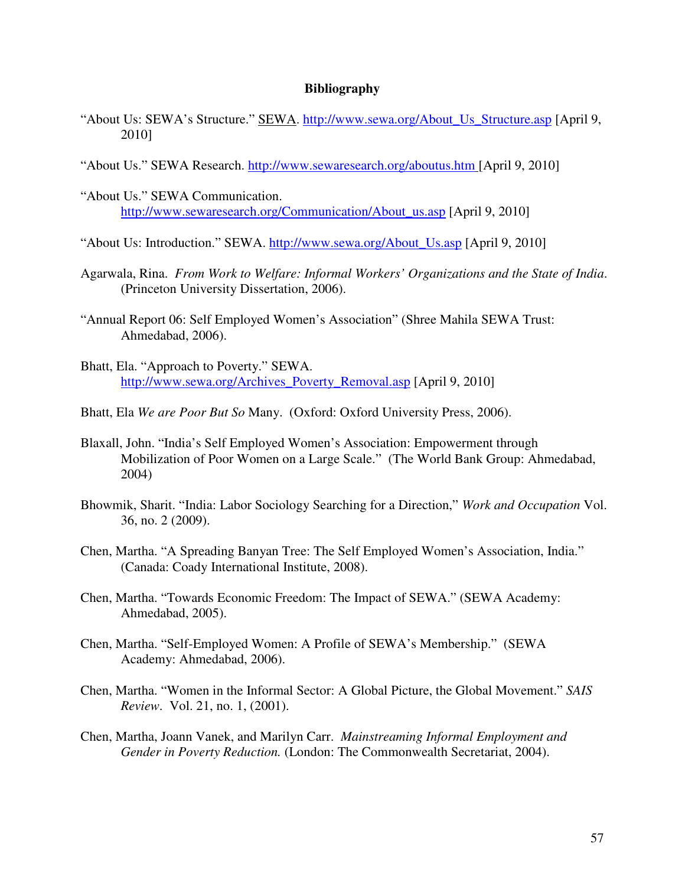### **Bibliography**

- "About Us: SEWA's Structure." SEWA. http://www.sewa.org/About\_Us\_Structure.asp [April 9, 2010]
- "About Us." SEWA Research. http://www.sewaresearch.org/aboutus.htm [April 9, 2010]
- "About Us." SEWA Communication. http://www.sewaresearch.org/Communication/About\_us.asp [April 9, 2010]
- "About Us: Introduction." SEWA. http://www.sewa.org/About\_Us.asp [April 9, 2010]
- Agarwala, Rina. *From Work to Welfare: Informal Workers' Organizations and the State of India*. (Princeton University Dissertation, 2006).
- "Annual Report 06: Self Employed Women's Association" (Shree Mahila SEWA Trust: Ahmedabad, 2006).
- Bhatt, Ela. "Approach to Poverty." SEWA. http://www.sewa.org/Archives\_Poverty\_Removal.asp [April 9, 2010]
- Bhatt, Ela *We are Poor But So* Many. (Oxford: Oxford University Press, 2006).
- Blaxall, John. "India's Self Employed Women's Association: Empowerment through Mobilization of Poor Women on a Large Scale." (The World Bank Group: Ahmedabad, 2004)
- Bhowmik, Sharit. "India: Labor Sociology Searching for a Direction," *Work and Occupation* Vol. 36, no. 2 (2009).
- Chen, Martha. "A Spreading Banyan Tree: The Self Employed Women's Association, India." (Canada: Coady International Institute, 2008).
- Chen, Martha. "Towards Economic Freedom: The Impact of SEWA." (SEWA Academy: Ahmedabad, 2005).
- Chen, Martha. "Self-Employed Women: A Profile of SEWA's Membership." (SEWA Academy: Ahmedabad, 2006).
- Chen, Martha. "Women in the Informal Sector: A Global Picture, the Global Movement." *SAIS Review*. Vol. 21, no. 1, (2001).
- Chen, Martha, Joann Vanek, and Marilyn Carr. *Mainstreaming Informal Employment and Gender in Poverty Reduction.* (London: The Commonwealth Secretariat, 2004).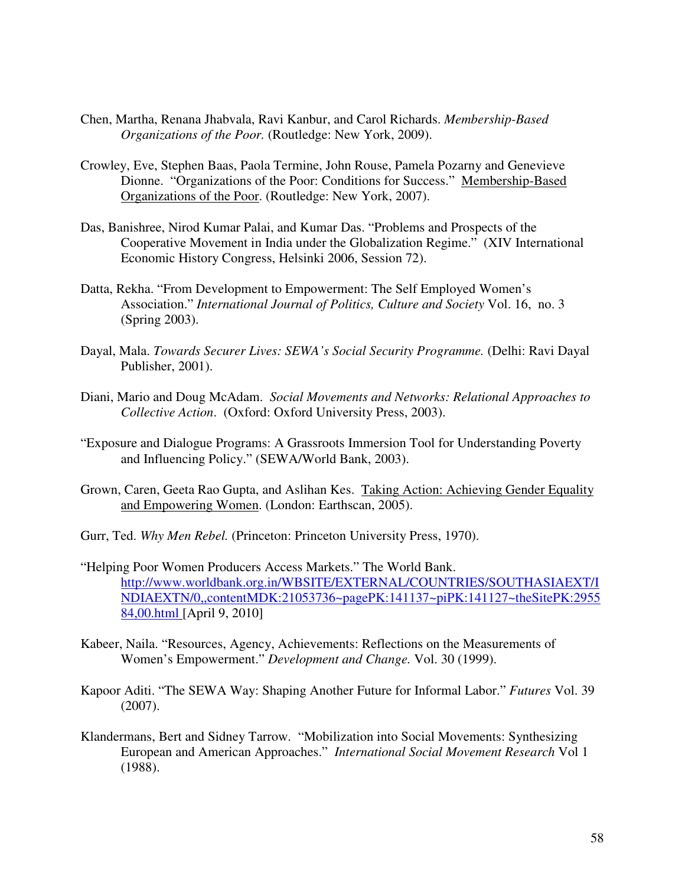- Chen, Martha, Renana Jhabvala, Ravi Kanbur, and Carol Richards. *Membership-Based Organizations of the Poor.* (Routledge: New York, 2009).
- Crowley, Eve, Stephen Baas, Paola Termine, John Rouse, Pamela Pozarny and Genevieve Dionne. "Organizations of the Poor: Conditions for Success." Membership-Based Organizations of the Poor. (Routledge: New York, 2007).
- Das, Banishree, Nirod Kumar Palai, and Kumar Das. "Problems and Prospects of the Cooperative Movement in India under the Globalization Regime." (XIV International Economic History Congress, Helsinki 2006, Session 72).
- Datta, Rekha. "From Development to Empowerment: The Self Employed Women's Association." *International Journal of Politics, Culture and Society* Vol. 16, no. 3 (Spring 2003).
- Dayal, Mala. *Towards Securer Lives: SEWA's Social Security Programme.* (Delhi: Ravi Dayal Publisher, 2001).
- Diani, Mario and Doug McAdam. *Social Movements and Networks: Relational Approaches to Collective Action*. (Oxford: Oxford University Press, 2003).
- "Exposure and Dialogue Programs: A Grassroots Immersion Tool for Understanding Poverty and Influencing Policy." (SEWA/World Bank, 2003).
- Grown, Caren, Geeta Rao Gupta, and Aslihan Kes. Taking Action: Achieving Gender Equality and Empowering Women. (London: Earthscan, 2005).
- Gurr, Ted. *Why Men Rebel.* (Princeton: Princeton University Press, 1970).
- "Helping Poor Women Producers Access Markets." The World Bank. http://www.worldbank.org.in/WBSITE/EXTERNAL/COUNTRIES/SOUTHASIAEXT/I NDIAEXTN/0,,contentMDK:21053736~pagePK:141137~piPK:141127~theSitePK:2955 84,00.html [April 9, 2010]
- Kabeer, Naila. "Resources, Agency, Achievements: Reflections on the Measurements of Women's Empowerment." *Development and Change.* Vol. 30 (1999).
- Kapoor Aditi. "The SEWA Way: Shaping Another Future for Informal Labor." *Futures* Vol. 39 (2007).
- Klandermans, Bert and Sidney Tarrow. "Mobilization into Social Movements: Synthesizing European and American Approaches." *International Social Movement Research* Vol 1 (1988).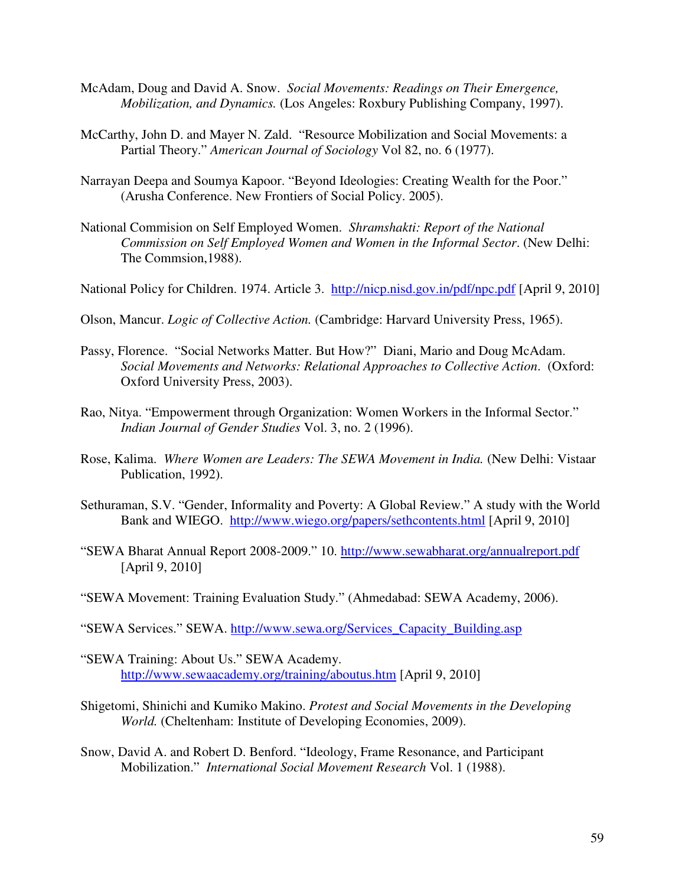- McAdam, Doug and David A. Snow. *Social Movements: Readings on Their Emergence, Mobilization, and Dynamics.* (Los Angeles: Roxbury Publishing Company, 1997).
- McCarthy, John D. and Mayer N. Zald. "Resource Mobilization and Social Movements: a Partial Theory." *American Journal of Sociology* Vol 82, no. 6 (1977).
- Narrayan Deepa and Soumya Kapoor. "Beyond Ideologies: Creating Wealth for the Poor." (Arusha Conference. New Frontiers of Social Policy. 2005).
- National Commision on Self Employed Women. *Shramshakti: Report of the National Commission on Self Employed Women and Women in the Informal Sector*. (New Delhi: The Commsion,1988).
- National Policy for Children. 1974. Article 3. http://nicp.nisd.gov.in/pdf/npc.pdf [April 9, 2010]
- Olson, Mancur. *Logic of Collective Action.* (Cambridge: Harvard University Press, 1965).
- Passy, Florence. "Social Networks Matter. But How?" Diani, Mario and Doug McAdam. *Social Movements and Networks: Relational Approaches to Collective Action*. (Oxford: Oxford University Press, 2003).
- Rao, Nitya. "Empowerment through Organization: Women Workers in the Informal Sector." *Indian Journal of Gender Studies* Vol. 3, no. 2 (1996).
- Rose, Kalima. *Where Women are Leaders: The SEWA Movement in India.* (New Delhi: Vistaar Publication, 1992).
- Sethuraman, S.V. "Gender, Informality and Poverty: A Global Review." A study with the World Bank and WIEGO. http://www.wiego.org/papers/sethcontents.html [April 9, 2010]
- "SEWA Bharat Annual Report 2008-2009." 10. http://www.sewabharat.org/annualreport.pdf [April 9, 2010]
- "SEWA Movement: Training Evaluation Study." (Ahmedabad: SEWA Academy, 2006).

"SEWA Services." SEWA. http://www.sewa.org/Services\_Capacity\_Building.asp

- "SEWA Training: About Us." SEWA Academy. http://www.sewaacademy.org/training/aboutus.htm [April 9, 2010]
- Shigetomi, Shinichi and Kumiko Makino. *Protest and Social Movements in the Developing World.* (Cheltenham: Institute of Developing Economies, 2009).
- Snow, David A. and Robert D. Benford. "Ideology, Frame Resonance, and Participant Mobilization." *International Social Movement Research* Vol. 1 (1988).